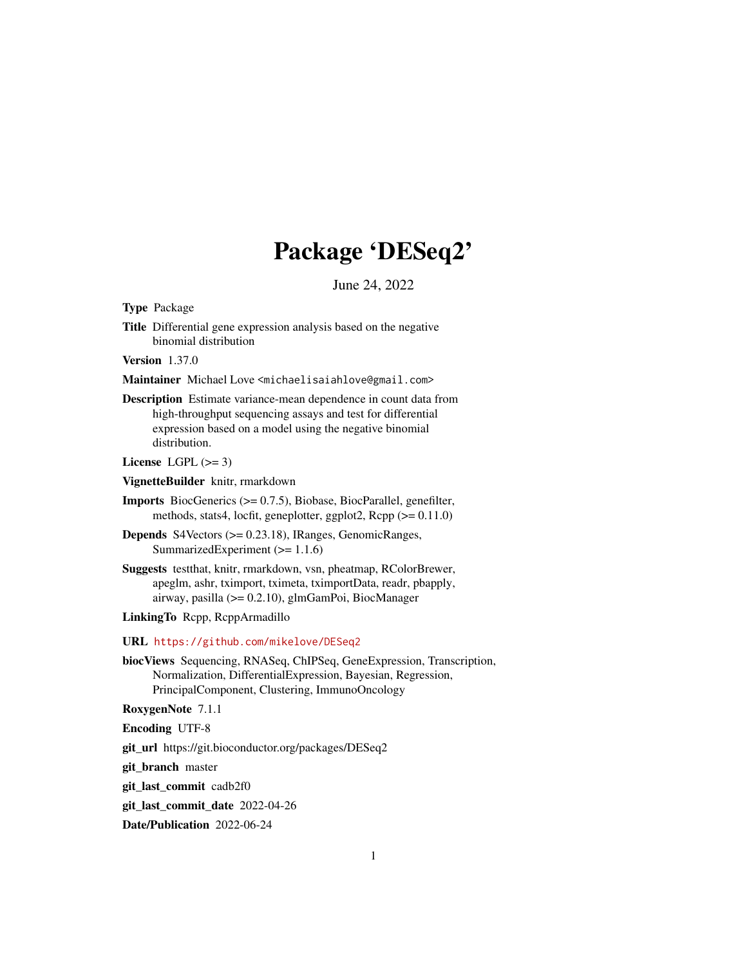# Package 'DESeq2'

June 24, 2022

<span id="page-0-0"></span>Type Package

Title Differential gene expression analysis based on the negative binomial distribution

Version 1.37.0

Maintainer Michael Love <michaelisaiahlove@gmail.com>

Description Estimate variance-mean dependence in count data from high-throughput sequencing assays and test for differential expression based on a model using the negative binomial distribution.

License LGPL  $(>= 3)$ 

VignetteBuilder knitr, rmarkdown

Imports BiocGenerics (>= 0.7.5), Biobase, BiocParallel, genefilter, methods, stats4, locfit, geneplotter, ggplot2, Rcpp (>= 0.11.0)

- Depends S4Vectors (>= 0.23.18), IRanges, GenomicRanges, SummarizedExperiment (>= 1.1.6)
- Suggests testthat, knitr, rmarkdown, vsn, pheatmap, RColorBrewer, apeglm, ashr, tximport, tximeta, tximportData, readr, pbapply, airway, pasilla (>= 0.2.10), glmGamPoi, BiocManager

LinkingTo Rcpp, RcppArmadillo

- URL <https://github.com/mikelove/DESeq2>
- biocViews Sequencing, RNASeq, ChIPSeq, GeneExpression, Transcription, Normalization, DifferentialExpression, Bayesian, Regression, PrincipalComponent, Clustering, ImmunoOncology

RoxygenNote 7.1.1

Encoding UTF-8

git\_url https://git.bioconductor.org/packages/DESeq2

git\_branch master

git\_last\_commit cadb2f0

git last commit date 2022-04-26

Date/Publication 2022-06-24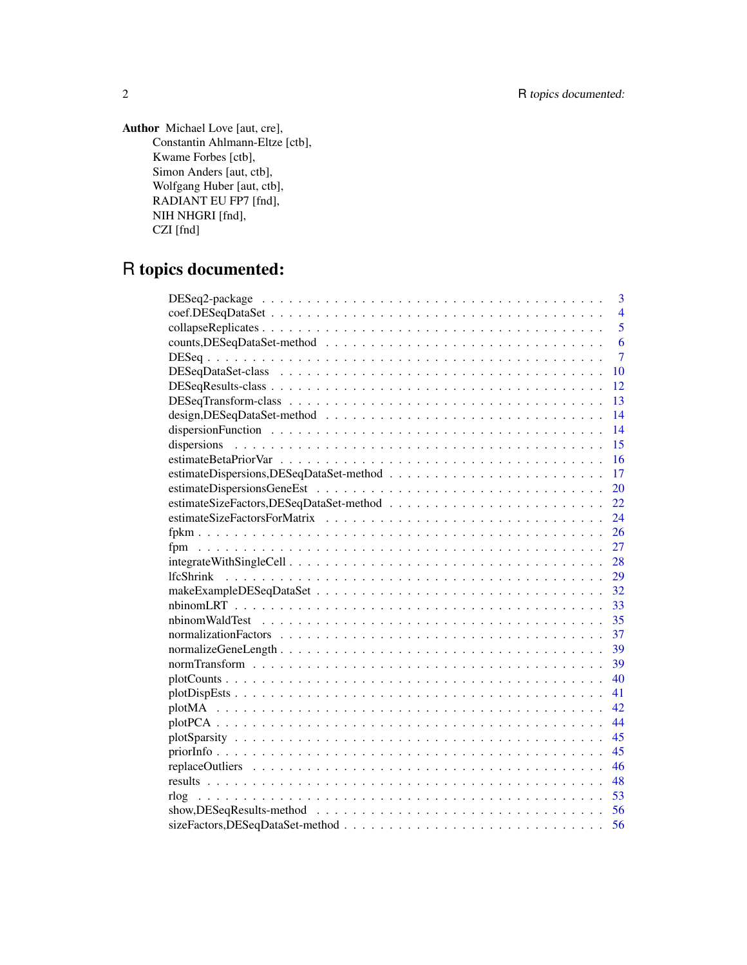Author Michael Love [aut, cre], Constantin Ahlmann-Eltze [ctb], Kwame Forbes [ctb], Simon Anders [aut, ctb], Wolfgang Huber [aut, ctb], RADIANT EU FP7 [fnd], NIH NHGRI [fnd], CZI [fnd]

# R topics documented:

| 3                                                                                                               |
|-----------------------------------------------------------------------------------------------------------------|
| $\overline{4}$                                                                                                  |
| 5                                                                                                               |
| 6                                                                                                               |
| $\overline{7}$                                                                                                  |
| 10                                                                                                              |
| 12                                                                                                              |
| 13                                                                                                              |
| 14                                                                                                              |
| 14                                                                                                              |
| 15                                                                                                              |
| 16                                                                                                              |
| 17                                                                                                              |
| 20                                                                                                              |
| 22                                                                                                              |
| 24                                                                                                              |
| 26                                                                                                              |
| 27                                                                                                              |
| 28                                                                                                              |
| 29                                                                                                              |
| 32                                                                                                              |
| 33                                                                                                              |
| 35                                                                                                              |
| 37                                                                                                              |
| 39                                                                                                              |
| 39                                                                                                              |
| 40                                                                                                              |
| 41                                                                                                              |
| 42                                                                                                              |
| 44                                                                                                              |
| 45                                                                                                              |
| 45                                                                                                              |
| 46                                                                                                              |
| 48                                                                                                              |
| 53                                                                                                              |
| $show, DESeqResults-method \dots \dots \dots \dots \dots \dots \dots \dots \dots \dots \dots \dots \dots$<br>56 |
| 56                                                                                                              |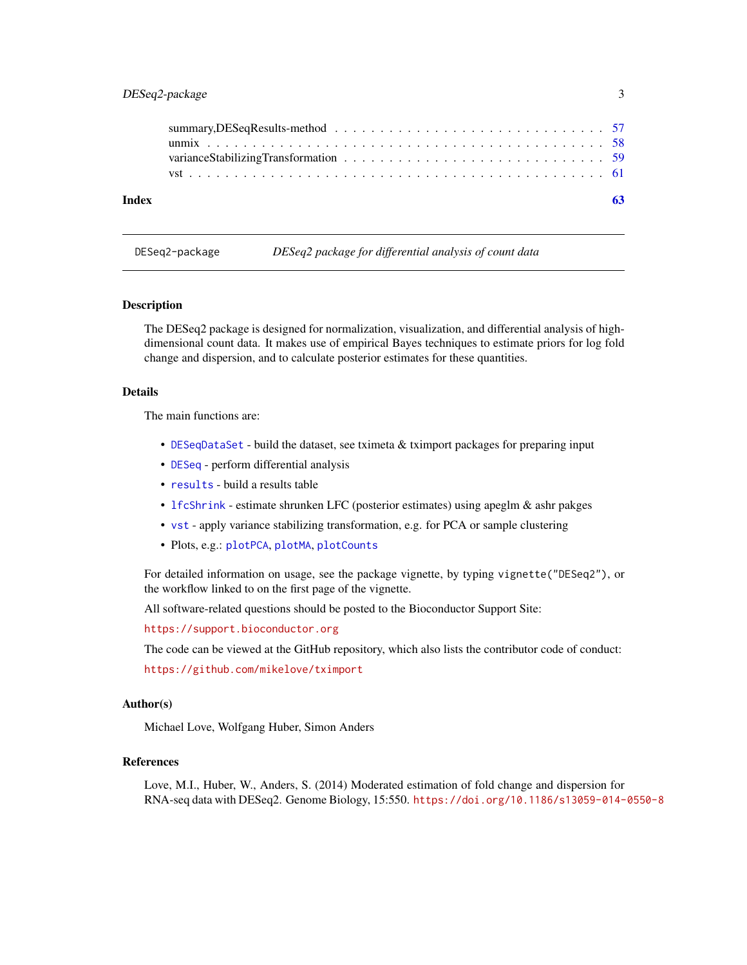# <span id="page-2-0"></span>DESeq2-package 3

| Index |  |
|-------|--|
|       |  |
|       |  |
|       |  |
|       |  |

DESeq2-package *DESeq2 package for differential analysis of count data*

#### **Description**

The DESeq2 package is designed for normalization, visualization, and differential analysis of highdimensional count data. It makes use of empirical Bayes techniques to estimate priors for log fold change and dispersion, and to calculate posterior estimates for these quantities.

#### Details

The main functions are:

- [DESeqDataSet](#page-9-1) build the dataset, see tximeta & tximport packages for preparing input
- [DESeq](#page-6-1) perform differential analysis
- [results](#page-47-1) build a results table
- [lfcShrink](#page-28-1) estimate shrunken LFC (posterior estimates) using apeglm & ashr pakges
- [vst](#page-60-1) apply variance stabilizing transformation, e.g. for PCA or sample clustering
- Plots, e.g.: [plotPCA](#page-43-1), [plotMA](#page-41-1), [plotCounts](#page-39-1)

For detailed information on usage, see the package vignette, by typing vignette("DESeq2"), or the workflow linked to on the first page of the vignette.

All software-related questions should be posted to the Bioconductor Support Site:

<https://support.bioconductor.org>

The code can be viewed at the GitHub repository, which also lists the contributor code of conduct:

<https://github.com/mikelove/tximport>

#### Author(s)

Michael Love, Wolfgang Huber, Simon Anders

#### References

Love, M.I., Huber, W., Anders, S. (2014) Moderated estimation of fold change and dispersion for RNA-seq data with DESeq2. Genome Biology, 15:550. <https://doi.org/10.1186/s13059-014-0550-8>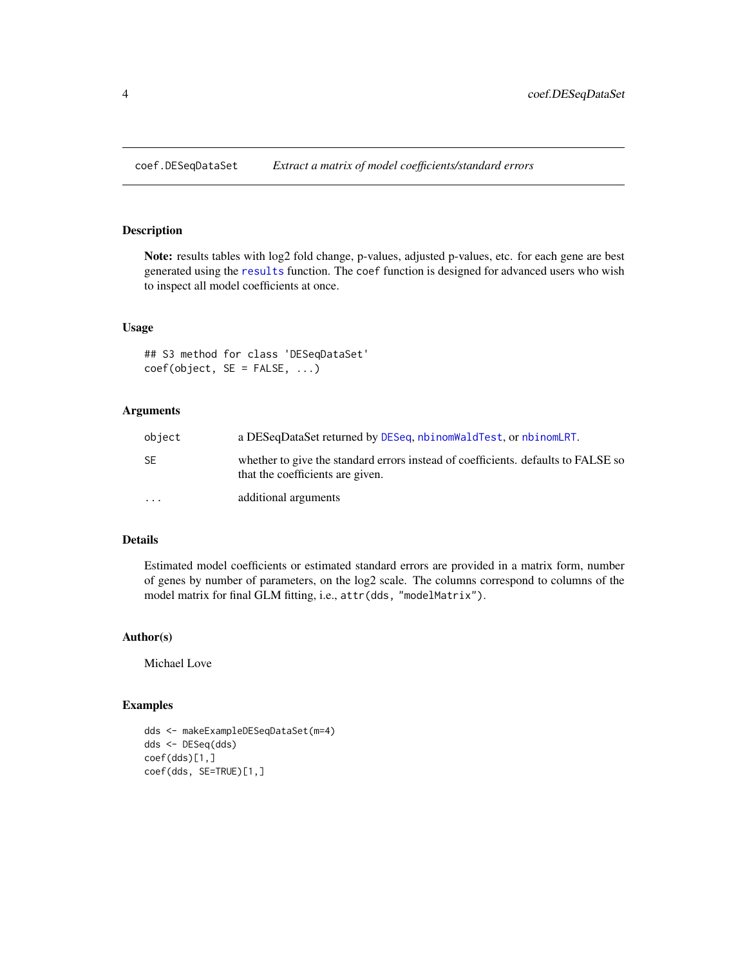<span id="page-3-0"></span>coef.DESeqDataSet *Extract a matrix of model coefficients/standard errors*

#### Description

Note: results tables with log2 fold change, p-values, adjusted p-values, etc. for each gene are best generated using the [results](#page-47-1) function. The coef function is designed for advanced users who wish to inspect all model coefficients at once.

# Usage

## S3 method for class 'DESeqDataSet'  $coef(object, SE = FALSE, ...)$ 

#### Arguments

| object    | a DESeqDataSet returned by DESeq, nbinomWaldTest, or nbinomLRT.                                                       |
|-----------|-----------------------------------------------------------------------------------------------------------------------|
| SE        | whether to give the standard errors instead of coefficients, defaults to FALSE so<br>that the coefficients are given. |
| $\ddotsc$ | additional arguments                                                                                                  |

# Details

Estimated model coefficients or estimated standard errors are provided in a matrix form, number of genes by number of parameters, on the log2 scale. The columns correspond to columns of the model matrix for final GLM fitting, i.e., attr(dds, "modelMatrix").

# Author(s)

Michael Love

# Examples

```
dds <- makeExampleDESeqDataSet(m=4)
dds <- DESeq(dds)
coef(dds)[1,]
coef(dds, SE=TRUE)[1,]
```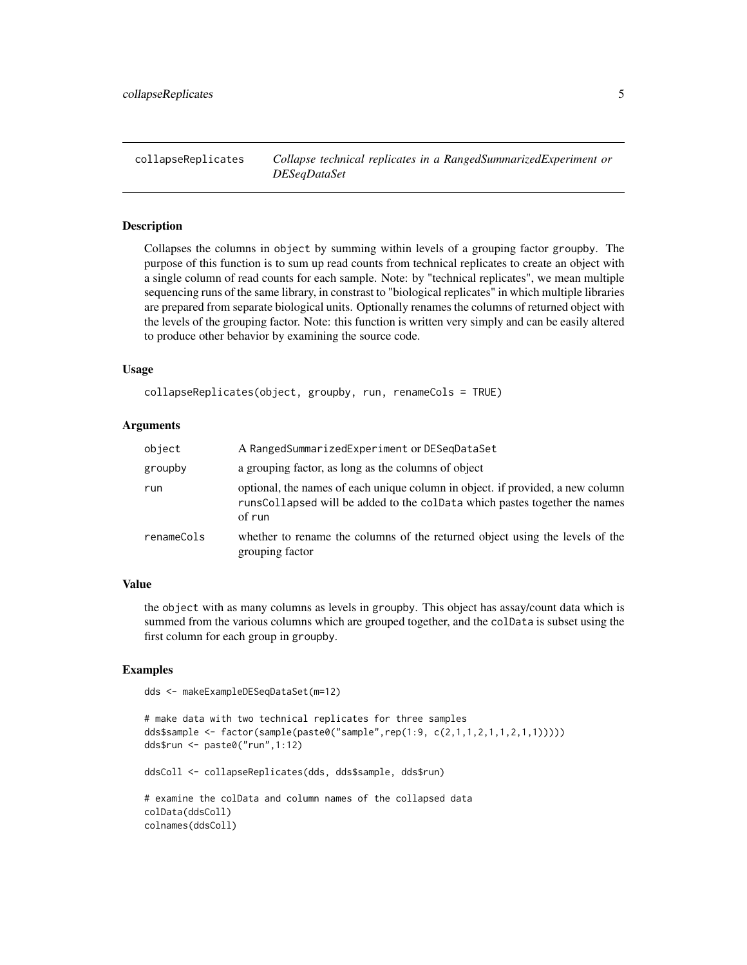<span id="page-4-0"></span>collapseReplicates *Collapse technical replicates in a RangedSummarizedExperiment or DESeqDataSet*

#### **Description**

Collapses the columns in object by summing within levels of a grouping factor groupby. The purpose of this function is to sum up read counts from technical replicates to create an object with a single column of read counts for each sample. Note: by "technical replicates", we mean multiple sequencing runs of the same library, in constrast to "biological replicates" in which multiple libraries are prepared from separate biological units. Optionally renames the columns of returned object with the levels of the grouping factor. Note: this function is written very simply and can be easily altered to produce other behavior by examining the source code.

#### Usage

```
collapseReplicates(object, groupby, run, renameCols = TRUE)
```
#### Arguments

| object     | A RangedSummarizedExperiment or DESegDataSet                                                                                                                           |
|------------|------------------------------------------------------------------------------------------------------------------------------------------------------------------------|
| groupby    | a grouping factor, as long as the columns of object                                                                                                                    |
| run        | optional, the names of each unique column in object. if provided, a new column<br>runsCollapsed will be added to the colData which pastes together the names<br>of run |
| renameCols | whether to rename the columns of the returned object using the levels of the<br>grouping factor                                                                        |

#### Value

the object with as many columns as levels in groupby. This object has assay/count data which is summed from the various columns which are grouped together, and the colData is subset using the first column for each group in groupby.

#### Examples

```
dds <- makeExampleDESeqDataSet(m=12)
```

```
# make data with two technical replicates for three samples
dds$sample <- factor(sample(paste0("sample",rep(1:9, c(2,1,1,2,1,1,2,1,1)))))
dds$run <- paste0("run",1:12)
ddsColl <- collapseReplicates(dds, dds$sample, dds$run)
# examine the colData and column names of the collapsed data
colData(ddsColl)
colnames(ddsColl)
```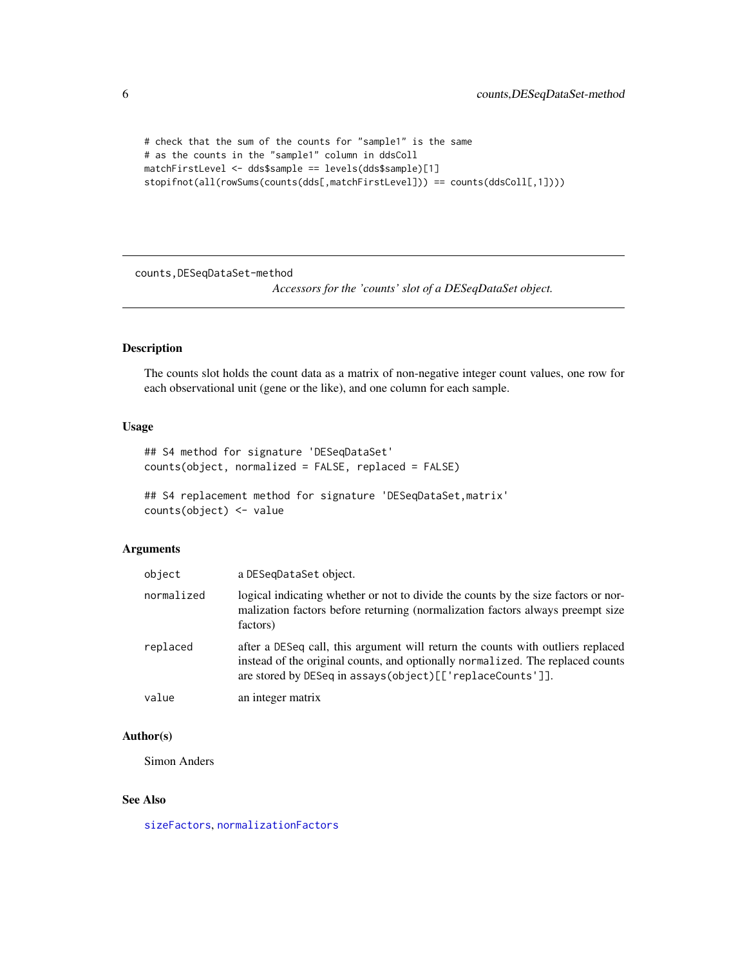```
# check that the sum of the counts for "sample1" is the same
# as the counts in the "sample1" column in ddsColl
matchFirstLevel <- dds$sample == levels(dds$sample)[1]
stopifnot(all(rowSums(counts(dds[,matchFirstLevel])) == counts(ddsColl[,1])))
```
counts,DESeqDataSet-method

*Accessors for the 'counts' slot of a DESeqDataSet object.*

# Description

The counts slot holds the count data as a matrix of non-negative integer count values, one row for each observational unit (gene or the like), and one column for each sample.

# Usage

```
## S4 method for signature 'DESeqDataSet'
counts(object, normalized = FALSE, replaced = FALSE)
## S4 replacement method for signature 'DESeqDataSet,matrix'
counts(object) <- value
```
# Arguments

| object     | a DESegDataSet object.                                                                                                                                                                                                         |
|------------|--------------------------------------------------------------------------------------------------------------------------------------------------------------------------------------------------------------------------------|
| normalized | logical indicating whether or not to divide the counts by the size factors or nor-<br>malization factors before returning (normalization factors always preempt size<br>factors)                                               |
| replaced   | after a DESeq call, this argument will return the counts with outliers replaced<br>instead of the original counts, and optionally normalized. The replaced counts<br>are stored by DESeq in assays(object)[['replaceCounts']]. |
| value      | an integer matrix                                                                                                                                                                                                              |

# Author(s)

Simon Anders

#### See Also

[sizeFactors](#page-0-0), [normalizationFactors](#page-36-1)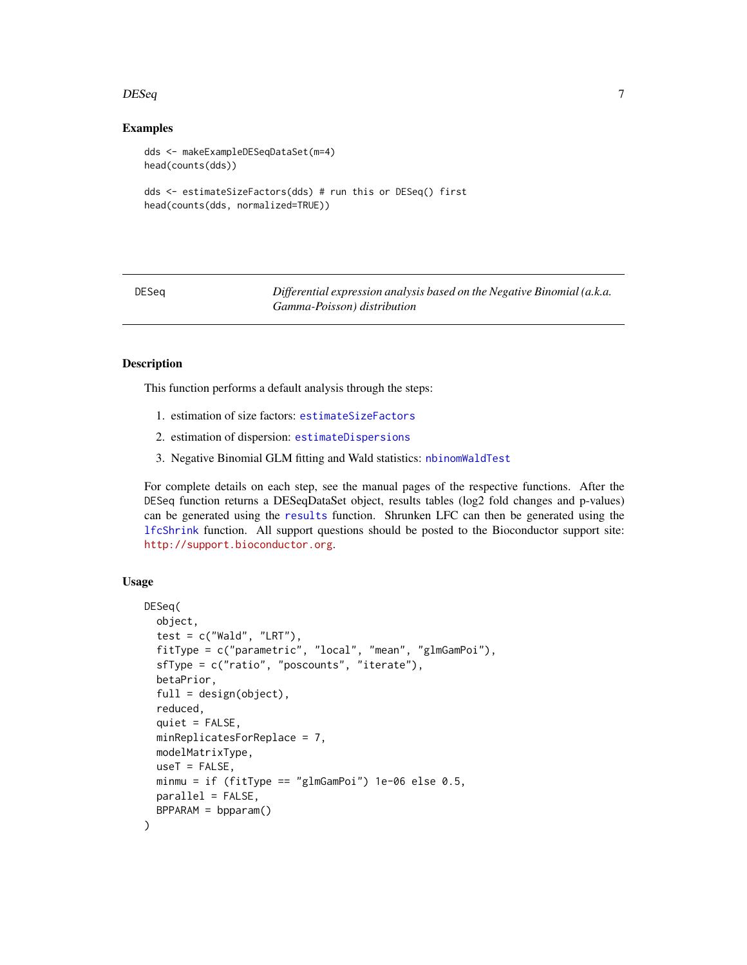#### <span id="page-6-0"></span> $DESeq$  and  $7$

#### Examples

```
dds <- makeExampleDESeqDataSet(m=4)
head(counts(dds))
dds <- estimateSizeFactors(dds) # run this or DESeq() first
head(counts(dds, normalized=TRUE))
```
<span id="page-6-1"></span>DESeq *Differential expression analysis based on the Negative Binomial (a.k.a. Gamma-Poisson) distribution*

#### Description

This function performs a default analysis through the steps:

- 1. estimation of size factors: [estimateSizeFactors](#page-0-0)
- 2. estimation of dispersion: [estimateDispersions](#page-0-0)
- 3. Negative Binomial GLM fitting and Wald statistics: [nbinomWaldTest](#page-34-1)

For complete details on each step, see the manual pages of the respective functions. After the DESeq function returns a DESeqDataSet object, results tables (log2 fold changes and p-values) can be generated using the [results](#page-47-1) function. Shrunken LFC can then be generated using the [lfcShrink](#page-28-1) function. All support questions should be posted to the Bioconductor support site: <http://support.bioconductor.org>.

#### Usage

```
DESeq(
  object,
  test = c("Wald", "LRT"),fitType = c("parametric", "local", "mean", "glmGamPoi"),
  sfType = c("ratio", "poscounts", "iterate"),
  betaPrior,
  full = design(object),
  reduced,
  quiet = FALSE,minReplicatesForReplace = 7,
  modelMatrixType,
  useT = FALSE,
  minmu = if (fitType == "glmGamPoi") 1e-06 else 0.5,
  parallel = FALSE,
  BPPARAM = bpparam()
)
```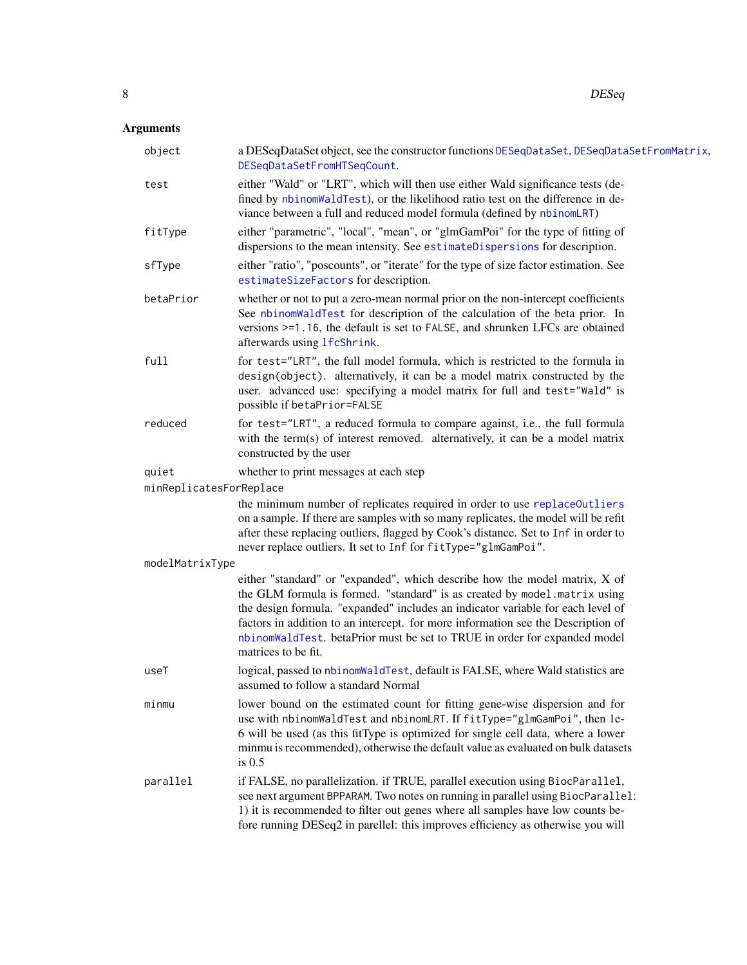# <span id="page-7-0"></span>Arguments

| object                  | a DESeqDataSet object, see the constructor functions DESeqDataSet, DESeqDataSetFromMatrix,<br>DESeqDataSetFromHTSeqCount.                                                                                                                                                                                                                                                                                                          |
|-------------------------|------------------------------------------------------------------------------------------------------------------------------------------------------------------------------------------------------------------------------------------------------------------------------------------------------------------------------------------------------------------------------------------------------------------------------------|
| test                    | either "Wald" or "LRT", which will then use either Wald significance tests (de-<br>fined by nbinomWaldTest), or the likelihood ratio test on the difference in de-<br>viance between a full and reduced model formula (defined by nbinomLRT)                                                                                                                                                                                       |
| fitType                 | either "parametric", "local", "mean", or "glmGamPoi" for the type of fitting of<br>dispersions to the mean intensity. See estimateDispersions for description.                                                                                                                                                                                                                                                                     |
| sfType                  | either "ratio", "poscounts", or "iterate" for the type of size factor estimation. See<br>estimateSizeFactors for description.                                                                                                                                                                                                                                                                                                      |
| betaPrior               | whether or not to put a zero-mean normal prior on the non-intercept coefficients<br>See nbinomWaldTest for description of the calculation of the beta prior. In<br>versions >=1.16, the default is set to FALSE, and shrunken LFCs are obtained<br>afterwards using 1fcShrink.                                                                                                                                                     |
| full                    | for test="LRT", the full model formula, which is restricted to the formula in<br>design(object). alternatively, it can be a model matrix constructed by the<br>user. advanced use: specifying a model matrix for full and test="Wald" is<br>possible if betaPrior=FALSE                                                                                                                                                            |
| reduced                 | for test="LRT", a reduced formula to compare against, i.e., the full formula<br>with the term(s) of interest removed. alternatively, it can be a model matrix<br>constructed by the user                                                                                                                                                                                                                                           |
| quiet                   | whether to print messages at each step                                                                                                                                                                                                                                                                                                                                                                                             |
| minReplicatesForReplace |                                                                                                                                                                                                                                                                                                                                                                                                                                    |
|                         | the minimum number of replicates required in order to use replaceOutliers<br>on a sample. If there are samples with so many replicates, the model will be refit<br>after these replacing outliers, flagged by Cook's distance. Set to Inf in order to<br>never replace outliers. It set to Inf for fitType="glmGamPoi".                                                                                                            |
| modelMatrixType         |                                                                                                                                                                                                                                                                                                                                                                                                                                    |
|                         | either "standard" or "expanded", which describe how the model matrix, X of<br>the GLM formula is formed. "standard" is as created by model.matrix using<br>the design formula. "expanded" includes an indicator variable for each level of<br>factors in addition to an intercept. for more information see the Description of<br>nbinomWaldTest. betaPrior must be set to TRUE in order for expanded model<br>matrices to be fit. |
| useT                    | logical, passed to nbinomWaldTest, default is FALSE, where Wald statistics are<br>assumed to follow a standard Normal                                                                                                                                                                                                                                                                                                              |
| minmu                   | lower bound on the estimated count for fitting gene-wise dispersion and for<br>use with nbinomWaldTest and nbinomLRT. If fitType="glmGamPoi", then le-<br>6 will be used (as this fitType is optimized for single cell data, where a lower<br>minmu is recommended), otherwise the default value as evaluated on bulk datasets<br>is $0.5$                                                                                         |
| parallel                | if FALSE, no parallelization. if TRUE, parallel execution using BiocParallel,<br>see next argument BPPARAM. Two notes on running in parallel using BiocParallel:<br>1) it is recommended to filter out genes where all samples have low counts be-<br>fore running DESeq2 in parellel: this improves efficiency as otherwise you will                                                                                              |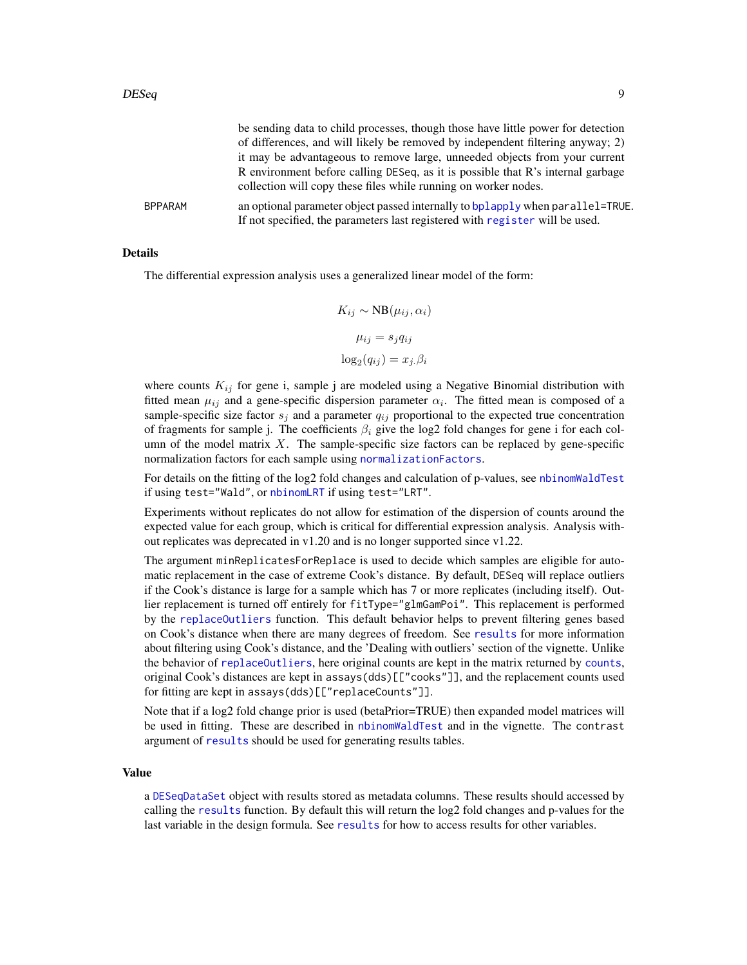<span id="page-8-0"></span>

|                | be sending data to child processes, though those have little power for detection<br>of differences, and will likely be removed by independent filtering anyway; 2) |
|----------------|--------------------------------------------------------------------------------------------------------------------------------------------------------------------|
|                | it may be advantageous to remove large, unneeded objects from your current                                                                                         |
|                | R environment before calling DESeq, as it is possible that R's internal garbage<br>collection will copy these files while running on worker nodes.                 |
| <b>BPPARAM</b> | an optional parameter object passed internally to bplapply when parallel=TRUE.<br>If not specified, the parameters last registered with register will be used.     |

#### Details

The differential expression analysis uses a generalized linear model of the form:

$$
K_{ij} \sim NB(\mu_{ij}, \alpha_i)
$$

$$
\mu_{ij} = s_j q_{ij}
$$

$$
\log_2(q_{ij}) = x_j \beta_i
$$

where counts  $K_{ij}$  for gene i, sample j are modeled using a Negative Binomial distribution with fitted mean  $\mu_{ij}$  and a gene-specific dispersion parameter  $\alpha_i$ . The fitted mean is composed of a sample-specific size factor  $s_j$  and a parameter  $q_{ij}$  proportional to the expected true concentration of fragments for sample j. The coefficients  $\beta_i$  give the log2 fold changes for gene i for each column of the model matrix  $X$ . The sample-specific size factors can be replaced by gene-specific normalization factors for each sample using [normalizationFactors](#page-36-1).

For details on the fitting of the log2 fold changes and calculation of p-values, see [nbinomWaldTest](#page-34-1) if using test="Wald", or [nbinomLRT](#page-32-1) if using test="LRT".

Experiments without replicates do not allow for estimation of the dispersion of counts around the expected value for each group, which is critical for differential expression analysis. Analysis without replicates was deprecated in v1.20 and is no longer supported since v1.22.

The argument minReplicatesForReplace is used to decide which samples are eligible for automatic replacement in the case of extreme Cook's distance. By default, DESeq will replace outliers if the Cook's distance is large for a sample which has 7 or more replicates (including itself). Outlier replacement is turned off entirely for fitType="glmGamPoi". This replacement is performed by the [replaceOutliers](#page-45-1) function. This default behavior helps to prevent filtering genes based on Cook's distance when there are many degrees of freedom. See [results](#page-47-1) for more information about filtering using Cook's distance, and the 'Dealing with outliers' section of the vignette. Unlike the behavior of [replaceOutliers](#page-45-1), here original counts are kept in the matrix returned by [counts](#page-0-0), original Cook's distances are kept in assays(dds)[["cooks"]], and the replacement counts used for fitting are kept in assays(dds)[["replaceCounts"]].

Note that if a log2 fold change prior is used (betaPrior=TRUE) then expanded model matrices will be used in fitting. These are described in [nbinomWaldTest](#page-34-1) and in the vignette. The contrast argument of [results](#page-47-1) should be used for generating results tables.

#### Value

a [DESeqDataSet](#page-9-1) object with results stored as metadata columns. These results should accessed by calling the [results](#page-47-1) function. By default this will return the log2 fold changes and p-values for the last variable in the design formula. See [results](#page-47-1) for how to access results for other variables.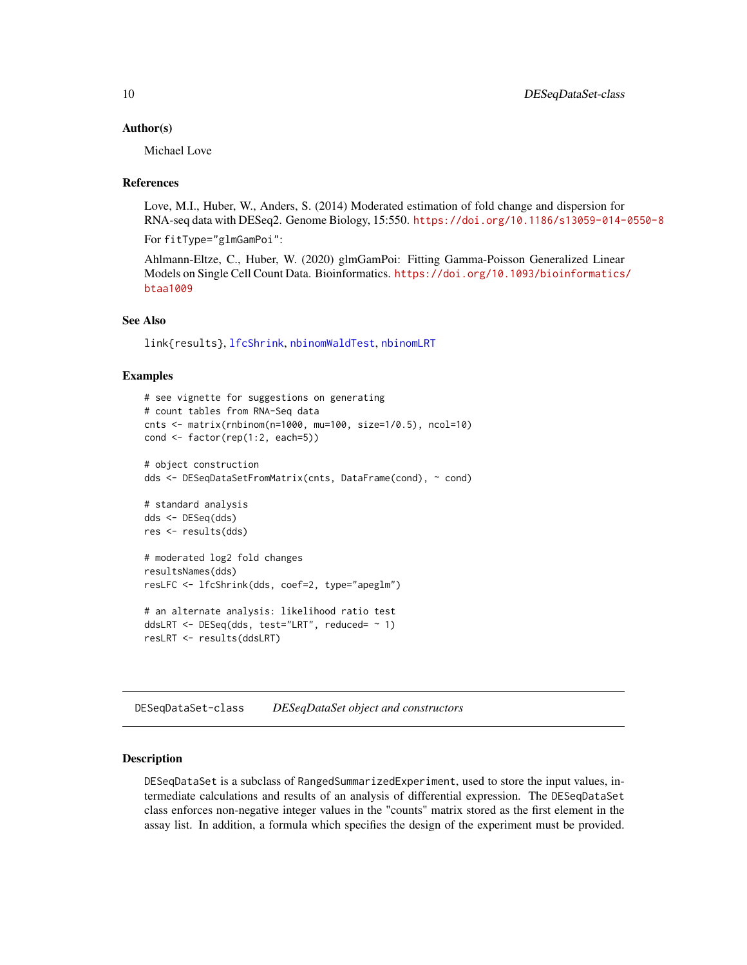#### <span id="page-9-0"></span>Author(s)

Michael Love

#### References

Love, M.I., Huber, W., Anders, S. (2014) Moderated estimation of fold change and dispersion for RNA-seq data with DESeq2. Genome Biology, 15:550. <https://doi.org/10.1186/s13059-014-0550-8>

For fitType="glmGamPoi":

Ahlmann-Eltze, C., Huber, W. (2020) glmGamPoi: Fitting Gamma-Poisson Generalized Linear Models on Single Cell Count Data. Bioinformatics. [https://doi.org/10.1093/bioinformatics/](https://doi.org/10.1093/bioinformatics/btaa1009) [btaa1009](https://doi.org/10.1093/bioinformatics/btaa1009)

# See Also

link{results}, [lfcShrink](#page-28-1), [nbinomWaldTest](#page-34-1), [nbinomLRT](#page-32-1)

#### Examples

```
# see vignette for suggestions on generating
# count tables from RNA-Seq data
cnts <- matrix(rnbinom(n=1000, mu=100, size=1/0.5), ncol=10)
cond <- factor(rep(1:2, each=5))
# object construction
dds <- DESeqDataSetFromMatrix(cnts, DataFrame(cond), ~ cond)
# standard analysis
dds <- DESeq(dds)
res <- results(dds)
# moderated log2 fold changes
resultsNames(dds)
resLFC <- lfcShrink(dds, coef=2, type="apeglm")
# an alternate analysis: likelihood ratio test
ddsLRT <- DESeq(dds, test="LRT", reduced= ~ 1)
resLRT <- results(ddsLRT)
```
DESeqDataSet-class *DESeqDataSet object and constructors*

#### <span id="page-9-1"></span>Description

DESeqDataSet is a subclass of RangedSummarizedExperiment, used to store the input values, intermediate calculations and results of an analysis of differential expression. The DESeqDataSet class enforces non-negative integer values in the "counts" matrix stored as the first element in the assay list. In addition, a formula which specifies the design of the experiment must be provided.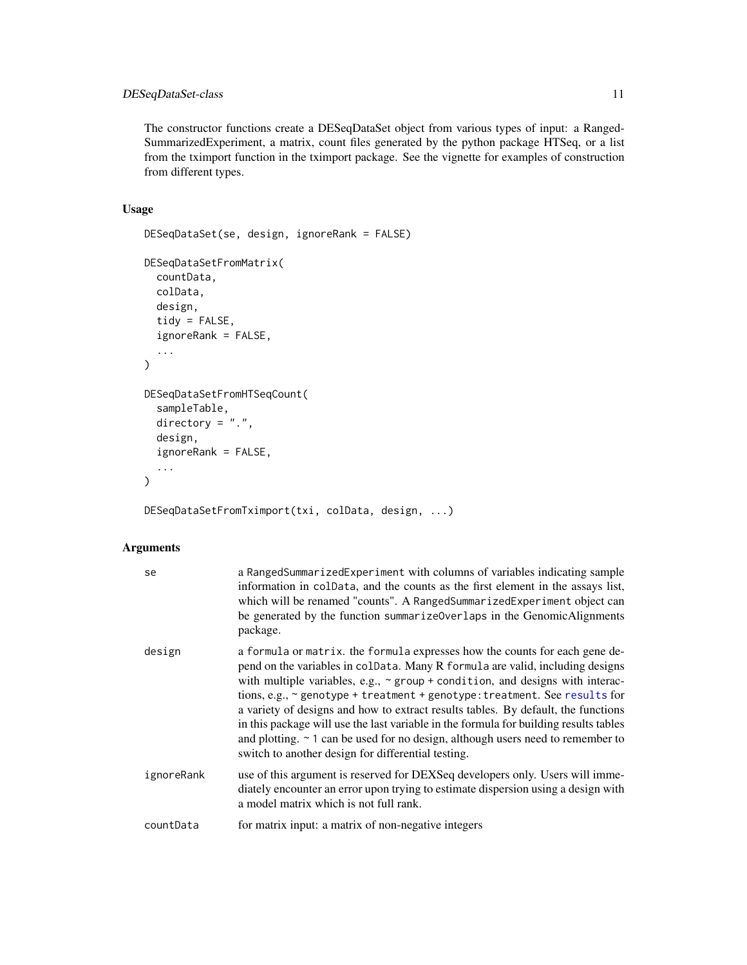# <span id="page-10-0"></span>DESeqDataSet-class 11

The constructor functions create a DESeqDataSet object from various types of input: a Ranged-SummarizedExperiment, a matrix, count files generated by the python package HTSeq, or a list from the tximport function in the tximport package. See the vignette for examples of construction from different types.

# Usage

```
DESeqDataSet(se, design, ignoreRank = FALSE)
DESeqDataSetFromMatrix(
  countData,
  colData,
  design,
  tidy = FALSE,
  ignoreRank = FALSE,
  ...
\mathcal{L}DESeqDataSetFromHTSeqCount(
  sampleTable,
  directory = ".".design,
  ignoreRank = FALSE,
  ...
\mathcal{L}
```
DESeqDataSetFromTximport(txi, colData, design, ...)

# Arguments

| se         | a RangedSummarizedExperiment with columns of variables indicating sample<br>information in colData, and the counts as the first element in the assays list,<br>which will be renamed "counts". A RangedSummarizedExperiment object can<br>be generated by the function summarize0verlaps in the GenomicAlignments<br>package.                                                                                                                                                                                                                                                                                                                                |
|------------|--------------------------------------------------------------------------------------------------------------------------------------------------------------------------------------------------------------------------------------------------------------------------------------------------------------------------------------------------------------------------------------------------------------------------------------------------------------------------------------------------------------------------------------------------------------------------------------------------------------------------------------------------------------|
| design     | a formula or matrix, the formula expresses how the counts for each gene de-<br>pend on the variables in coldata. Many R formula are valid, including designs<br>with multiple variables, e.g., $\sim$ group + condition, and designs with interac-<br>tions, e.g., ~ genotype + treatment + genotype: treatment. See results for<br>a variety of designs and how to extract results tables. By default, the functions<br>in this package will use the last variable in the formula for building results tables<br>and plotting. $\sim$ 1 can be used for no design, although users need to remember to<br>switch to another design for differential testing. |
| ignoreRank | use of this argument is reserved for DEXSeq developers only. Users will imme-<br>diately encounter an error upon trying to estimate dispersion using a design with<br>a model matrix which is not full rank.                                                                                                                                                                                                                                                                                                                                                                                                                                                 |
| countData  | for matrix input: a matrix of non-negative integers                                                                                                                                                                                                                                                                                                                                                                                                                                                                                                                                                                                                          |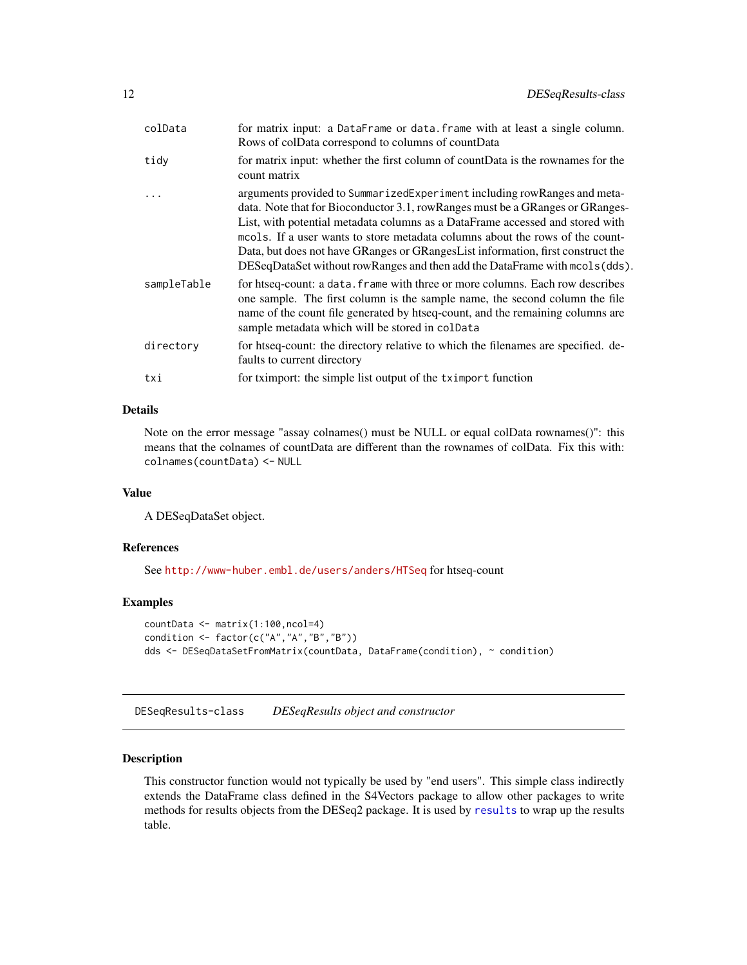<span id="page-11-0"></span>

| colData     | for matrix input: a DataFrame or data. frame with at least a single column.<br>Rows of colData correspond to columns of countData                                                                                                                                                                                                                                                                                                                                                             |
|-------------|-----------------------------------------------------------------------------------------------------------------------------------------------------------------------------------------------------------------------------------------------------------------------------------------------------------------------------------------------------------------------------------------------------------------------------------------------------------------------------------------------|
| tidy        | for matrix input: whether the first column of countData is the rownames for the<br>count matrix                                                                                                                                                                                                                                                                                                                                                                                               |
|             | arguments provided to SummarizedExperiment including rowRanges and meta-<br>data. Note that for Bioconductor 3.1, rowRanges must be a GRanges or GRanges-<br>List, with potential metadata columns as a DataFrame accessed and stored with<br>mools. If a user wants to store metadata columns about the rows of the count-<br>Data, but does not have GRanges or GRanges List information, first construct the<br>DESeqDataSet without rowRanges and then add the DataFrame with mcols(dds). |
| sampleTable | for htseq-count: a data. frame with three or more columns. Each row describes<br>one sample. The first column is the sample name, the second column the file<br>name of the count file generated by htseq-count, and the remaining columns are<br>sample metadata which will be stored in colData                                                                                                                                                                                             |
| directory   | for htseq-count: the directory relative to which the filenames are specified. de-<br>faults to current directory                                                                                                                                                                                                                                                                                                                                                                              |
| txi         | for tximport: the simple list output of the tximport function                                                                                                                                                                                                                                                                                                                                                                                                                                 |

# Details

Note on the error message "assay colnames() must be NULL or equal colData rownames()": this means that the colnames of countData are different than the rownames of colData. Fix this with: colnames(countData) <- NULL

#### Value

A DESeqDataSet object.

# References

See <http://www-huber.embl.de/users/anders/HTSeq> for htseq-count

# Examples

```
countData <- matrix(1:100,ncol=4)
condition <- factor(c("A","A","B","B"))
dds <- DESeqDataSetFromMatrix(countData, DataFrame(condition), ~ condition)
```
DESeqResults-class *DESeqResults object and constructor*

# <span id="page-11-1"></span>Description

This constructor function would not typically be used by "end users". This simple class indirectly extends the DataFrame class defined in the S4Vectors package to allow other packages to write methods for results objects from the DESeq2 package. It is used by [results](#page-47-1) to wrap up the results table.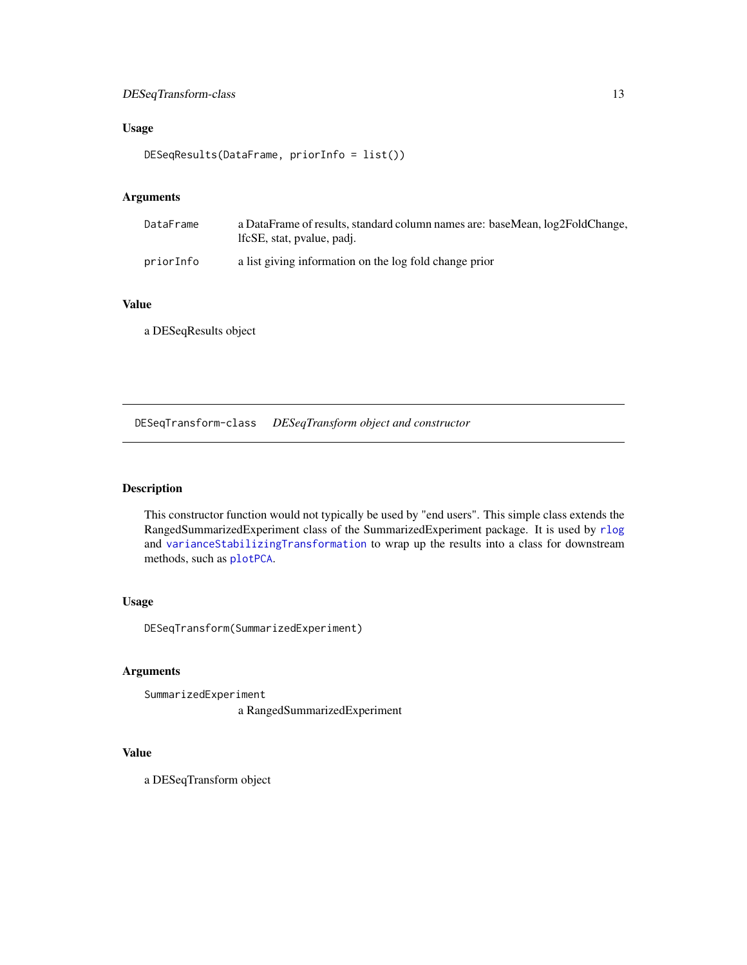# <span id="page-12-0"></span>DESeqTransform-class 13

# Usage

DESeqResults(DataFrame, priorInfo = list())

# Arguments

| DataFrame | a DataFrame of results, standard column names are: baseMean, log2FoldChange,<br>lfcSE, stat, pvalue, padi. |
|-----------|------------------------------------------------------------------------------------------------------------|
| priorInfo | a list giving information on the log fold change prior                                                     |

# Value

a DESeqResults object

DESeqTransform-class *DESeqTransform object and constructor*

# <span id="page-12-1"></span>Description

This constructor function would not typically be used by "end users". This simple class extends the RangedSummarizedExperiment class of the SummarizedExperiment package. It is used by [rlog](#page-52-1) and [varianceStabilizingTransformation](#page-58-1) to wrap up the results into a class for downstream methods, such as [plotPCA](#page-43-1).

# Usage

DESeqTransform(SummarizedExperiment)

# Arguments

SummarizedExperiment a RangedSummarizedExperiment

# Value

a DESeqTransform object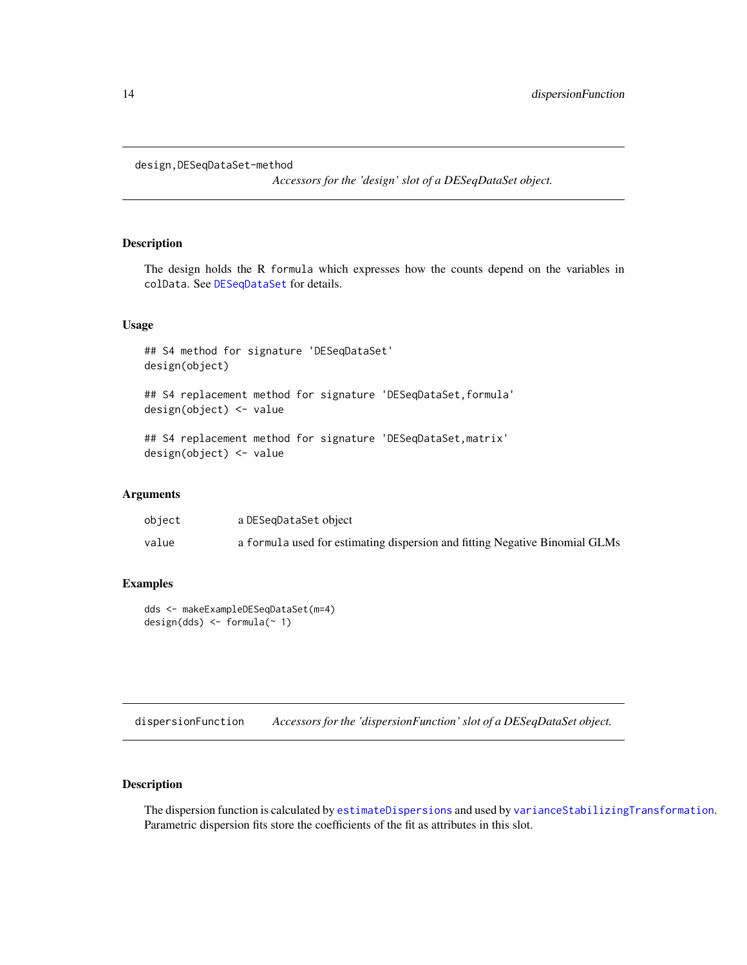```
design,DESeqDataSet-method
```
*Accessors for the 'design' slot of a DESeqDataSet object.*

# Description

The design holds the R formula which expresses how the counts depend on the variables in colData. See [DESeqDataSet](#page-9-1) for details.

#### Usage

## S4 method for signature 'DESeqDataSet' design(object)

## S4 replacement method for signature 'DESeqDataSet, formula' design(object) <- value

## S4 replacement method for signature 'DESeqDataSet, matrix' design(object) <- value

#### Arguments

| object | a DESegDataSet object                                                       |
|--------|-----------------------------------------------------------------------------|
| value  | a formula used for estimating dispersion and fitting Negative Binomial GLMs |

# Examples

```
dds <- makeExampleDESeqDataSet(m=4)
design(dds) \leq fromula(\sim 1)
```
<span id="page-13-1"></span>dispersionFunction *Accessors for the 'dispersionFunction' slot of a DESeqDataSet object.*

# Description

The dispersion function is calculated by [estimateDispersions](#page-0-0) and used by [varianceStabilizingTransformation](#page-58-1). Parametric dispersion fits store the coefficients of the fit as attributes in this slot.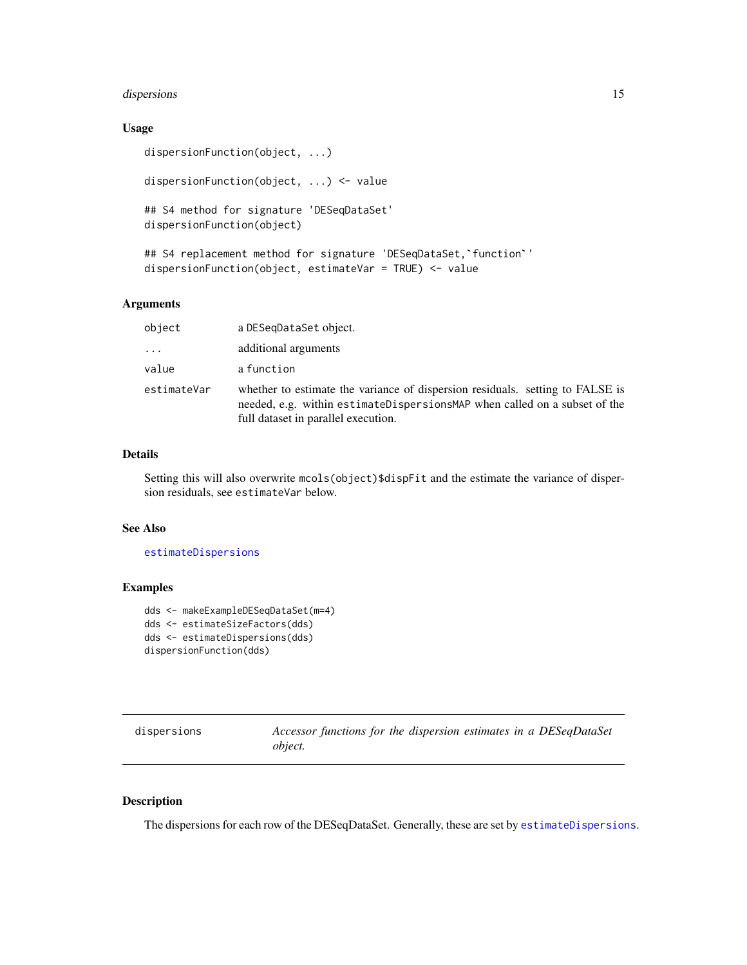# <span id="page-14-0"></span>dispersions 15

# Usage

```
dispersionFunction(object, ...)
```
dispersionFunction(object, ...) <- value

## S4 method for signature 'DESeqDataSet' dispersionFunction(object)

```
## S4 replacement method for signature 'DESeqDataSet, `function''
dispersionFunction(object, estimateVar = TRUE) <- value
```
# Arguments

| object      | a DESegDataSet object.                                                                                                                                                                            |
|-------------|---------------------------------------------------------------------------------------------------------------------------------------------------------------------------------------------------|
| .           | additional arguments                                                                                                                                                                              |
| value       | a function                                                                                                                                                                                        |
| estimateVar | whether to estimate the variance of dispersion residuals. setting to FALSE is<br>needed, e.g. within estimateDispersionsMAP when called on a subset of the<br>full dataset in parallel execution. |

#### Details

Setting this will also overwrite mcols(object)\$dispFit and the estimate the variance of dispersion residuals, see estimateVar below.

#### See Also

#### [estimateDispersions](#page-0-0)

# Examples

```
dds <- makeExampleDESeqDataSet(m=4)
dds <- estimateSizeFactors(dds)
dds <- estimateDispersions(dds)
dispersionFunction(dds)
```
<span id="page-14-1"></span>

| dispersions | Accessor functions for the dispersion estimates in a DESeqDataSet |
|-------------|-------------------------------------------------------------------|
|             | obiect.                                                           |

### Description

The dispersions for each row of the DESeqDataSet. Generally, these are set by [estimateDispersions](#page-0-0).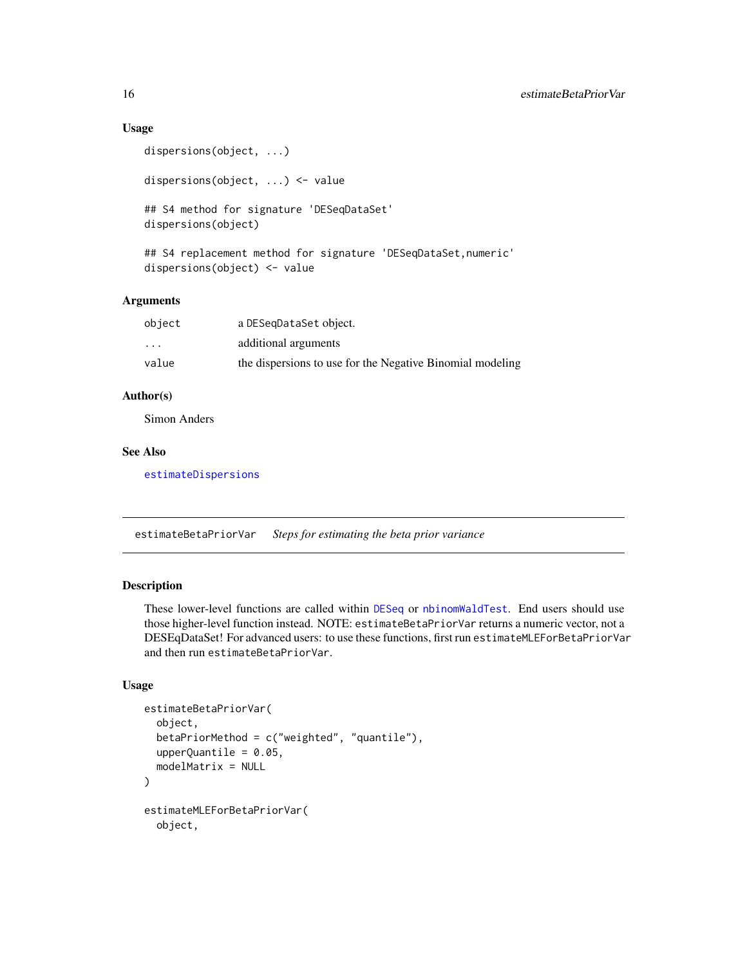# Usage

```
dispersions(object, ...)
dispersions(object, ...) <- value
## S4 method for signature 'DESeqDataSet'
dispersions(object)
## S4 replacement method for signature 'DESeqDataSet, numeric'
```
#### Arguments

| object                  | a DESegDataSet object.                                    |
|-------------------------|-----------------------------------------------------------|
| $\cdot$ $\cdot$ $\cdot$ | additional arguments                                      |
| value                   | the dispersions to use for the Negative Binomial modeling |

# Author(s)

Simon Anders

# See Also

[estimateDispersions](#page-0-0)

dispersions(object) <- value

<span id="page-15-1"></span>estimateBetaPriorVar *Steps for estimating the beta prior variance*

# Description

These lower-level functions are called within [DESeq](#page-6-1) or [nbinomWaldTest](#page-34-1). End users should use those higher-level function instead. NOTE: estimateBetaPriorVar returns a numeric vector, not a DESEqDataSet! For advanced users: to use these functions, first run estimateMLEForBetaPriorVar and then run estimateBetaPriorVar.

#### Usage

```
estimateBetaPriorVar(
  object,
 betaPriorMethod = c("weighted", "quantile"),
  upperQuantile = 0.05,
 modelMatrix = NULL)
estimateMLEForBetaPriorVar(
 object,
```
<span id="page-15-0"></span>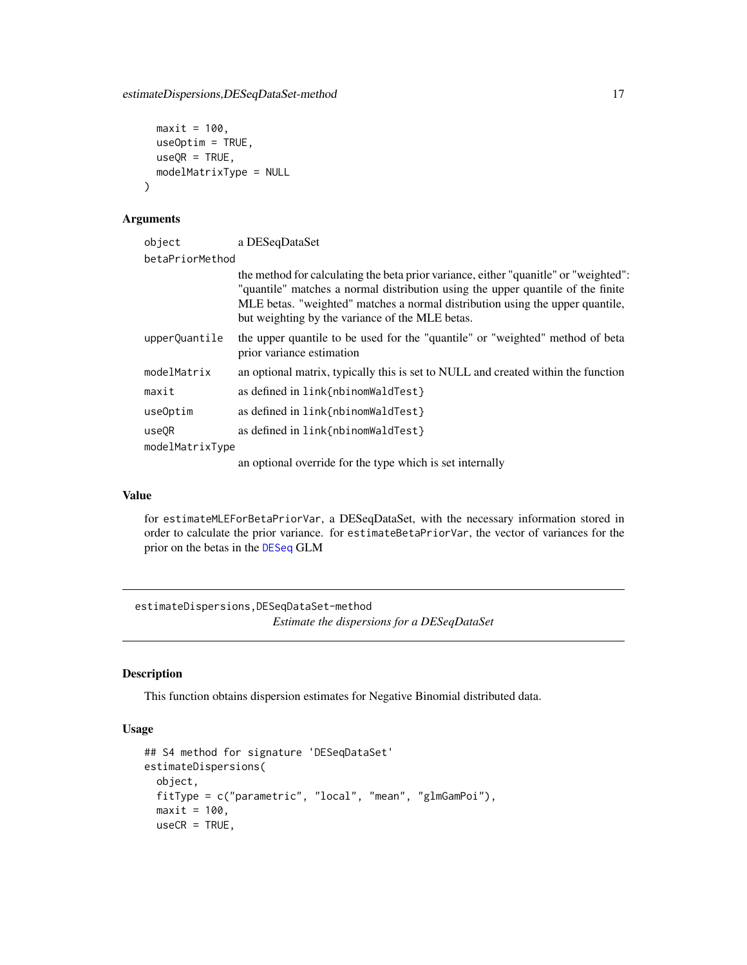```
maxit = 100,
 useOption = TRUE,useQR = TRUE,modelMatrixType = NULL
)
```
### Arguments

| object            | a DESeqDataSet                                                                                                                                                                                                                                                                                              |
|-------------------|-------------------------------------------------------------------------------------------------------------------------------------------------------------------------------------------------------------------------------------------------------------------------------------------------------------|
| betaPriorMethod   |                                                                                                                                                                                                                                                                                                             |
|                   | the method for calculating the beta prior variance, either "quanitle" or "weighted":<br>"quantile" matches a normal distribution using the upper quantile of the finite<br>MLE betas. "weighted" matches a normal distribution using the upper quantile,<br>but weighting by the variance of the MLE betas. |
| upperQuantile     | the upper quantile to be used for the "quantile" or "weighted" method of beta<br>prior variance estimation                                                                                                                                                                                                  |
| modelMatrix       | an optional matrix, typically this is set to NULL and created within the function                                                                                                                                                                                                                           |
| maxit             | as defined in link{nbinomWaldTest}                                                                                                                                                                                                                                                                          |
| useOptim          | as defined in link{nbinomWaldTest}                                                                                                                                                                                                                                                                          |
| use <sub>OR</sub> | as defined in link{nbinomWaldTest}                                                                                                                                                                                                                                                                          |
| modelMatrixType   |                                                                                                                                                                                                                                                                                                             |
|                   | an optional override for the type which is set internally                                                                                                                                                                                                                                                   |

#### Value

for estimateMLEForBetaPriorVar, a DESeqDataSet, with the necessary information stored in order to calculate the prior variance. for estimateBetaPriorVar, the vector of variances for the prior on the betas in the [DESeq](#page-6-1) GLM

estimateDispersions,DESeqDataSet-method *Estimate the dispersions for a DESeqDataSet*

# Description

This function obtains dispersion estimates for Negative Binomial distributed data.

#### Usage

```
## S4 method for signature 'DESeqDataSet'
estimateDispersions(
 object,
 fitType = c("parametric", "local", "mean", "glmGamPoi"),
 maxit = 100,
 useCR = TRUE,
```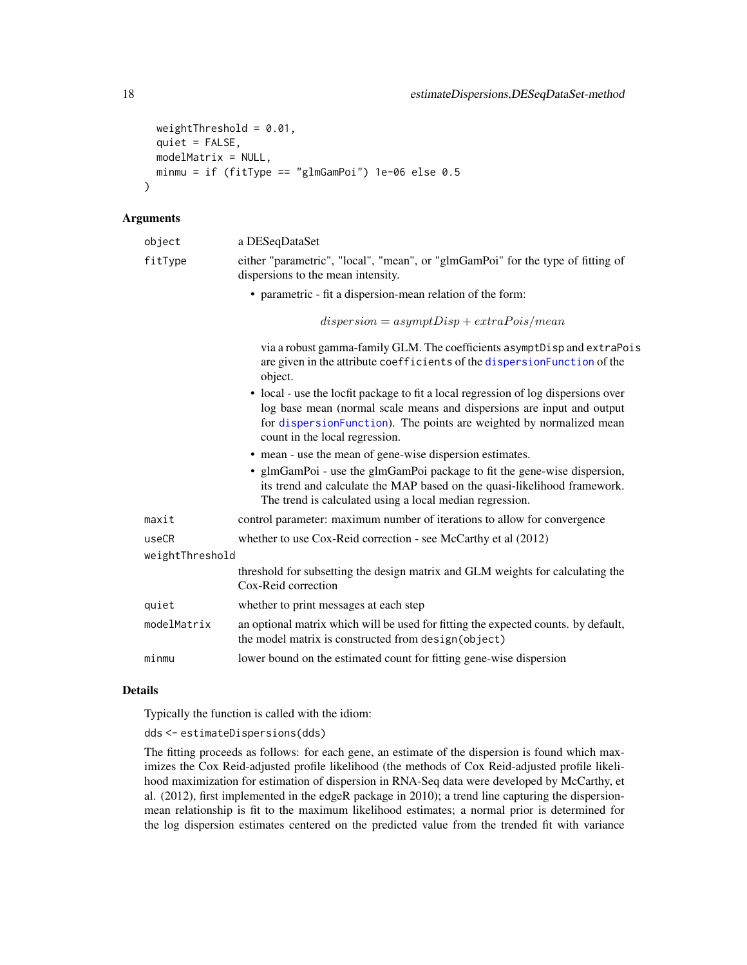```
weightThreshold = 0.01,
 quiet = FALSE,
 modelMatrix = NULL,
 minmu = if (fitType == "glmGamPoi") 1e-06 else 0.5)
```
#### Arguments

| object          | a DESeqDataSet                                                                                                                                                                                                                                                        |
|-----------------|-----------------------------------------------------------------------------------------------------------------------------------------------------------------------------------------------------------------------------------------------------------------------|
| fitType         | either "parametric", "local", "mean", or "glmGamPoi" for the type of fitting of<br>dispersions to the mean intensity.                                                                                                                                                 |
|                 | • parametric - fit a dispersion-mean relation of the form:                                                                                                                                                                                                            |
|                 | $dispersion = asymptDisp + extraPois/mean$                                                                                                                                                                                                                            |
|                 | via a robust gamma-family GLM. The coefficients asymptDisp and extraPois<br>are given in the attribute coefficients of the dispersionFunction of the<br>object.                                                                                                       |
|                 | • local - use the locfit package to fit a local regression of log dispersions over<br>log base mean (normal scale means and dispersions are input and output<br>for dispersionFunction). The points are weighted by normalized mean<br>count in the local regression. |
|                 | • mean - use the mean of gene-wise dispersion estimates.                                                                                                                                                                                                              |
|                 | • glmGamPoi - use the glmGamPoi package to fit the gene-wise dispersion,<br>its trend and calculate the MAP based on the quasi-likelihood framework.<br>The trend is calculated using a local median regression.                                                      |
| maxit           | control parameter: maximum number of iterations to allow for convergence                                                                                                                                                                                              |
| useCR           | whether to use Cox-Reid correction - see McCarthy et al (2012)                                                                                                                                                                                                        |
| weightThreshold |                                                                                                                                                                                                                                                                       |
|                 | threshold for subsetting the design matrix and GLM weights for calculating the<br>Cox-Reid correction                                                                                                                                                                 |
| quiet           | whether to print messages at each step                                                                                                                                                                                                                                |
| modelMatrix     | an optional matrix which will be used for fitting the expected counts. by default,<br>the model matrix is constructed from design(object)                                                                                                                             |
| minmu           | lower bound on the estimated count for fitting gene-wise dispersion                                                                                                                                                                                                   |
|                 |                                                                                                                                                                                                                                                                       |

# Details

Typically the function is called with the idiom:

dds <- estimateDispersions(dds)

The fitting proceeds as follows: for each gene, an estimate of the dispersion is found which maximizes the Cox Reid-adjusted profile likelihood (the methods of Cox Reid-adjusted profile likelihood maximization for estimation of dispersion in RNA-Seq data were developed by McCarthy, et al. (2012), first implemented in the edgeR package in 2010); a trend line capturing the dispersionmean relationship is fit to the maximum likelihood estimates; a normal prior is determined for the log dispersion estimates centered on the predicted value from the trended fit with variance

<span id="page-17-0"></span>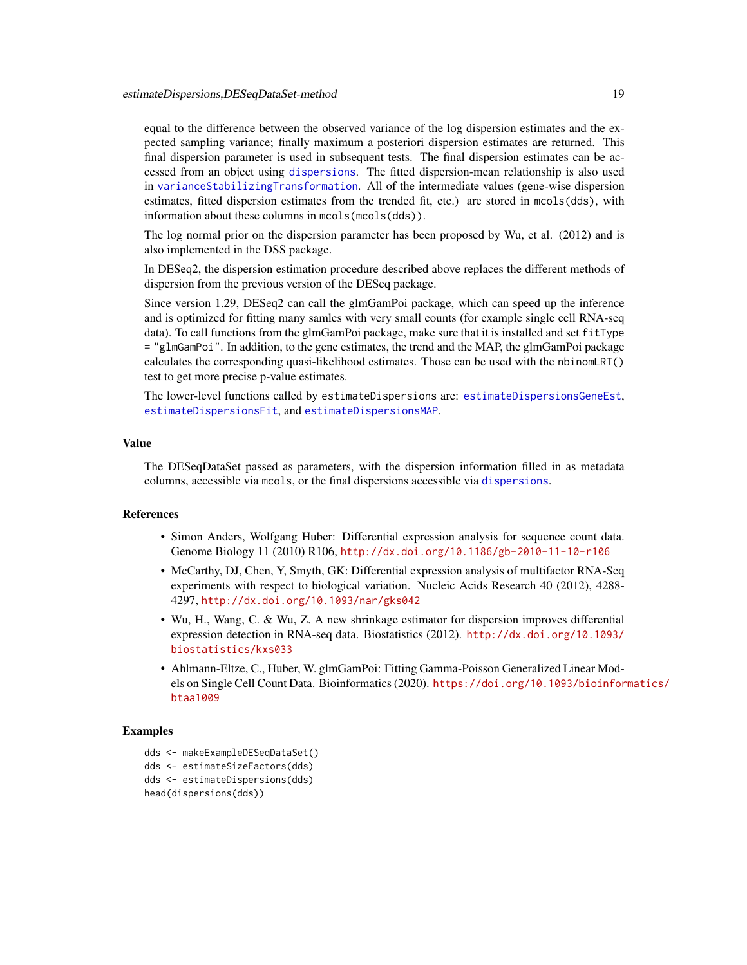<span id="page-18-0"></span>equal to the difference between the observed variance of the log dispersion estimates and the expected sampling variance; finally maximum a posteriori dispersion estimates are returned. This final dispersion parameter is used in subsequent tests. The final dispersion estimates can be accessed from an object using [dispersions](#page-14-1). The fitted dispersion-mean relationship is also used in [varianceStabilizingTransformation](#page-58-1). All of the intermediate values (gene-wise dispersion estimates, fitted dispersion estimates from the trended fit, etc.) are stored in mcols(dds), with information about these columns in mcols(mcols(dds)).

The log normal prior on the dispersion parameter has been proposed by Wu, et al. (2012) and is also implemented in the DSS package.

In DESeq2, the dispersion estimation procedure described above replaces the different methods of dispersion from the previous version of the DESeq package.

Since version 1.29, DESeq2 can call the glmGamPoi package, which can speed up the inference and is optimized for fitting many samles with very small counts (for example single cell RNA-seq data). To call functions from the glmGamPoi package, make sure that it is installed and set fitType = "glmGamPoi". In addition, to the gene estimates, the trend and the MAP, the glmGamPoi package calculates the corresponding quasi-likelihood estimates. Those can be used with the nbinomLRT() test to get more precise p-value estimates.

The lower-level functions called by estimateDispersions are: [estimateDispersionsGeneEst](#page-19-1), [estimateDispersionsFit](#page-19-2), and [estimateDispersionsMAP](#page-19-2).

#### Value

The DESeqDataSet passed as parameters, with the dispersion information filled in as metadata columns, accessible via mcols, or the final dispersions accessible via [dispersions](#page-14-1).

#### References

- Simon Anders, Wolfgang Huber: Differential expression analysis for sequence count data. Genome Biology 11 (2010) R106, <http://dx.doi.org/10.1186/gb-2010-11-10-r106>
- McCarthy, DJ, Chen, Y, Smyth, GK: Differential expression analysis of multifactor RNA-Seq experiments with respect to biological variation. Nucleic Acids Research 40 (2012), 4288- 4297, <http://dx.doi.org/10.1093/nar/gks042>
- Wu, H., Wang, C. & Wu, Z. A new shrinkage estimator for dispersion improves differential expression detection in RNA-seq data. Biostatistics (2012). [http://dx.doi.org/10.1093/](http://dx.doi.org/10.1093/biostatistics/kxs033) [biostatistics/kxs033](http://dx.doi.org/10.1093/biostatistics/kxs033)
- Ahlmann-Eltze, C., Huber, W. glmGamPoi: Fitting Gamma-Poisson Generalized Linear Models on Single Cell Count Data. Bioinformatics (2020). [https://doi.org/10.1093/bioinfor](https://doi.org/10.1093/bioinformatics/btaa1009)matics/ [btaa1009](https://doi.org/10.1093/bioinformatics/btaa1009)

# Examples

```
dds <- makeExampleDESeqDataSet()
dds <- estimateSizeFactors(dds)
dds <- estimateDispersions(dds)
head(dispersions(dds))
```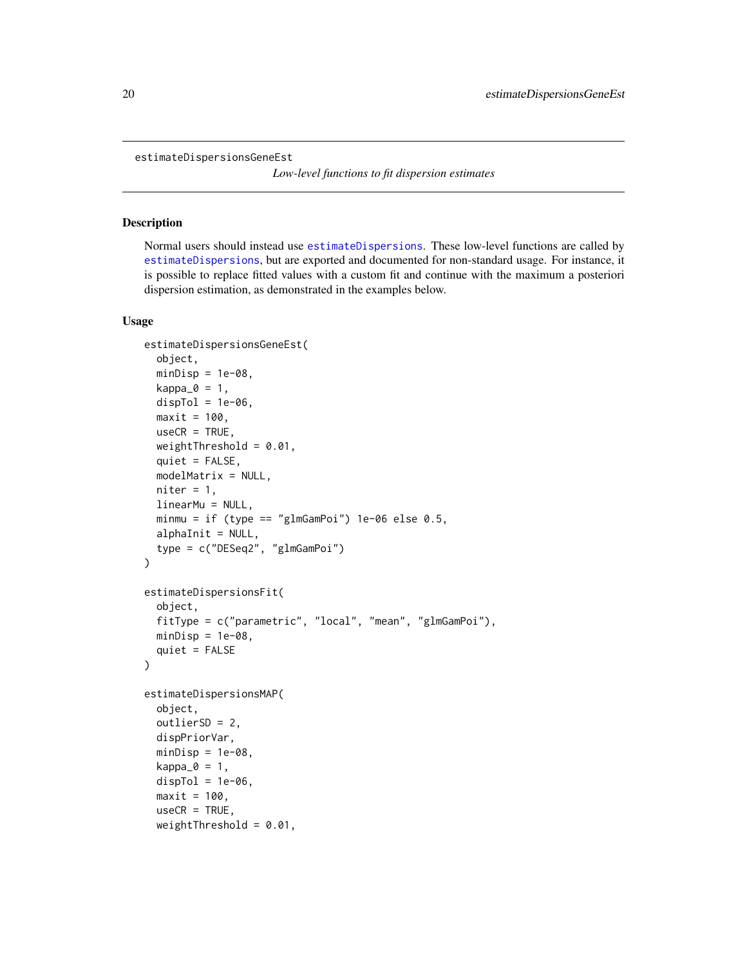```
estimateDispersionsGeneEst
```
*Low-level functions to fit dispersion estimates*

# <span id="page-19-2"></span>Description

Normal users should instead use [estimateDispersions](#page-0-0). These low-level functions are called by [estimateDispersions](#page-0-0), but are exported and documented for non-standard usage. For instance, it is possible to replace fitted values with a custom fit and continue with the maximum a posteriori dispersion estimation, as demonstrated in the examples below.

# Usage

```
estimateDispersionsGeneEst(
  object,
  minDisp = 1e-08,
  kappa_0 = 1,
  dispTol = 1e-06,
  maxit = 100,
  useCR = TRUE,weightThreshold = 0.01,
  quiet = FALSE,
  modelMatrix = NULL,
  niter = 1,
  linearMu = NULL,
  minmu = if (type == "glmGamPoi") 1e-06 else 0.5,
  alphaInit = NULL,
  type = c("DESeq2", "glmGamPoi")
\lambdaestimateDispersionsFit(
  object,
  fitType = c("parametric", "local", "mean", "glmGamPoi"),
  minDisp = 1e-08,
  quiet = FALSE
\lambdaestimateDispersionsMAP(
  object,
  outlierSD = 2,
  dispPriorVar,
  minDisp = 1e-08.
  kappa_0 = 1,
  dispTol = 1e-06.
  maxit = 100,
  useCR = TRUE,
  weightThreshold = 0.01,
```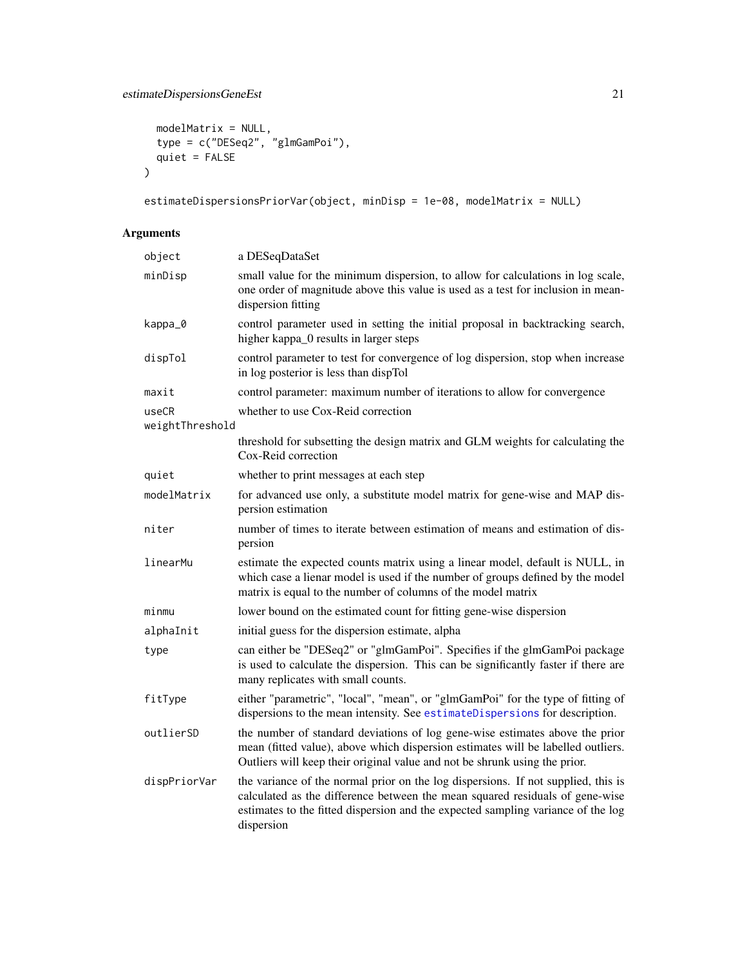# estimateDispersionsGeneEst 21

```
modelMatrix = NULL,
 type = c("DESeq2", "glmGamPoi"),
  quiet = FALSE
\mathcal{L}
```
estimateDispersionsPriorVar(object, minDisp = 1e-08, modelMatrix = NULL)

# Arguments

| object                   | a DESeqDataSet                                                                                                                                                                                                                                                      |
|--------------------------|---------------------------------------------------------------------------------------------------------------------------------------------------------------------------------------------------------------------------------------------------------------------|
| minDisp                  | small value for the minimum dispersion, to allow for calculations in log scale,<br>one order of magnitude above this value is used as a test for inclusion in mean-<br>dispersion fitting                                                                           |
| kappa_0                  | control parameter used in setting the initial proposal in backtracking search,<br>higher kappa_0 results in larger steps                                                                                                                                            |
| dispTol                  | control parameter to test for convergence of log dispersion, stop when increase<br>in log posterior is less than dispTol                                                                                                                                            |
| maxit                    | control parameter: maximum number of iterations to allow for convergence                                                                                                                                                                                            |
| useCR<br>weightThreshold | whether to use Cox-Reid correction                                                                                                                                                                                                                                  |
|                          | threshold for subsetting the design matrix and GLM weights for calculating the<br>Cox-Reid correction                                                                                                                                                               |
| quiet                    | whether to print messages at each step                                                                                                                                                                                                                              |
| modelMatrix              | for advanced use only, a substitute model matrix for gene-wise and MAP dis-<br>persion estimation                                                                                                                                                                   |
| niter                    | number of times to iterate between estimation of means and estimation of dis-<br>persion                                                                                                                                                                            |
| linearMu                 | estimate the expected counts matrix using a linear model, default is NULL, in<br>which case a lienar model is used if the number of groups defined by the model<br>matrix is equal to the number of columns of the model matrix                                     |
| minmu                    | lower bound on the estimated count for fitting gene-wise dispersion                                                                                                                                                                                                 |
| alphaInit                | initial guess for the dispersion estimate, alpha                                                                                                                                                                                                                    |
| type                     | can either be "DESeq2" or "glmGamPoi". Specifies if the glmGamPoi package<br>is used to calculate the dispersion. This can be significantly faster if there are<br>many replicates with small counts.                                                               |
| fitType                  | either "parametric", "local", "mean", or "glmGamPoi" for the type of fitting of<br>dispersions to the mean intensity. See estimateDispersions for description.                                                                                                      |
| outlierSD                | the number of standard deviations of log gene-wise estimates above the prior<br>mean (fitted value), above which dispersion estimates will be labelled outliers.<br>Outliers will keep their original value and not be shrunk using the prior.                      |
| dispPriorVar             | the variance of the normal prior on the log dispersions. If not supplied, this is<br>calculated as the difference between the mean squared residuals of gene-wise<br>estimates to the fitted dispersion and the expected sampling variance of the log<br>dispersion |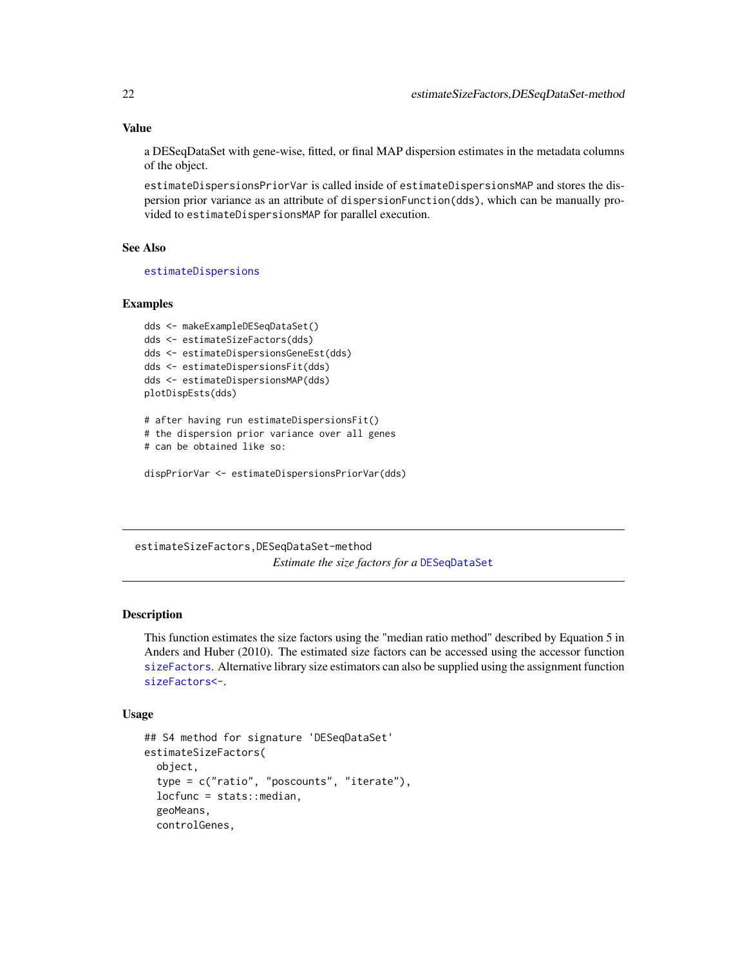#### Value

a DESeqDataSet with gene-wise, fitted, or final MAP dispersion estimates in the metadata columns of the object.

estimateDispersionsPriorVar is called inside of estimateDispersionsMAP and stores the dispersion prior variance as an attribute of dispersionFunction(dds), which can be manually provided to estimateDispersionsMAP for parallel execution.

# See Also

[estimateDispersions](#page-0-0)

#### Examples

```
dds <- makeExampleDESeqDataSet()
dds <- estimateSizeFactors(dds)
dds <- estimateDispersionsGeneEst(dds)
dds <- estimateDispersionsFit(dds)
dds <- estimateDispersionsMAP(dds)
plotDispEsts(dds)
```
# after having run estimateDispersionsFit() # the dispersion prior variance over all genes # can be obtained like so:

```
dispPriorVar <- estimateDispersionsPriorVar(dds)
```
estimateSizeFactors,DESeqDataSet-method *Estimate the size factors for a* [DESeqDataSet](#page-9-1)

#### Description

This function estimates the size factors using the "median ratio method" described by Equation 5 in Anders and Huber (2010). The estimated size factors can be accessed using the accessor function [sizeFactors](#page-0-0). Alternative library size estimators can also be supplied using the assignment function [sizeFactors<-](#page-0-0).

#### Usage

```
## S4 method for signature 'DESeqDataSet'
estimateSizeFactors(
  object,
  type = c("ratio", "poscounts", "iterate"),
  locfunc = stats::median,
  geoMeans,
  controlGenes,
```
<span id="page-21-0"></span>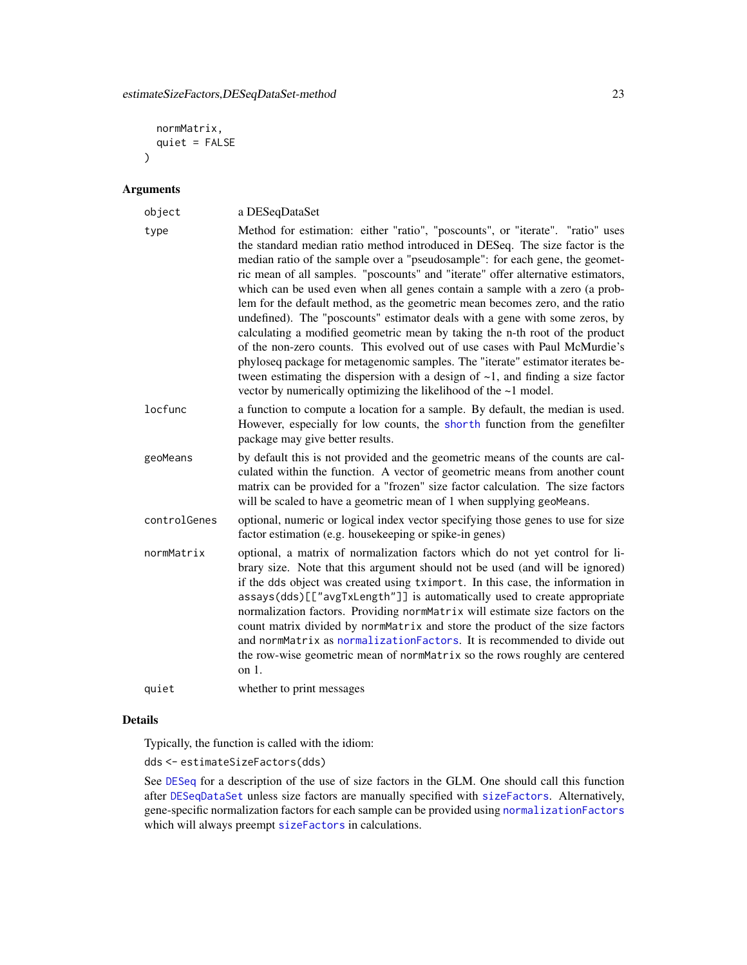```
normMatrix,
  quiet = FALSE
\lambda
```
#### Arguments

| object       | a DESeqDataSet                                                                                                                                                                                                                                                                                                                                                                                                                                                                                                                                                                                                                                                                                                                                                                                                                                                                                                                                                                                |
|--------------|-----------------------------------------------------------------------------------------------------------------------------------------------------------------------------------------------------------------------------------------------------------------------------------------------------------------------------------------------------------------------------------------------------------------------------------------------------------------------------------------------------------------------------------------------------------------------------------------------------------------------------------------------------------------------------------------------------------------------------------------------------------------------------------------------------------------------------------------------------------------------------------------------------------------------------------------------------------------------------------------------|
| type         | Method for estimation: either "ratio", "poscounts", or "iterate". "ratio" uses<br>the standard median ratio method introduced in DESeq. The size factor is the<br>median ratio of the sample over a "pseudosample": for each gene, the geomet-<br>ric mean of all samples. "poscounts" and "iterate" offer alternative estimators,<br>which can be used even when all genes contain a sample with a zero (a prob-<br>lem for the default method, as the geometric mean becomes zero, and the ratio<br>undefined). The "poscounts" estimator deals with a gene with some zeros, by<br>calculating a modified geometric mean by taking the n-th root of the product<br>of the non-zero counts. This evolved out of use cases with Paul McMurdie's<br>phyloseq package for metagenomic samples. The "iterate" estimator iterates be-<br>tween estimating the dispersion with a design of $\sim$ 1, and finding a size factor<br>vector by numerically optimizing the likelihood of the ~1 model. |
| locfunc      | a function to compute a location for a sample. By default, the median is used.<br>However, especially for low counts, the shorth function from the genefilter<br>package may give better results.                                                                                                                                                                                                                                                                                                                                                                                                                                                                                                                                                                                                                                                                                                                                                                                             |
| geoMeans     | by default this is not provided and the geometric means of the counts are cal-<br>culated within the function. A vector of geometric means from another count<br>matrix can be provided for a "frozen" size factor calculation. The size factors<br>will be scaled to have a geometric mean of 1 when supplying geoMeans.                                                                                                                                                                                                                                                                                                                                                                                                                                                                                                                                                                                                                                                                     |
| controlGenes | optional, numeric or logical index vector specifying those genes to use for size<br>factor estimation (e.g. housekeeping or spike-in genes)                                                                                                                                                                                                                                                                                                                                                                                                                                                                                                                                                                                                                                                                                                                                                                                                                                                   |
| normMatrix   | optional, a matrix of normalization factors which do not yet control for li-<br>brary size. Note that this argument should not be used (and will be ignored)<br>if the dds object was created using tximport. In this case, the information in<br>assays(dds)[["avgTxLength"]] is automatically used to create appropriate<br>normalization factors. Providing normMatrix will estimate size factors on the<br>count matrix divided by normMatrix and store the product of the size factors<br>and normMatrix as normalizationFactors. It is recommended to divide out<br>the row-wise geometric mean of normMatrix so the rows roughly are centered<br>on $1$ .                                                                                                                                                                                                                                                                                                                              |
| quiet        | whether to print messages                                                                                                                                                                                                                                                                                                                                                                                                                                                                                                                                                                                                                                                                                                                                                                                                                                                                                                                                                                     |

# Details

Typically, the function is called with the idiom:

dds <- estimateSizeFactors(dds)

See [DESeq](#page-6-1) for a description of the use of size factors in the GLM. One should call this function after [DESeqDataSet](#page-9-1) unless size factors are manually specified with [sizeFactors](#page-0-0). Alternatively, gene-specific normalization factors for each sample can be provided using [normalizationFactors](#page-36-1) which will always preempt [sizeFactors](#page-0-0) in calculations.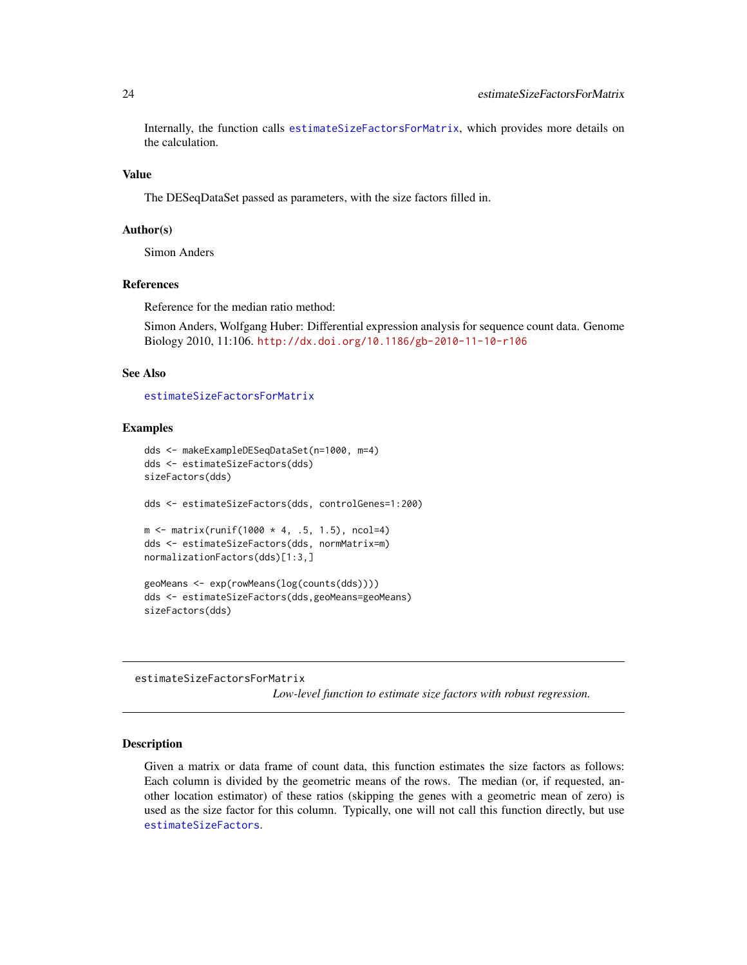Internally, the function calls [estimateSizeFactorsForMatrix](#page-23-1), which provides more details on the calculation.

#### Value

The DESeqDataSet passed as parameters, with the size factors filled in.

#### Author(s)

Simon Anders

#### References

Reference for the median ratio method:

Simon Anders, Wolfgang Huber: Differential expression analysis for sequence count data. Genome Biology 2010, 11:106. <http://dx.doi.org/10.1186/gb-2010-11-10-r106>

#### See Also

[estimateSizeFactorsForMatrix](#page-23-1)

#### Examples

```
dds <- makeExampleDESeqDataSet(n=1000, m=4)
dds <- estimateSizeFactors(dds)
sizeFactors(dds)
dds <- estimateSizeFactors(dds, controlGenes=1:200)
m \le matrix(runif(1000 * 4, .5, 1.5), ncol=4)
dds <- estimateSizeFactors(dds, normMatrix=m)
normalizationFactors(dds)[1:3,]
geoMeans <- exp(rowMeans(log(counts(dds))))
dds <- estimateSizeFactors(dds,geoMeans=geoMeans)
sizeFactors(dds)
```
<span id="page-23-1"></span>estimateSizeFactorsForMatrix

*Low-level function to estimate size factors with robust regression.*

# **Description**

Given a matrix or data frame of count data, this function estimates the size factors as follows: Each column is divided by the geometric means of the rows. The median (or, if requested, another location estimator) of these ratios (skipping the genes with a geometric mean of zero) is used as the size factor for this column. Typically, one will not call this function directly, but use [estimateSizeFactors](#page-0-0).

<span id="page-23-0"></span>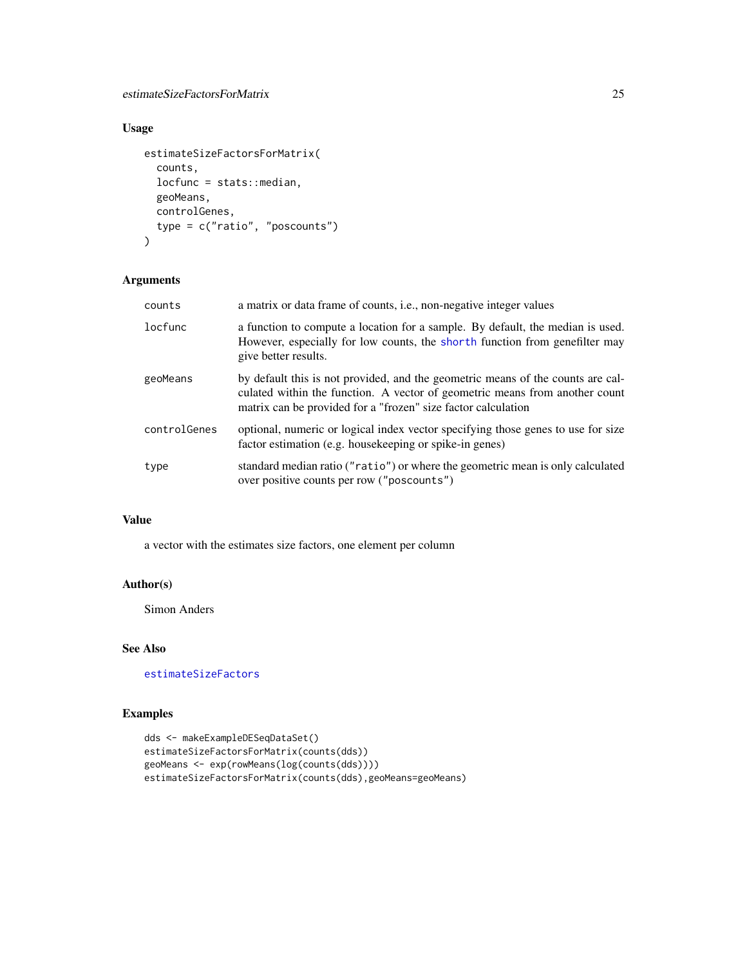# <span id="page-24-0"></span>estimateSizeFactorsForMatrix 25

# Usage

```
estimateSizeFactorsForMatrix(
  counts,
  locfunc = stats::median,
 geoMeans,
 controlGenes,
 type = c("ratio", "poscounts")
)
```
# Arguments

| counts       | a matrix or data frame of counts, <i>i.e.</i> , non-negative integer values                                                                                                                                                     |
|--------------|---------------------------------------------------------------------------------------------------------------------------------------------------------------------------------------------------------------------------------|
| locfunc      | a function to compute a location for a sample. By default, the median is used.<br>However, especially for low counts, the shorth function from genefilter may<br>give better results.                                           |
| geoMeans     | by default this is not provided, and the geometric means of the counts are cal-<br>culated within the function. A vector of geometric means from another count<br>matrix can be provided for a "frozen" size factor calculation |
| controlGenes | optional, numeric or logical index vector specifying those genes to use for size<br>factor estimation (e.g. house keeping or spike-in genes)                                                                                    |
| type         | standard median ratio ("ratio") or where the geometric mean is only calculated<br>over positive counts per row ("poscounts")                                                                                                    |

# Value

a vector with the estimates size factors, one element per column

# Author(s)

Simon Anders

# See Also

[estimateSizeFactors](#page-0-0)

# Examples

```
dds <- makeExampleDESeqDataSet()
estimateSizeFactorsForMatrix(counts(dds))
geoMeans <- exp(rowMeans(log(counts(dds))))
estimateSizeFactorsForMatrix(counts(dds),geoMeans=geoMeans)
```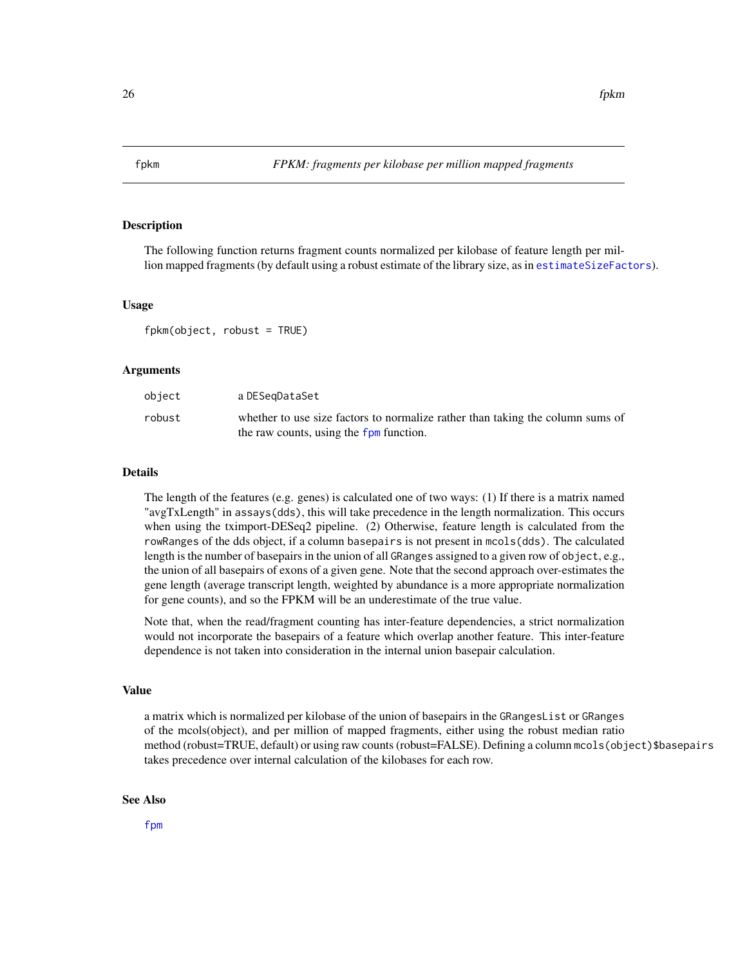<span id="page-25-1"></span><span id="page-25-0"></span>

The following function returns fragment counts normalized per kilobase of feature length per million mapped fragments (by default using a robust estimate of the library size, as in [estimateSizeFactors](#page-0-0)).

#### Usage

 $fpkm(object, robust = TRUE)$ 

#### Arguments

| object | a DESeɑDataSet                                                                 |
|--------|--------------------------------------------------------------------------------|
| robust | whether to use size factors to normalize rather than taking the column sums of |
|        | the raw counts, using the fpm function.                                        |

#### Details

The length of the features (e.g. genes) is calculated one of two ways: (1) If there is a matrix named "avgTxLength" in assays(dds), this will take precedence in the length normalization. This occurs when using the tximport-DESeq2 pipeline. (2) Otherwise, feature length is calculated from the rowRanges of the dds object, if a column basepairs is not present in mcols(dds). The calculated length is the number of basepairs in the union of all GRanges assigned to a given row of object, e.g., the union of all basepairs of exons of a given gene. Note that the second approach over-estimates the gene length (average transcript length, weighted by abundance is a more appropriate normalization for gene counts), and so the FPKM will be an underestimate of the true value.

Note that, when the read/fragment counting has inter-feature dependencies, a strict normalization would not incorporate the basepairs of a feature which overlap another feature. This inter-feature dependence is not taken into consideration in the internal union basepair calculation.

#### Value

a matrix which is normalized per kilobase of the union of basepairs in the GRangesList or GRanges of the mcols(object), and per million of mapped fragments, either using the robust median ratio method (robust=TRUE, default) or using raw counts (robust=FALSE). Defining a column mcols(object)\$basepairs takes precedence over internal calculation of the kilobases for each row.

#### See Also

[fpm](#page-26-1)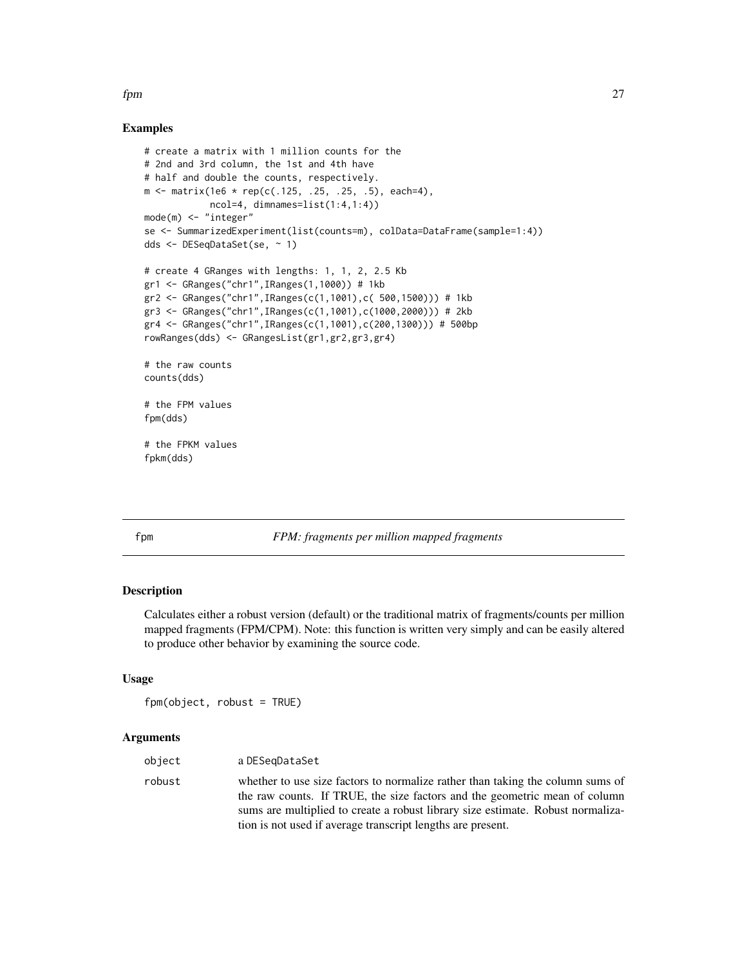# <span id="page-26-0"></span>Examples

```
# create a matrix with 1 million counts for the
# 2nd and 3rd column, the 1st and 4th have
# half and double the counts, respectively.
m \le - matrix(1e6 * rep(c(.125, .25, .25, .5), each=4),
            ncol=4, dimnames=list(1:4,1:4))
mode(m) <- "integer"
se <- SummarizedExperiment(list(counts=m), colData=DataFrame(sample=1:4))
dds <- DESeqDataSet(se, ~ 1)
# create 4 GRanges with lengths: 1, 1, 2, 2.5 Kb
gr1 <- GRanges("chr1",IRanges(1,1000)) # 1kb
gr2 <- GRanges("chr1",IRanges(c(1,1001),c( 500,1500))) # 1kb
gr3 <- GRanges("chr1",IRanges(c(1,1001),c(1000,2000))) # 2kb
gr4 <- GRanges("chr1",IRanges(c(1,1001),c(200,1300))) # 500bp
rowRanges(dds) <- GRangesList(gr1,gr2,gr3,gr4)
# the raw counts
counts(dds)
# the FPM values
fpm(dds)
# the FPKM values
fpkm(dds)
```
#### <span id="page-26-1"></span>fpm *FPM: fragments per million mapped fragments*

#### Description

Calculates either a robust version (default) or the traditional matrix of fragments/counts per million mapped fragments (FPM/CPM). Note: this function is written very simply and can be easily altered to produce other behavior by examining the source code.

#### Usage

fpm(object, robust = TRUE)

# Arguments

| object | a DESegDataSet                                                                                                                                                                                                                                                                                                 |
|--------|----------------------------------------------------------------------------------------------------------------------------------------------------------------------------------------------------------------------------------------------------------------------------------------------------------------|
| robust | whether to use size factors to normalize rather than taking the column sums of<br>the raw counts. If TRUE, the size factors and the geometric mean of column<br>sums are multiplied to create a robust library size estimate. Robust normaliza-<br>tion is not used if average transcript lengths are present. |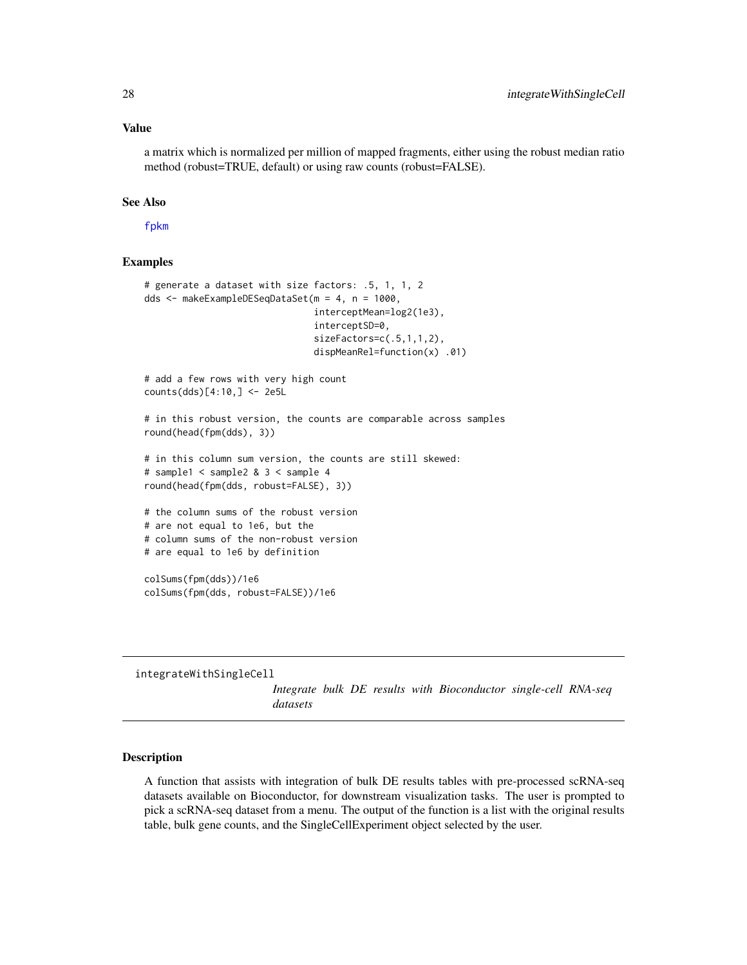a matrix which is normalized per million of mapped fragments, either using the robust median ratio method (robust=TRUE, default) or using raw counts (robust=FALSE).

#### See Also

[fpkm](#page-25-1)

#### Examples

```
# generate a dataset with size factors: .5, 1, 1, 2
dds <- makeExampleDESeqDataSet(m = 4, n = 1000,
                               interceptMean=log2(1e3),
                               interceptSD=0,
                               sizeFactors=c(.5,1,1,2),
                               dispMeanRel=function(x) .01)
# add a few rows with very high count
counts(dds)[4:10,] <- 2e5L
# in this robust version, the counts are comparable across samples
round(head(fpm(dds), 3))
# in this column sum version, the counts are still skewed:
# sample1 < sample2 & 3 < sample 4
round(head(fpm(dds, robust=FALSE), 3))
# the column sums of the robust version
# are not equal to 1e6, but the
# column sums of the non-robust version
# are equal to 1e6 by definition
colSums(fpm(dds))/1e6
colSums(fpm(dds, robust=FALSE))/1e6
```
integrateWithSingleCell

*Integrate bulk DE results with Bioconductor single-cell RNA-seq datasets*

### **Description**

A function that assists with integration of bulk DE results tables with pre-processed scRNA-seq datasets available on Bioconductor, for downstream visualization tasks. The user is prompted to pick a scRNA-seq dataset from a menu. The output of the function is a list with the original results table, bulk gene counts, and the SingleCellExperiment object selected by the user.

<span id="page-27-0"></span>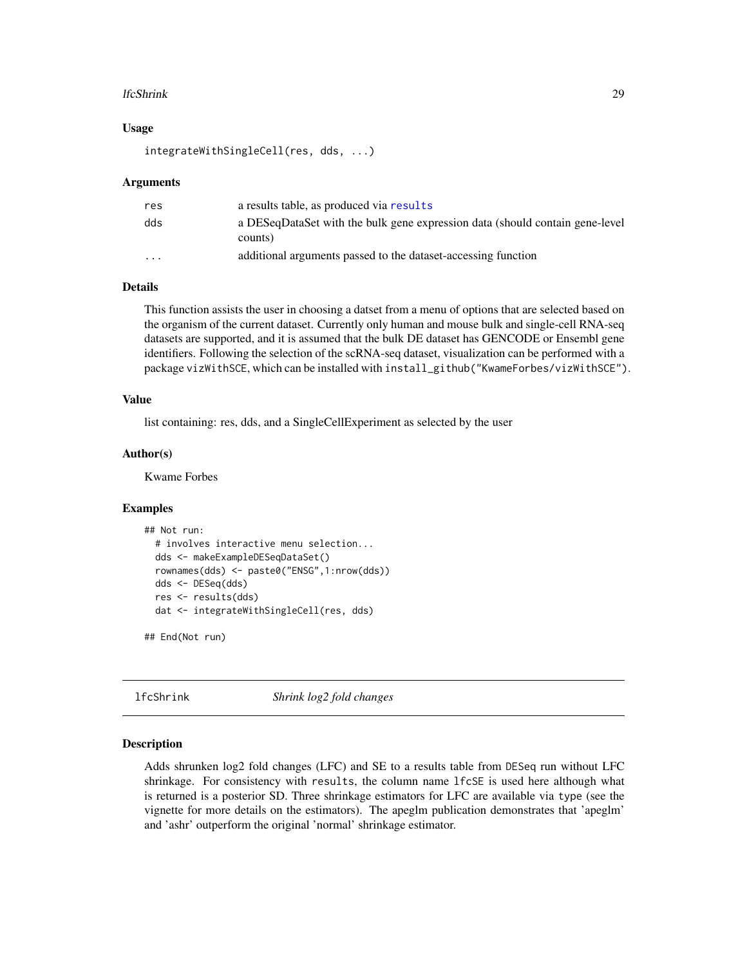#### <span id="page-28-0"></span>lfcShrink 29

#### Usage

```
integrateWithSingleCell(res, dds, ...)
```
#### Arguments

| res                     | a results table, as produced via results                                                |
|-------------------------|-----------------------------------------------------------------------------------------|
| dds                     | a DESeqDataSet with the bulk gene expression data (should contain gene-level<br>counts) |
| $\cdot$ $\cdot$ $\cdot$ | additional arguments passed to the dataset-accessing function                           |

# Details

This function assists the user in choosing a datset from a menu of options that are selected based on the organism of the current dataset. Currently only human and mouse bulk and single-cell RNA-seq datasets are supported, and it is assumed that the bulk DE dataset has GENCODE or Ensembl gene identifiers. Following the selection of the scRNA-seq dataset, visualization can be performed with a package vizWithSCE, which can be installed with install\_github("KwameForbes/vizWithSCE").

#### Value

list containing: res, dds, and a SingleCellExperiment as selected by the user

#### Author(s)

Kwame Forbes

# Examples

```
## Not run:
 # involves interactive menu selection...
 dds <- makeExampleDESeqDataSet()
 rownames(dds) <- paste0("ENSG",1:nrow(dds))
 dds <- DESeq(dds)
 res <- results(dds)
 dat <- integrateWithSingleCell(res, dds)
```
## End(Not run)

<span id="page-28-1"></span>lfcShrink *Shrink log2 fold changes*

#### Description

Adds shrunken log2 fold changes (LFC) and SE to a results table from DESeq run without LFC shrinkage. For consistency with results, the column name lfcSE is used here although what is returned is a posterior SD. Three shrinkage estimators for LFC are available via type (see the vignette for more details on the estimators). The apeglm publication demonstrates that 'apeglm' and 'ashr' outperform the original 'normal' shrinkage estimator.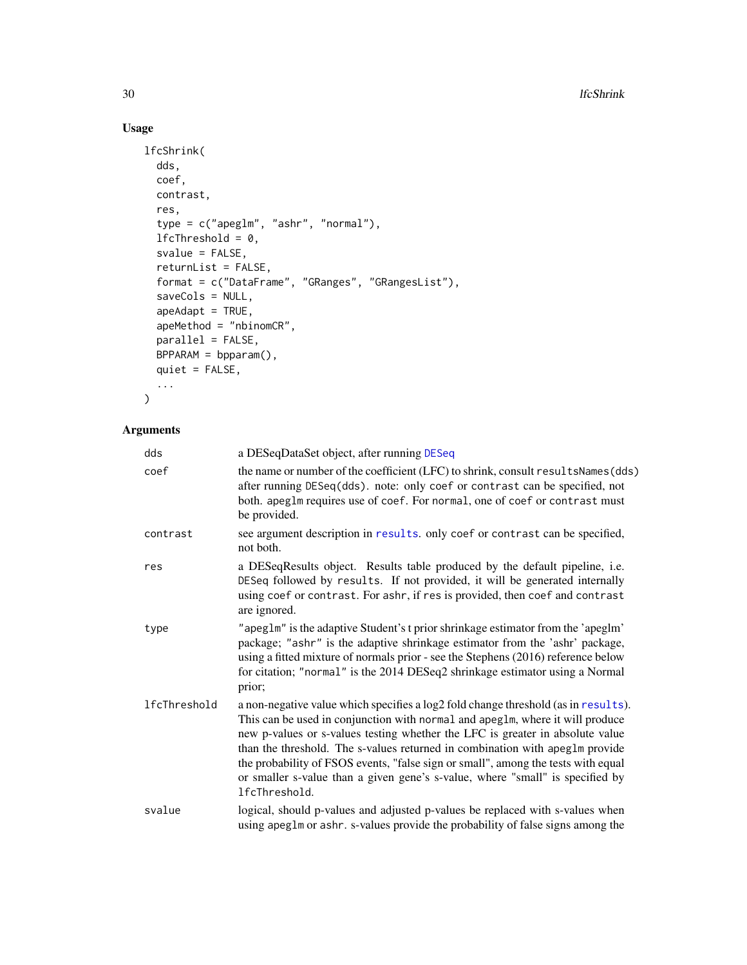# Usage

```
lfcShrink(
 dds,
 coef,
 contrast,
 res,
  type = c("apeglm", "ashr", "normal"),
 1fcThreshold = 0,
 svalue = FALSE,
 returnList = FALSE,
 format = c("DataFrame", "GRanges", "GRangesList"),
 saveCols = NULL,
 apeAdapt = TRUE,apeMethod = "nbinomCR",
 parallel = FALSE,
 BPPARAM = bpparam(),
 quiet = FALSE,
  ...
```
# Arguments

 $\mathcal{L}$ 

| dds          | a DESeqDataSet object, after running DESeq                                                                                                                                                                                                                                                                                                                                                                                                                                                                                  |
|--------------|-----------------------------------------------------------------------------------------------------------------------------------------------------------------------------------------------------------------------------------------------------------------------------------------------------------------------------------------------------------------------------------------------------------------------------------------------------------------------------------------------------------------------------|
| coef         | the name or number of the coefficient (LFC) to shrink, consult resultsNames(dds)<br>after running DESeq(dds). note: only coef or contrast can be specified, not<br>both. apeglm requires use of coef. For normal, one of coef or contrast must<br>be provided.                                                                                                                                                                                                                                                              |
| contrast     | see argument description in results. only coef or contrast can be specified,<br>not both.                                                                                                                                                                                                                                                                                                                                                                                                                                   |
| res          | a DESeqResults object. Results table produced by the default pipeline, i.e.<br>DESeq followed by results. If not provided, it will be generated internally<br>using coef or contrast. For ashr, if res is provided, then coef and contrast<br>are ignored.                                                                                                                                                                                                                                                                  |
| type         | "apeglm" is the adaptive Student's t prior shrinkage estimator from the 'apeglm'<br>package; "ashr" is the adaptive shrinkage estimator from the 'ashr' package,<br>using a fitted mixture of normals prior - see the Stephens (2016) reference below<br>for citation; "normal" is the 2014 DESeq2 shrinkage estimator using a Normal<br>prior;                                                                                                                                                                             |
| lfcThreshold | a non-negative value which specifies a log2 fold change threshold (as in results).<br>This can be used in conjunction with normal and apeglm, where it will produce<br>new p-values or s-values testing whether the LFC is greater in absolute value<br>than the threshold. The s-values returned in combination with apeglm provide<br>the probability of FSOS events, "false sign or small", among the tests with equal<br>or smaller s-value than a given gene's s-value, where "small" is specified by<br>lfcThreshold. |
| svalue       | logical, should p-values and adjusted p-values be replaced with s-values when<br>using apeglm or ashr. s-values provide the probability of false signs among the                                                                                                                                                                                                                                                                                                                                                            |

<span id="page-29-0"></span>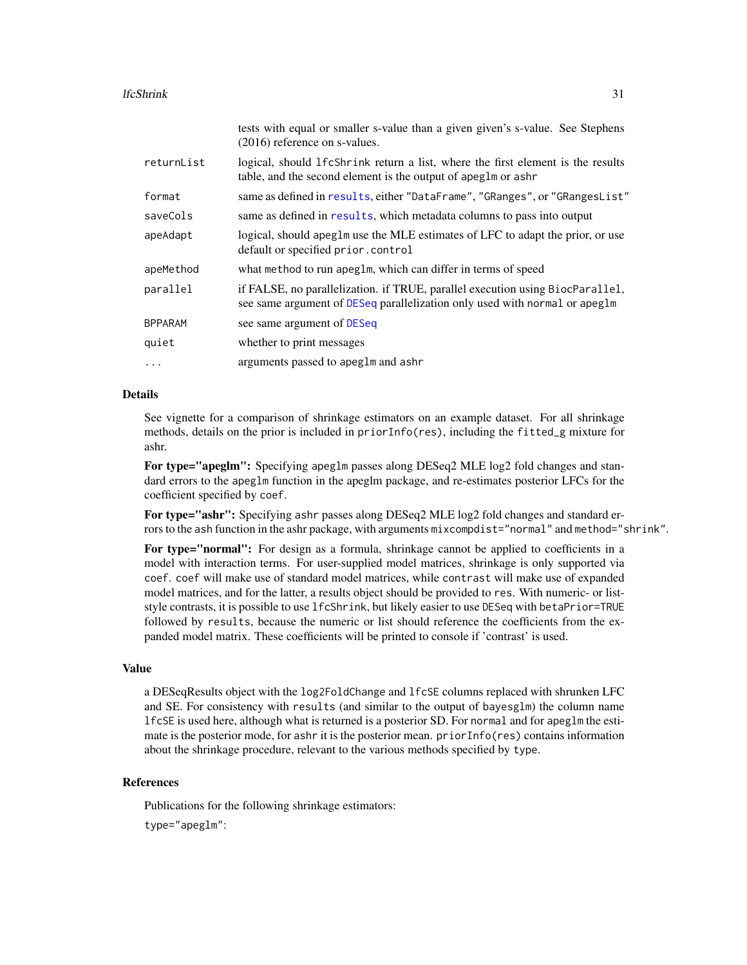#### <span id="page-30-0"></span>lfcShrink 31

|                | tests with equal or smaller s-value than a given given's s-value. See Stephens<br>$(2016)$ reference on s-values.                                           |
|----------------|-------------------------------------------------------------------------------------------------------------------------------------------------------------|
| returnList     | logical, should 1fcShrink return a list, where the first element is the results<br>table, and the second element is the output of apeglm or ashr            |
| format         | same as defined in results, either "DataFrame", "GRanges", or "GRangesList"                                                                                 |
| saveCols       | same as defined in results, which metadata columns to pass into output                                                                                      |
| apeAdapt       | logical, should apeglm use the MLE estimates of LFC to adapt the prior, or use<br>default or specified prior.control                                        |
| apeMethod      | what method to run apeglm, which can differ in terms of speed                                                                                               |
| parallel       | if FALSE, no parallelization. if TRUE, parallel execution using BiocParallel,<br>see same argument of DESeq parallelization only used with normal or apeglm |
| <b>BPPARAM</b> | see same argument of DESeq                                                                                                                                  |
| quiet          | whether to print messages                                                                                                                                   |
| $\ddotsc$      | arguments passed to apeglm and ashr                                                                                                                         |

# Details

See vignette for a comparison of shrinkage estimators on an example dataset. For all shrinkage methods, details on the prior is included in priorInfo(res), including the fitted\_g mixture for ashr.

For type="apeglm": Specifying apeglm passes along DESeq2 MLE log2 fold changes and standard errors to the apeglm function in the apeglm package, and re-estimates posterior LFCs for the coefficient specified by coef.

For type="ashr": Specifying ashr passes along DESeq2 MLE log2 fold changes and standard errors to the ash function in the ashr package, with arguments mixcompdist="normal" and method="shrink".

For type="normal": For design as a formula, shrinkage cannot be applied to coefficients in a model with interaction terms. For user-supplied model matrices, shrinkage is only supported via coef. coef will make use of standard model matrices, while contrast will make use of expanded model matrices, and for the latter, a results object should be provided to res. With numeric- or liststyle contrasts, it is possible to use lfcShrink, but likely easier to use DESeq with betaPrior=TRUE followed by results, because the numeric or list should reference the coefficients from the expanded model matrix. These coefficients will be printed to console if 'contrast' is used.

#### Value

a DESeqResults object with the log2FoldChange and lfcSE columns replaced with shrunken LFC and SE. For consistency with results (and similar to the output of bayesglm) the column name lfcSE is used here, although what is returned is a posterior SD. For normal and for apeglm the estimate is the posterior mode, for ashr it is the posterior mean. priorInfo(res) contains information about the shrinkage procedure, relevant to the various methods specified by type.

# References

Publications for the following shrinkage estimators: type="apeglm":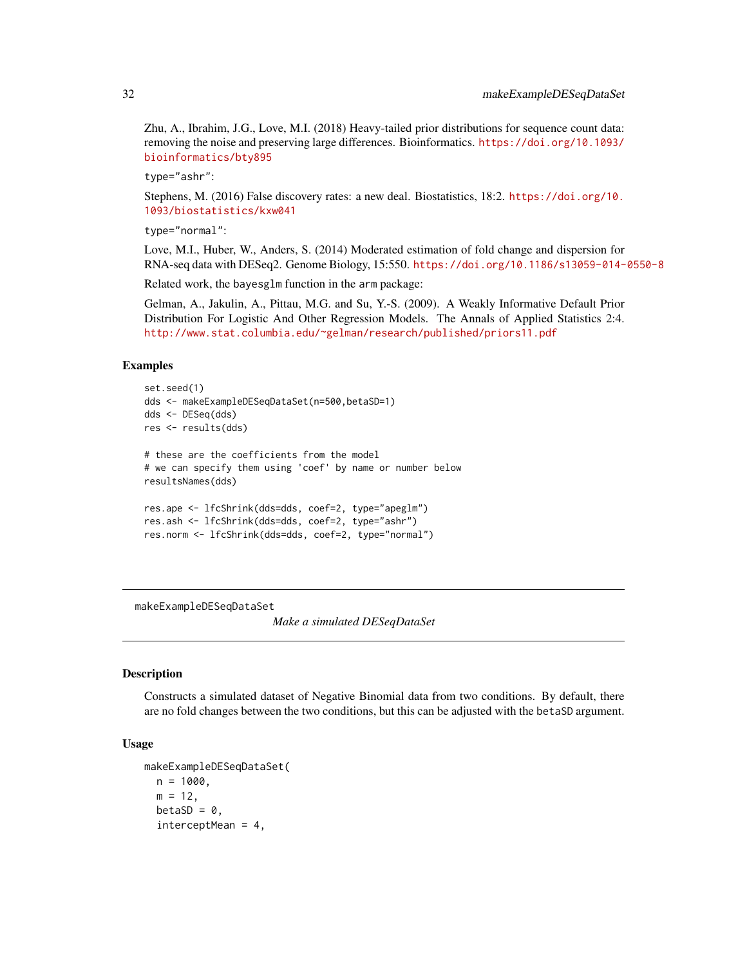Zhu, A., Ibrahim, J.G., Love, M.I. (2018) Heavy-tailed prior distributions for sequence count data: removing the noise and preserving large differences. Bioinformatics. [https://doi.org/10.1093/](https://doi.org/10.1093/bioinformatics/bty895) [bioinformatics/bty895](https://doi.org/10.1093/bioinformatics/bty895)

type="ashr":

Stephens, M. (2016) False discovery rates: a new deal. Biostatistics, 18:2. [https://doi.org/10.](https://doi.org/10.1093/biostatistics/kxw041) [1093/biostatistics/kxw041](https://doi.org/10.1093/biostatistics/kxw041)

type="normal":

Love, M.I., Huber, W., Anders, S. (2014) Moderated estimation of fold change and dispersion for RNA-seq data with DESeq2. Genome Biology, 15:550. <https://doi.org/10.1186/s13059-014-0550-8>

Related work, the bayesglm function in the arm package:

Gelman, A., Jakulin, A., Pittau, M.G. and Su, Y.-S. (2009). A Weakly Informative Default Prior Distribution For Logistic And Other Regression Models. The Annals of Applied Statistics 2:4. [http://www.stat.columbia.edu/~gelman/research/published/priors11.pdf](http://www.stat.columbia.edu/~gelman/research/published/ priors11.pdf)

#### Examples

```
set.seed(1)
dds <- makeExampleDESeqDataSet(n=500,betaSD=1)
dds <- DESeq(dds)
res <- results(dds)
# these are the coefficients from the model
# we can specify them using 'coef' by name or number below
resultsNames(dds)
res.ape <- lfcShrink(dds=dds, coef=2, type="apeglm")
res.ash <- lfcShrink(dds=dds, coef=2, type="ashr")
res.norm <- lfcShrink(dds=dds, coef=2, type="normal")
```
makeExampleDESeqDataSet

*Make a simulated DESeqDataSet*

#### Description

Constructs a simulated dataset of Negative Binomial data from two conditions. By default, there are no fold changes between the two conditions, but this can be adjusted with the betaSD argument.

#### Usage

```
makeExampleDESeqDataSet(
 n = 1000,
 m = 12,
 betaSD = 0,
  interceptMean = 4,
```
<span id="page-31-0"></span>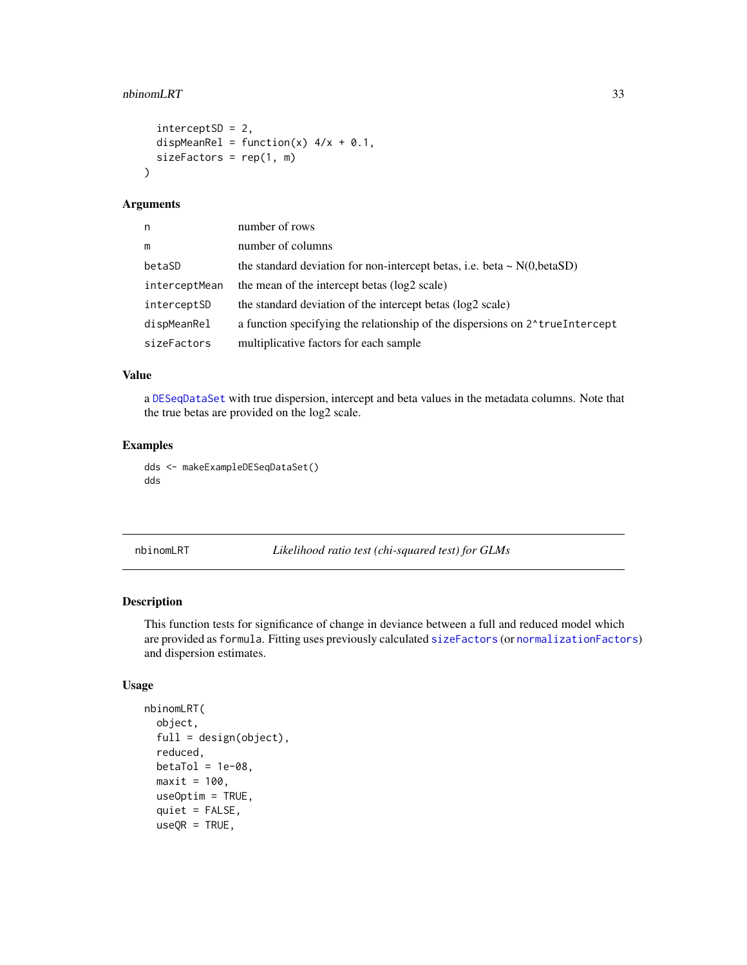#### <span id="page-32-0"></span>nbinomLRT 33

```
interceptSD = 2,
  dispMeanRel = function(x) 4/x + 0.1,
  sizeFactors = rep(1, m)\mathcal{L}
```
#### Arguments

| n             | number of rows                                                                             |
|---------------|--------------------------------------------------------------------------------------------|
| m             | number of columns                                                                          |
| betaSD        | the standard deviation for non-intercept betas, i.e. beta $\sim N(0,betaSD)$               |
| interceptMean | the mean of the intercept betas (log2 scale)                                               |
| interceptSD   | the standard deviation of the intercept betas (log2 scale)                                 |
| dispMeanRel   | a function specifying the relationship of the dispersions on 2 <sup>1</sup> true Intercept |
| sizeFactors   | multiplicative factors for each sample                                                     |

# Value

a [DESeqDataSet](#page-9-1) with true dispersion, intercept and beta values in the metadata columns. Note that the true betas are provided on the log2 scale.

# Examples

```
dds <- makeExampleDESeqDataSet()
dds
```
<span id="page-32-1"></span>nbinomLRT *Likelihood ratio test (chi-squared test) for GLMs*

# Description

This function tests for significance of change in deviance between a full and reduced model which are provided as formula. Fitting uses previously calculated [sizeFactors](#page-0-0) (or [normalizationFactors](#page-36-1)) and dispersion estimates.

#### Usage

```
nbinomLRT(
  object,
  full = design(object),
  reduced,
 beta = 1e-08,
 maxit = 100.
 useOptim = TRUE,
  quiet = FALSE,
  useQR = TRUE,
```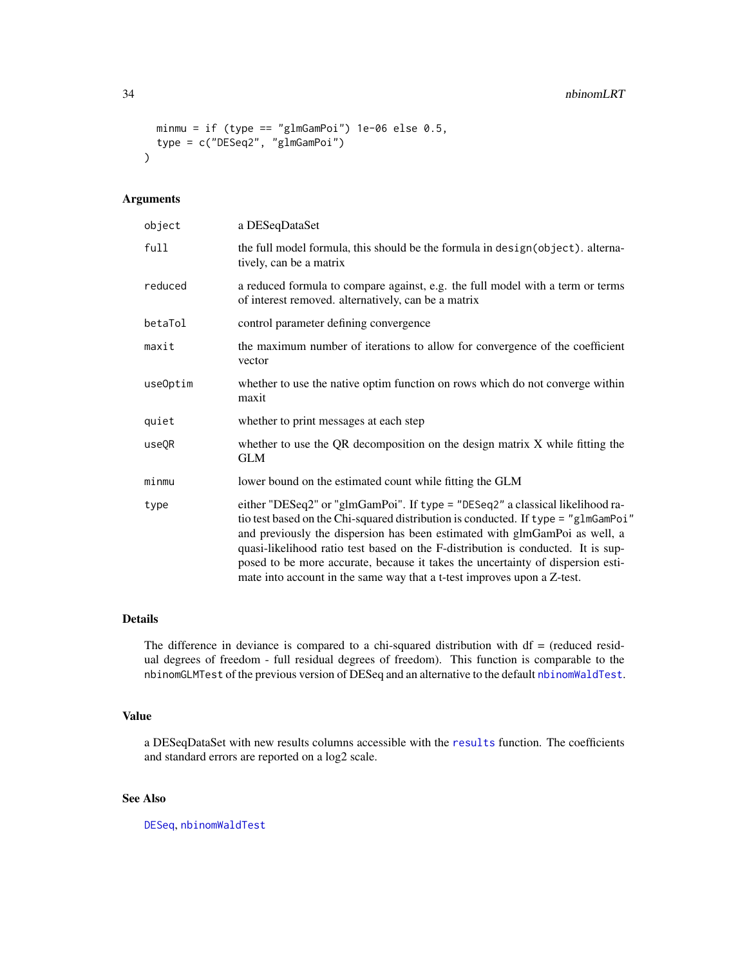```
minmu = if (type == "glmGamPoi") 1e-06 else 0.5,
  type = c("DESeq2", "glmGamPoi")
\mathcal{L}
```
## Arguments

| object   | a DESeqDataSet                                                                                                                                                                                                                                                                                                                                                                                                                                                                                      |  |
|----------|-----------------------------------------------------------------------------------------------------------------------------------------------------------------------------------------------------------------------------------------------------------------------------------------------------------------------------------------------------------------------------------------------------------------------------------------------------------------------------------------------------|--|
| full     | the full model formula, this should be the formula in design(object). alterna-<br>tively, can be a matrix                                                                                                                                                                                                                                                                                                                                                                                           |  |
| reduced  | a reduced formula to compare against, e.g. the full model with a term or terms<br>of interest removed. alternatively, can be a matrix                                                                                                                                                                                                                                                                                                                                                               |  |
| betaTol  | control parameter defining convergence                                                                                                                                                                                                                                                                                                                                                                                                                                                              |  |
| maxit    | the maximum number of iterations to allow for convergence of the coefficient<br>vector                                                                                                                                                                                                                                                                                                                                                                                                              |  |
| useOptim | whether to use the native optim function on rows which do not converge within<br>maxit                                                                                                                                                                                                                                                                                                                                                                                                              |  |
| quiet    | whether to print messages at each step                                                                                                                                                                                                                                                                                                                                                                                                                                                              |  |
| useQR    | whether to use the QR decomposition on the design matrix X while fitting the<br>GLM                                                                                                                                                                                                                                                                                                                                                                                                                 |  |
| minmu    | lower bound on the estimated count while fitting the GLM                                                                                                                                                                                                                                                                                                                                                                                                                                            |  |
| type     | either "DESeq2" or "glmGamPoi". If type = "DESeq2" a classical likelihood ra-<br>tio test based on the Chi-squared distribution is conducted. If type = "glmGamPoi"<br>and previously the dispersion has been estimated with glmGamPoi as well, a<br>quasi-likelihood ratio test based on the F-distribution is conducted. It is sup-<br>posed to be more accurate, because it takes the uncertainty of dispersion esti-<br>mate into account in the same way that a t-test improves upon a Z-test. |  |

# Details

The difference in deviance is compared to a chi-squared distribution with  $df =$  (reduced residual degrees of freedom - full residual degrees of freedom). This function is comparable to the nbinomGLMTest of the previous version of DESeq and an alternative to the default [nbinomWaldTest](#page-34-1).

#### Value

a DESeqDataSet with new results columns accessible with the [results](#page-47-1) function. The coefficients and standard errors are reported on a log2 scale.

# See Also

[DESeq](#page-6-1), [nbinomWaldTest](#page-34-1)

<span id="page-33-0"></span>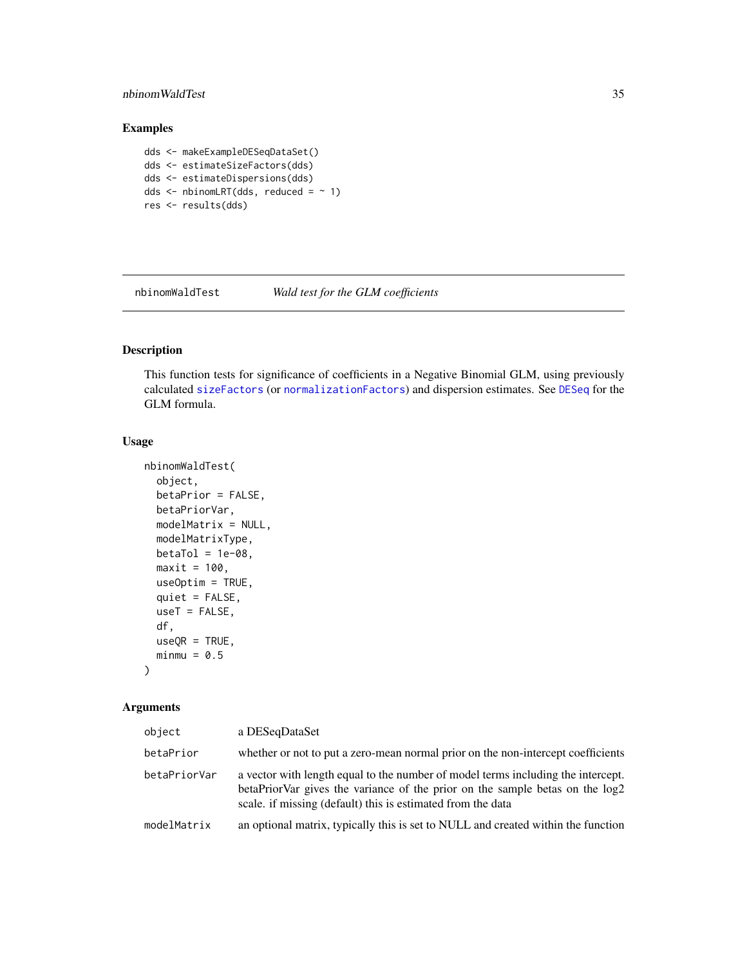# <span id="page-34-0"></span>nbinomWaldTest 35

# Examples

dds <- makeExampleDESeqDataSet() dds <- estimateSizeFactors(dds) dds <- estimateDispersions(dds) dds  $\le$  - nbinomLRT(dds, reduced =  $\sim$  1) res <- results(dds)

<span id="page-34-1"></span>nbinomWaldTest *Wald test for the GLM coefficients*

# Description

This function tests for significance of coefficients in a Negative Binomial GLM, using previously calculated [sizeFactors](#page-0-0) (or [normalizationFactors](#page-36-1)) and dispersion estimates. See [DESeq](#page-6-1) for the GLM formula.

# Usage

```
nbinomWaldTest(
 object,
 betaPrior = FALSE,
 betaPriorVar,
 modelMatrix = NULL,
 modelMatrixType,
 beta = 1e-08,
 maxit = 100,
 useOptim = TRUE,
 quiet = FALSE,
 useT = FALSE,df,
 useQR = TRUE,minmu = 0.5)
```
#### Arguments

| object       | a DESegDataSet                                                                                                                                                                                                                  |  |
|--------------|---------------------------------------------------------------------------------------------------------------------------------------------------------------------------------------------------------------------------------|--|
| betaPrior    | whether or not to put a zero-mean normal prior on the non-intercept coefficients                                                                                                                                                |  |
| betaPriorVar | a vector with length equal to the number of model terms including the intercept.<br>betaPriorVar gives the variance of the prior on the sample betas on the log2<br>scale, if missing (default) this is estimated from the data |  |
| modelMatrix  | an optional matrix, typically this is set to NULL and created within the function                                                                                                                                               |  |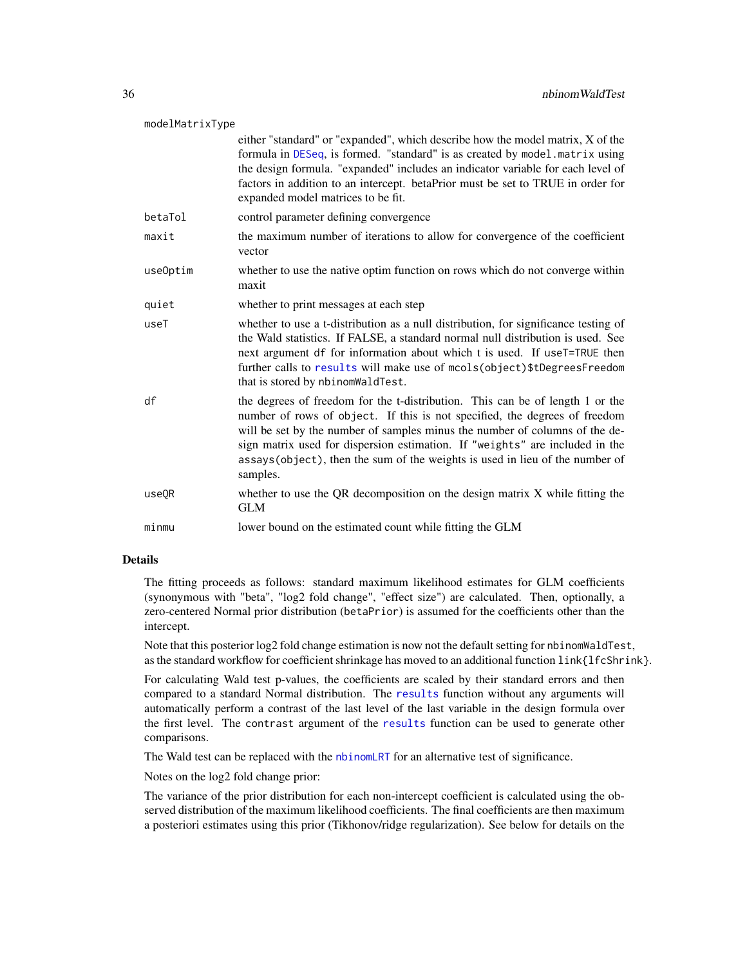<span id="page-35-0"></span>

either "standard" or "expanded", which describe how the model matrix, X of the formula in [DESeq](#page-6-1), is formed. "standard" is as created by model.matrix using the design formula. "expanded" includes an indicator variable for each level of factors in addition to an intercept. betaPrior must be set to TRUE in order for expanded model matrices to be fit.

- betaTol control parameter defining convergence
- maxit the maximum number of iterations to allow for convergence of the coefficient vector
- useOptim whether to use the native optim function on rows which do not converge within maxit
- quiet whether to print messages at each step
- useT whether to use a t-distribution as a null distribution, for significance testing of the Wald statistics. If FALSE, a standard normal null distribution is used. See next argument df for information about which t is used. If useT=TRUE then further calls to [results](#page-47-1) will make use of mcols(object)\$tDegreesFreedom that is stored by nbinomWaldTest.
- df the degrees of freedom for the t-distribution. This can be of length 1 or the number of rows of object. If this is not specified, the degrees of freedom will be set by the number of samples minus the number of columns of the design matrix used for dispersion estimation. If "weights" are included in the assays(object), then the sum of the weights is used in lieu of the number of samples.
- useQR whether to use the QR decomposition on the design matrix X while fitting the GLM

minmu lower bound on the estimated count while fitting the GLM

### Details

The fitting proceeds as follows: standard maximum likelihood estimates for GLM coefficients (synonymous with "beta", "log2 fold change", "effect size") are calculated. Then, optionally, a zero-centered Normal prior distribution (betaPrior) is assumed for the coefficients other than the intercept.

Note that this posterior log2 fold change estimation is now not the default setting for nbinomWaldTest, as the standard workflow for coefficient shrinkage has moved to an additional function link{lfcShrink}.

For calculating Wald test p-values, the coefficients are scaled by their standard errors and then compared to a standard Normal distribution. The [results](#page-47-1) function without any arguments will automatically perform a contrast of the last level of the last variable in the design formula over the first level. The contrast argument of the [results](#page-47-1) function can be used to generate other comparisons.

The Wald test can be replaced with the [nbinomLRT](#page-32-1) for an alternative test of significance.

Notes on the log2 fold change prior:

The variance of the prior distribution for each non-intercept coefficient is calculated using the observed distribution of the maximum likelihood coefficients. The final coefficients are then maximum a posteriori estimates using this prior (Tikhonov/ridge regularization). See below for details on the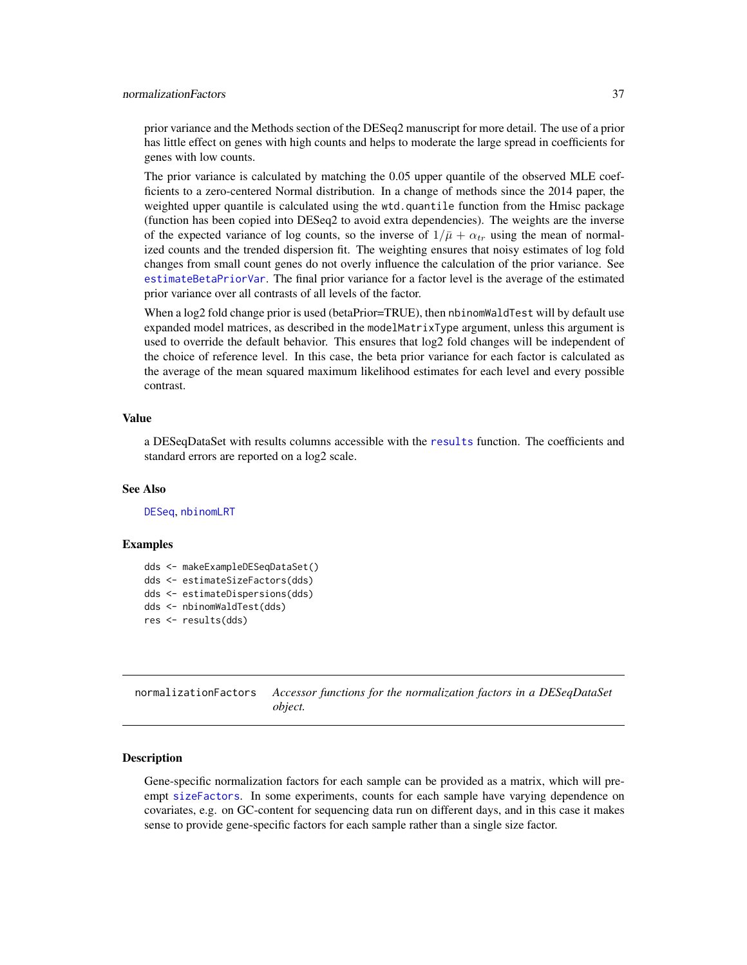#### <span id="page-36-0"></span>normalizationFactors 37

prior variance and the Methods section of the DESeq2 manuscript for more detail. The use of a prior has little effect on genes with high counts and helps to moderate the large spread in coefficients for genes with low counts.

The prior variance is calculated by matching the 0.05 upper quantile of the observed MLE coefficients to a zero-centered Normal distribution. In a change of methods since the 2014 paper, the weighted upper quantile is calculated using the wtd.quantile function from the Hmisc package (function has been copied into DESeq2 to avoid extra dependencies). The weights are the inverse of the expected variance of log counts, so the inverse of  $1/\bar{\mu} + \alpha_{tr}$  using the mean of normalized counts and the trended dispersion fit. The weighting ensures that noisy estimates of log fold changes from small count genes do not overly influence the calculation of the prior variance. See [estimateBetaPriorVar](#page-15-1). The final prior variance for a factor level is the average of the estimated prior variance over all contrasts of all levels of the factor.

When a log2 fold change prior is used (betaPrior=TRUE), then nbinomWaldTest will by default use expanded model matrices, as described in the modelMatrixType argument, unless this argument is used to override the default behavior. This ensures that log2 fold changes will be independent of the choice of reference level. In this case, the beta prior variance for each factor is calculated as the average of the mean squared maximum likelihood estimates for each level and every possible contrast.

#### Value

a DESeqDataSet with results columns accessible with the [results](#page-47-1) function. The coefficients and standard errors are reported on a log2 scale.

#### See Also

[DESeq](#page-6-1), [nbinomLRT](#page-32-1)

#### Examples

```
dds <- makeExampleDESeqDataSet()
dds <- estimateSizeFactors(dds)
dds <- estimateDispersions(dds)
dds <- nbinomWaldTest(dds)
res <- results(dds)
```
<span id="page-36-1"></span>normalizationFactors *Accessor functions for the normalization factors in a DESeqDataSet object.*

#### Description

Gene-specific normalization factors for each sample can be provided as a matrix, which will preempt [sizeFactors](#page-0-0). In some experiments, counts for each sample have varying dependence on covariates, e.g. on GC-content for sequencing data run on different days, and in this case it makes sense to provide gene-specific factors for each sample rather than a single size factor.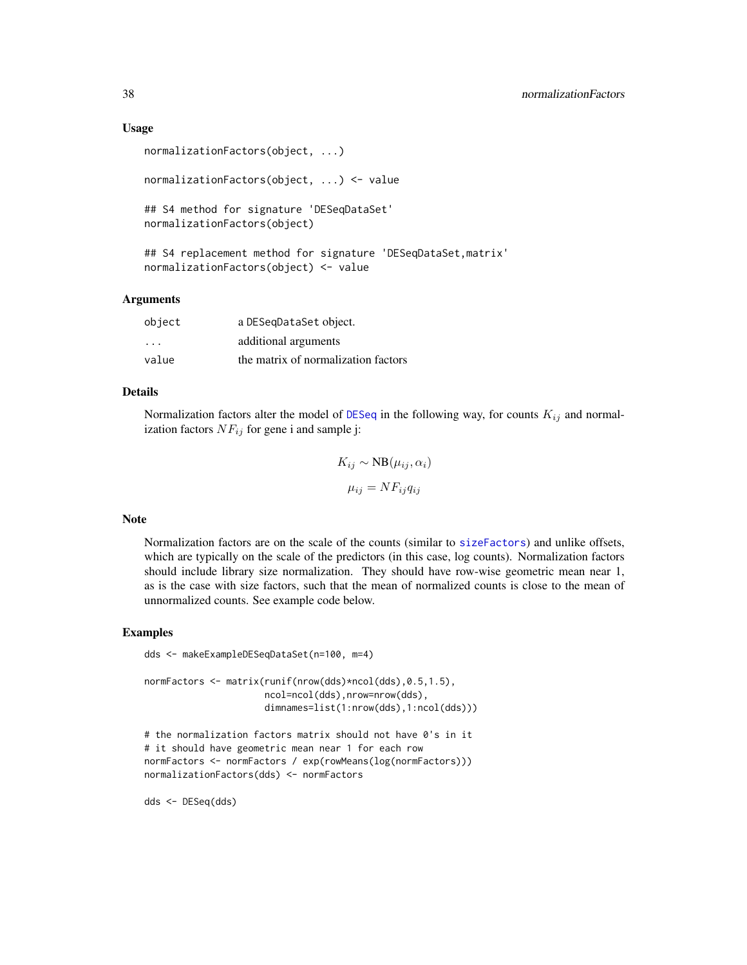#### <span id="page-37-0"></span>Usage

```
normalizationFactors(object, ...)
normalizationFactors(object, ...) <- value
## S4 method for signature 'DESeqDataSet'
normalizationFactors(object)
## S4 replacement method for signature 'DESeqDataSet,matrix'
normalizationFactors(object) <- value
```
#### Arguments

| object  | a DESeqDataSet object.              |  |
|---------|-------------------------------------|--|
| $\cdot$ | additional arguments                |  |
| value   | the matrix of normalization factors |  |

#### Details

Normalization factors alter the model of [DESeq](#page-6-1) in the following way, for counts  $K_{ij}$  and normalization factors  $NF_{ij}$  for gene i and sample j:

$$
K_{ij} \sim \text{NB}(\mu_{ij}, \alpha_i)
$$

$$
\mu_{ij} = NF_{ij}q_{ij}
$$

#### Note

Normalization factors are on the scale of the counts (similar to [sizeFactors](#page-0-0)) and unlike offsets, which are typically on the scale of the predictors (in this case, log counts). Normalization factors should include library size normalization. They should have row-wise geometric mean near 1, as is the case with size factors, such that the mean of normalized counts is close to the mean of unnormalized counts. See example code below.

#### Examples

```
dds <- makeExampleDESeqDataSet(n=100, m=4)
normFactors <- matrix(runif(nrow(dds)*ncol(dds),0.5,1.5),
                      ncol=ncol(dds),nrow=nrow(dds),
                      dimnames=list(1:nrow(dds),1:ncol(dds)))
```

```
# the normalization factors matrix should not have 0's in it
# it should have geometric mean near 1 for each row
normFactors <- normFactors / exp(rowMeans(log(normFactors)))
normalizationFactors(dds) <- normFactors
```
dds <- DESeq(dds)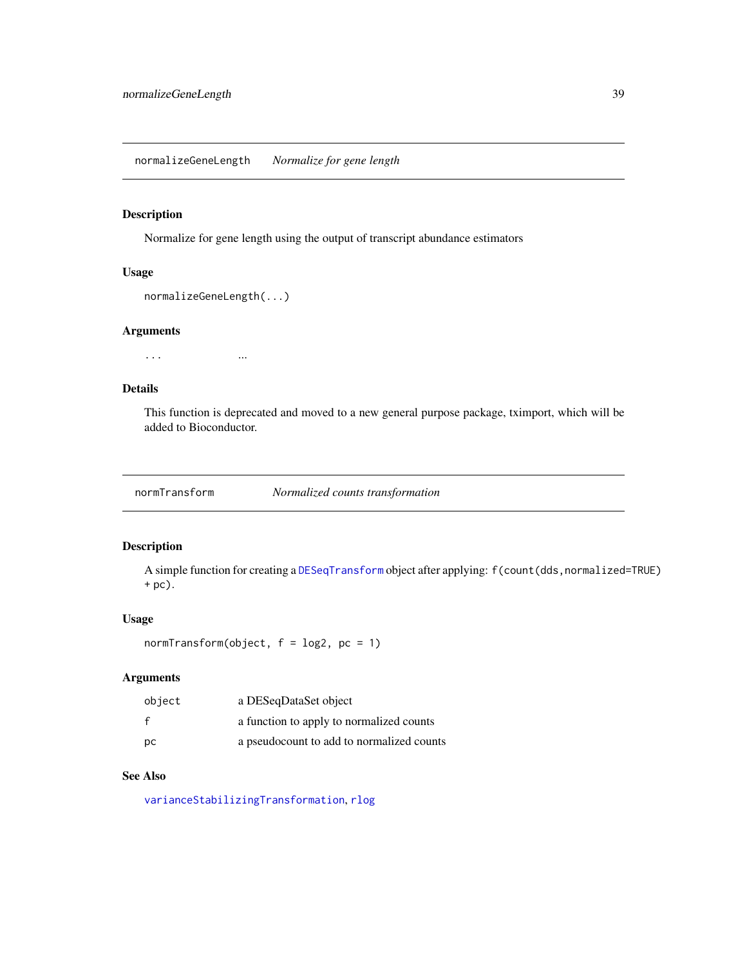<span id="page-38-0"></span>Normalize for gene length using the output of transcript abundance estimators

#### Usage

```
normalizeGeneLength(...)
```
#### Arguments

... ...

# Details

This function is deprecated and moved to a new general purpose package, tximport, which will be added to Bioconductor.

<span id="page-38-1"></span>normTransform *Normalized counts transformation*

# Description

A simple function for creating a [DESeqTransform](#page-12-1) object after applying: f(count(dds,normalized=TRUE) + pc).

# Usage

```
normTransform(object, f = log2, pc = 1)
```
# Arguments

| object | a DESeqDataSet object                     |
|--------|-------------------------------------------|
| f      | a function to apply to normalized counts  |
| pс     | a pseudocount to add to normalized counts |

# See Also

[varianceStabilizingTransformation](#page-58-1), [rlog](#page-52-1)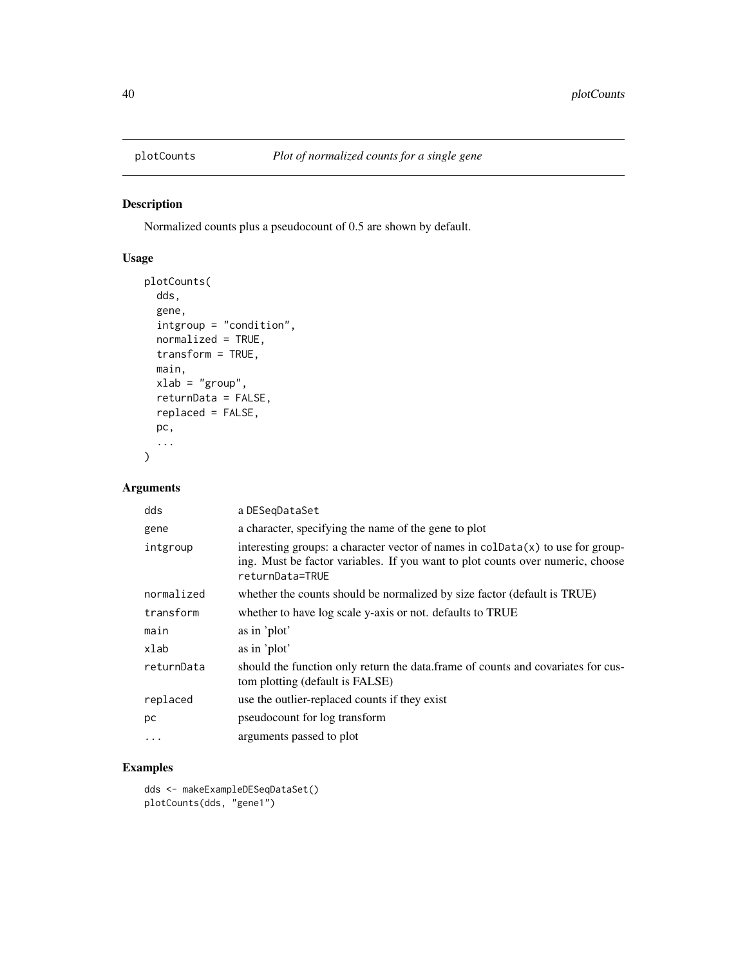<span id="page-39-1"></span><span id="page-39-0"></span>

Normalized counts plus a pseudocount of 0.5 are shown by default.

# Usage

```
plotCounts(
  dds,
  gene,
  intgroup = "condition",
 normalized = TRUE,
  transform = TRUE,
 main,
 xlab = "group",
 returnData = FALSE,
 replaced = FALSE,
 pc,
  ...
\mathcal{L}
```
# Arguments

| dds        | a DESegDataSet                                                                                                                                                                                |  |
|------------|-----------------------------------------------------------------------------------------------------------------------------------------------------------------------------------------------|--|
| gene       | a character, specifying the name of the gene to plot                                                                                                                                          |  |
| intgroup   | interesting groups: a character vector of names in $\text{colData}(x)$ to use for group-<br>ing. Must be factor variables. If you want to plot counts over numeric, choose<br>returnData=TRUE |  |
| normalized | whether the counts should be normalized by size factor (default is TRUE)                                                                                                                      |  |
| transform  | whether to have log scale y-axis or not. defaults to TRUE                                                                                                                                     |  |
| main       | as in 'plot'                                                                                                                                                                                  |  |
| xlab       | as in 'plot'                                                                                                                                                                                  |  |
| returnData | should the function only return the data. frame of counts and covariates for cus-<br>tom plotting (default is FALSE)                                                                          |  |
| replaced   | use the outlier-replaced counts if they exist                                                                                                                                                 |  |
| рc         | pseudocount for log transform                                                                                                                                                                 |  |
| .          | arguments passed to plot                                                                                                                                                                      |  |

# Examples

dds <- makeExampleDESeqDataSet() plotCounts(dds, "gene1")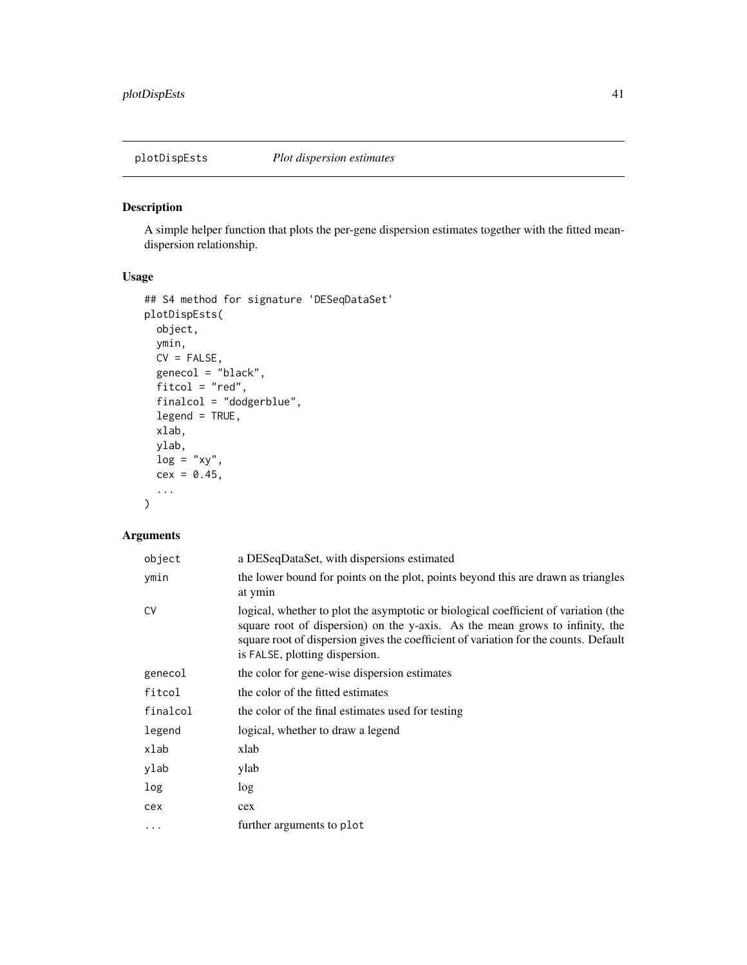<span id="page-40-0"></span>

A simple helper function that plots the per-gene dispersion estimates together with the fitted meandispersion relationship.

# Usage

```
## S4 method for signature 'DESeqDataSet'
plotDispEsts(
 object,
 ymin,
 CV = FALSE,genecol = "black",
  fitcol = "red",
  finalcol = "dodgerblue",
  legend = TRUE,
 xlab,
 ylab,
 log = "xy",cex = 0.45,...
\mathcal{L}
```
# Arguments

| object    | a DESeqDataSet, with dispersions estimated                                                                                                                                                                                                                                                    |
|-----------|-----------------------------------------------------------------------------------------------------------------------------------------------------------------------------------------------------------------------------------------------------------------------------------------------|
| ymin      | the lower bound for points on the plot, points beyond this are drawn as triangles<br>at ymin                                                                                                                                                                                                  |
| <b>CV</b> | logical, whether to plot the asymptotic or biological coefficient of variation (the<br>square root of dispersion) on the y-axis. As the mean grows to infinity, the<br>square root of dispersion gives the coefficient of variation for the counts. Default<br>is FALSE, plotting dispersion. |
| genecol   | the color for gene-wise dispersion estimates                                                                                                                                                                                                                                                  |
| fitcol    | the color of the fitted estimates                                                                                                                                                                                                                                                             |
| finalcol  | the color of the final estimates used for testing                                                                                                                                                                                                                                             |
| legend    | logical, whether to draw a legend                                                                                                                                                                                                                                                             |
| xlab      | xlab                                                                                                                                                                                                                                                                                          |
| ylab      | ylab                                                                                                                                                                                                                                                                                          |
| log       | log                                                                                                                                                                                                                                                                                           |
| cex       | cex                                                                                                                                                                                                                                                                                           |
| $\ddotsc$ | further arguments to plot                                                                                                                                                                                                                                                                     |
|           |                                                                                                                                                                                                                                                                                               |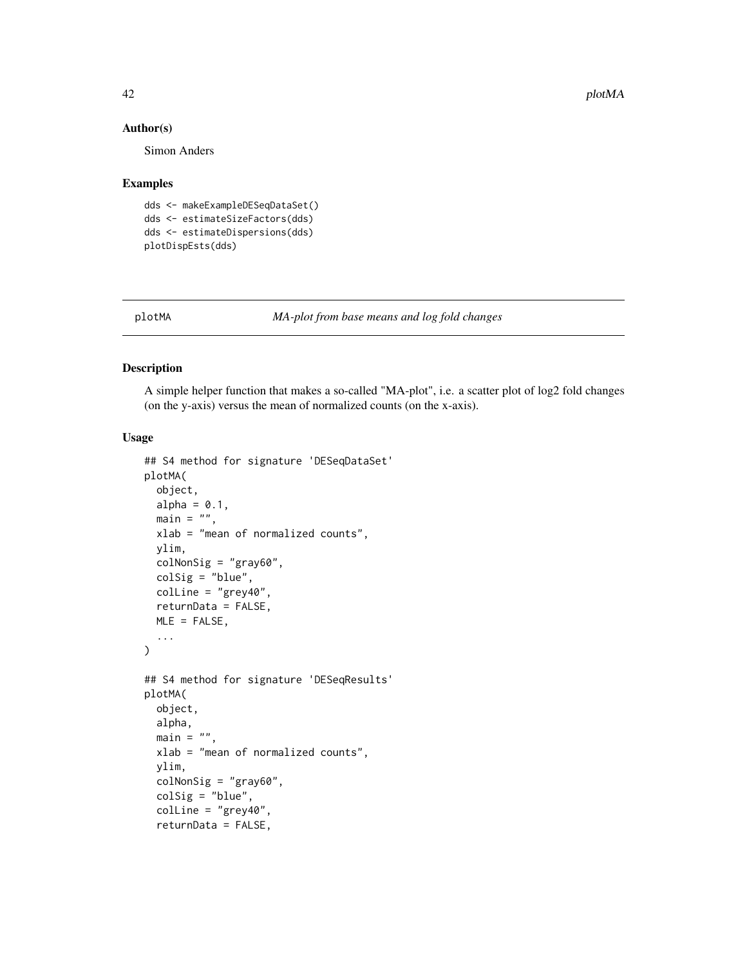#### Author(s)

Simon Anders

#### Examples

```
dds <- makeExampleDESeqDataSet()
dds <- estimateSizeFactors(dds)
dds <- estimateDispersions(dds)
plotDispEsts(dds)
```
<span id="page-41-1"></span>

plotMA *MA-plot from base means and log fold changes*

# Description

A simple helper function that makes a so-called "MA-plot", i.e. a scatter plot of log2 fold changes (on the y-axis) versus the mean of normalized counts (on the x-axis).

#### Usage

```
## S4 method for signature 'DESeqDataSet'
plotMA(
 object,
  alpha = 0.1,
 main = "",xlab = "mean of normalized counts",
 ylim,
 colNonSig = "gray60",
 colSig = "blue",
 colLine = "grey40",
 returnData = FALSE,
 MLE = FALSE,...
\mathcal{E}## S4 method for signature 'DESeqResults'
plotMA(
 object,
  alpha,
 main = "",xlab = "mean of normalized counts",
 ylim,
  colNonSig = "gray60",colSig = "blue",
  colLine = "grey40",
  returnData = FALSE,
```
<span id="page-41-0"></span>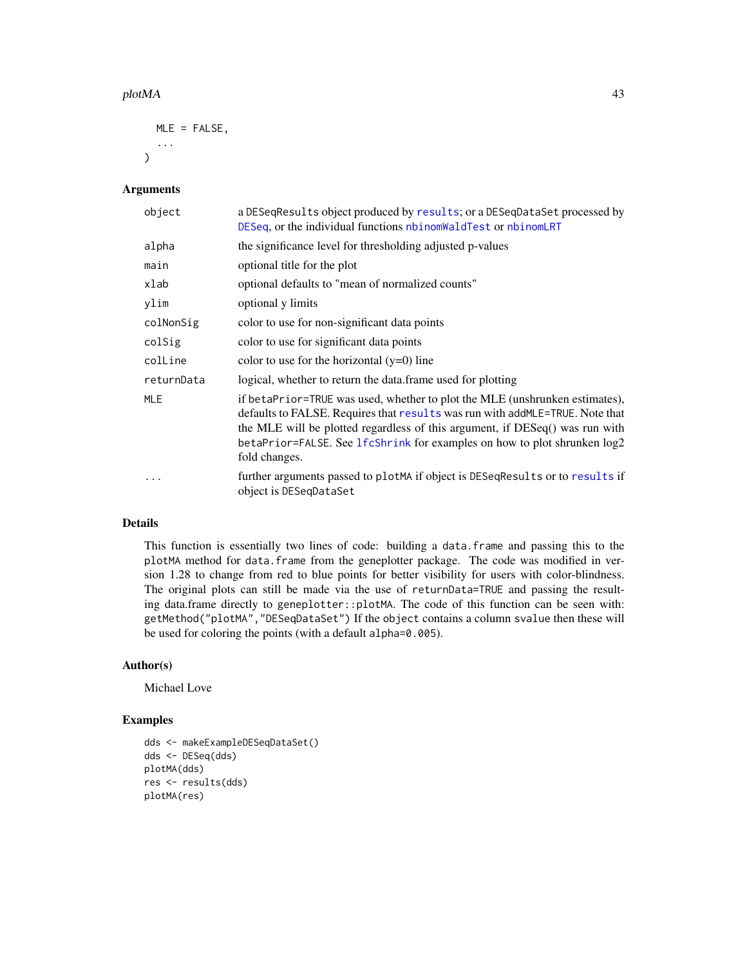#### <span id="page-42-0"></span>plotMA and the set of the set of the set of the set of the set of the set of the set of the set of the set of the set of the set of the set of the set of the set of the set of the set of the set of the set of the set of th

```
MLE = FALSE,...
\lambda
```
#### Arguments

| object     | a DESeqResults object produced by results; or a DESeqDataSet processed by<br>DESeq, or the individual functions nbinomWaldTest or nbinomLRT                                                                                                                                                                                               |  |
|------------|-------------------------------------------------------------------------------------------------------------------------------------------------------------------------------------------------------------------------------------------------------------------------------------------------------------------------------------------|--|
| alpha      | the significance level for thresholding adjusted p-values                                                                                                                                                                                                                                                                                 |  |
| main       | optional title for the plot                                                                                                                                                                                                                                                                                                               |  |
| xlab       | optional defaults to "mean of normalized counts"                                                                                                                                                                                                                                                                                          |  |
| ylim       | optional y limits                                                                                                                                                                                                                                                                                                                         |  |
| colNonSig  | color to use for non-significant data points                                                                                                                                                                                                                                                                                              |  |
| colSig     | color to use for significant data points                                                                                                                                                                                                                                                                                                  |  |
| colLine    | color to use for the horizontal $(y=0)$ line                                                                                                                                                                                                                                                                                              |  |
| returnData | logical, whether to return the data frame used for plotting                                                                                                                                                                                                                                                                               |  |
| MLE        | if betaPrior=TRUE was used, whether to plot the MLE (unshrunken estimates),<br>defaults to FALSE. Requires that results was run with add MLE=TRUE. Note that<br>the MLE will be plotted regardless of this argument, if DESeq() was run with<br>betaPrior=FALSE. See lfcShrink for examples on how to plot shrunken log2<br>fold changes. |  |
| $\cdots$   | further arguments passed to plot MA if object is DESeq Results or to results if<br>object is DESeqDataSet                                                                                                                                                                                                                                 |  |

# Details

This function is essentially two lines of code: building a data.frame and passing this to the plotMA method for data.frame from the geneplotter package. The code was modified in version 1.28 to change from red to blue points for better visibility for users with color-blindness. The original plots can still be made via the use of returnData=TRUE and passing the resulting data.frame directly to geneplotter::plotMA. The code of this function can be seen with: getMethod("plotMA","DESeqDataSet") If the object contains a column svalue then these will be used for coloring the points (with a default alpha=0.005).

#### Author(s)

Michael Love

#### Examples

```
dds <- makeExampleDESeqDataSet()
dds <- DESeq(dds)
plotMA(dds)
res <- results(dds)
plotMA(res)
```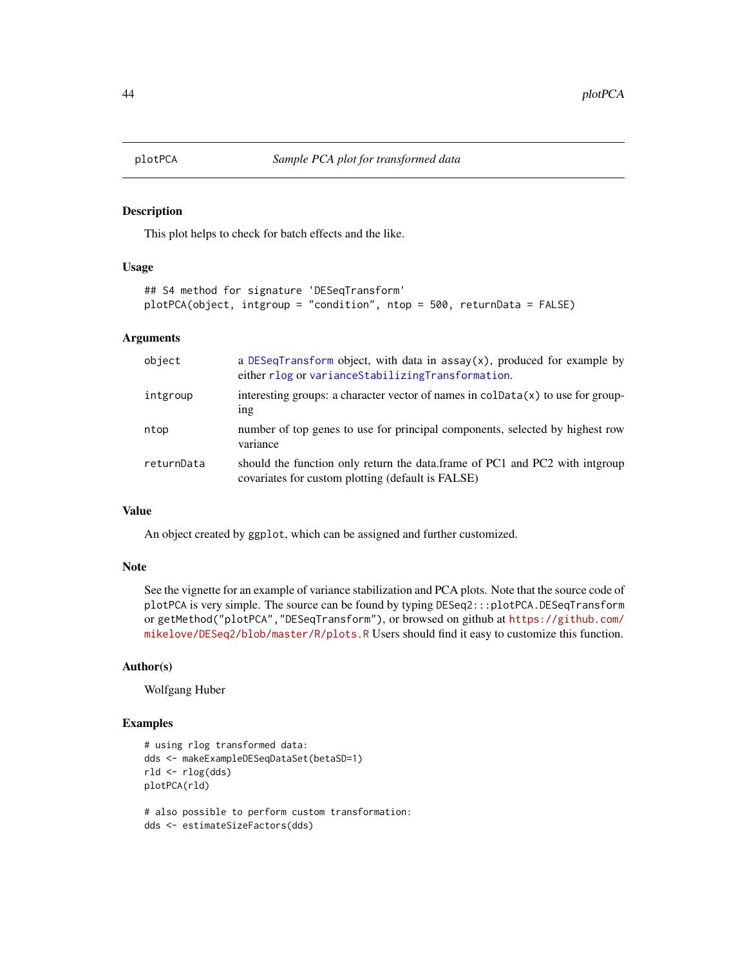<span id="page-43-1"></span><span id="page-43-0"></span>

This plot helps to check for batch effects and the like.

# Usage

```
## S4 method for signature 'DESeqTransform'
plotPCA(object, intgroup = "condition", ntop = 500, returnData = FALSE)
```
#### Arguments

| object     | a DESeqTransform object, with data in $assay(x)$ , produced for example by<br>either rlog or variance Stabilizing Transformation. |
|------------|-----------------------------------------------------------------------------------------------------------------------------------|
| intgroup   | interesting groups: a character vector of names in $\text{colData}(x)$ to use for group-<br>1 <sub>n</sub>                        |
| ntop       | number of top genes to use for principal components, selected by highest row<br>variance                                          |
| returnData | should the function only return the data.frame of PC1 and PC2 with interoup<br>covariates for custom plotting (default is FALSE)  |

#### Value

An object created by ggplot, which can be assigned and further customized.

#### Note

See the vignette for an example of variance stabilization and PCA plots. Note that the source code of plotPCA is very simple. The source can be found by typing DESeq2:::plotPCA.DESeqTransform or getMethod("plotPCA","DESeqTransform"), or browsed on github at [https://github.com/](https://github.com/mikelove/DESeq2/blob/master/R/plots.R) [mikelove/DESeq2/blob/master/R/plots.R](https://github.com/mikelove/DESeq2/blob/master/R/plots.R) Users should find it easy to customize this function.

#### Author(s)

Wolfgang Huber

#### Examples

```
# using rlog transformed data:
dds <- makeExampleDESeqDataSet(betaSD=1)
rld <- rlog(dds)
plotPCA(rld)
```
# also possible to perform custom transformation: dds <- estimateSizeFactors(dds)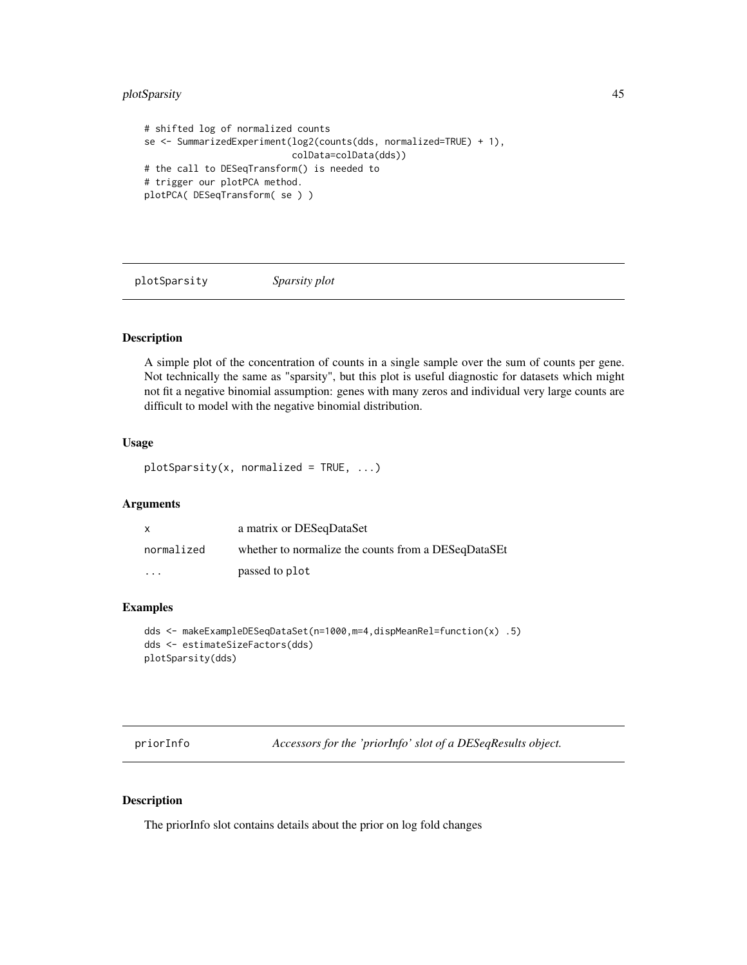# <span id="page-44-0"></span>plotSparsity 45

```
# shifted log of normalized counts
se <- SummarizedExperiment(log2(counts(dds, normalized=TRUE) + 1),
                           colData=colData(dds))
# the call to DESeqTransform() is needed to
# trigger our plotPCA method.
plotPCA( DESeqTransform( se ) )
```
plotSparsity *Sparsity plot*

#### Description

A simple plot of the concentration of counts in a single sample over the sum of counts per gene. Not technically the same as "sparsity", but this plot is useful diagnostic for datasets which might not fit a negative binomial assumption: genes with many zeros and individual very large counts are difficult to model with the negative binomial distribution.

# Usage

 $plotsparsity(x, normalized = TRUE, ...)$ 

#### Arguments

| $\mathsf{x}$ | a matrix or DESeqDataSet                            |
|--------------|-----------------------------------------------------|
| normalized   | whether to normalize the counts from a DESeqDataSEt |
| $\cdot$      | passed to plot                                      |

# Examples

```
dds <- makeExampleDESeqDataSet(n=1000,m=4,dispMeanRel=function(x) .5)
dds <- estimateSizeFactors(dds)
plotSparsity(dds)
```
priorInfo *Accessors for the 'priorInfo' slot of a DESeqResults object.*

### Description

The priorInfo slot contains details about the prior on log fold changes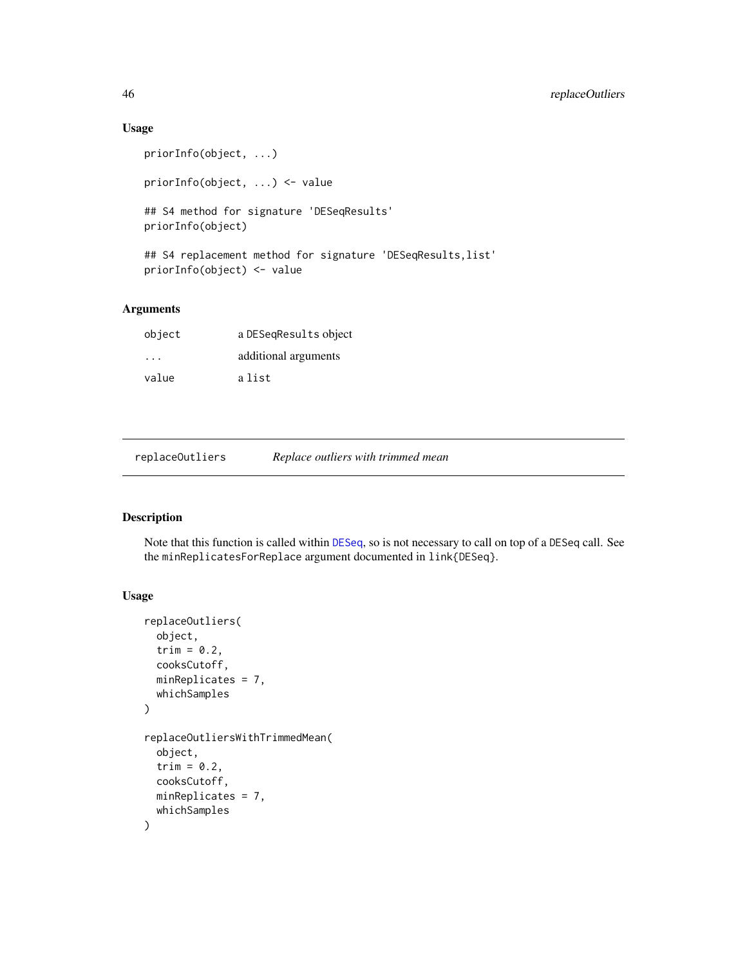# Usage

```
priorInfo(object, ...)
priorInfo(object, ...) <- value
## S4 method for signature 'DESeqResults'
priorInfo(object)
## S4 replacement method for signature 'DESeqResults,list'
priorInfo(object) <- value
```
# Arguments

| object | a DESegResults object |
|--------|-----------------------|
| .      | additional arguments  |
| value  | a list                |

<span id="page-45-1"></span>replaceOutliers *Replace outliers with trimmed mean*

# Description

Note that this function is called within [DESeq](#page-6-1), so is not necessary to call on top of a DESeq call. See the minReplicatesForReplace argument documented in link{DESeq}.

# Usage

```
replaceOutliers(
 object,
  trim = 0.2,
 cooksCutoff,
 minReplicates = 7,
 whichSamples
)
replaceOutliersWithTrimmedMean(
  object,
  trim = 0.2,
 cooksCutoff,
 minReplicates = 7,
 whichSamples
)
```
<span id="page-45-0"></span>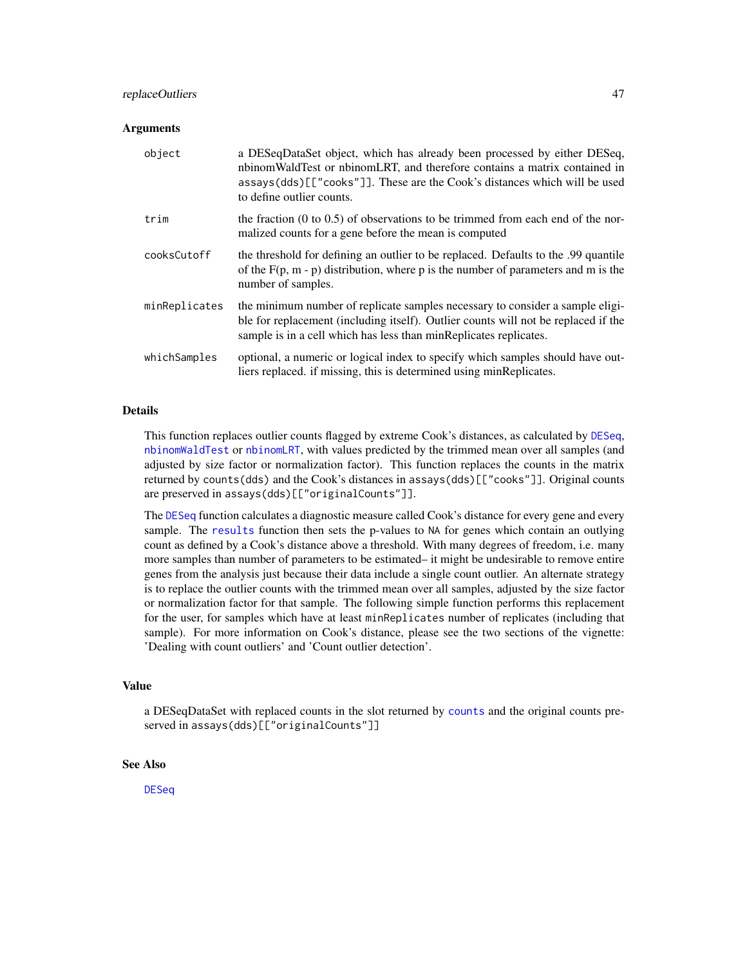# <span id="page-46-0"></span>replaceOutliers 47

#### **Arguments**

| object        | a DESeqDataSet object, which has already been processed by either DESeq,<br>nbinomWaldTest or nbinomLRT, and therefore contains a matrix contained in<br>assays(dds)[["cooks"]]. These are the Cook's distances which will be used<br>to define outlier counts. |
|---------------|-----------------------------------------------------------------------------------------------------------------------------------------------------------------------------------------------------------------------------------------------------------------|
| trim          | the fraction $(0 \text{ to } 0.5)$ of observations to be trimmed from each end of the nor-<br>malized counts for a gene before the mean is computed                                                                                                             |
| cooksCutoff   | the threshold for defining an outlier to be replaced. Defaults to the .99 quantile<br>of the $F(p, m - p)$ distribution, where p is the number of parameters and m is the<br>number of samples.                                                                 |
| minReplicates | the minimum number of replicate samples necessary to consider a sample eligi-<br>ble for replacement (including itself). Outlier counts will not be replaced if the<br>sample is in a cell which has less than minReplicates replicates.                        |
| whichSamples  | optional, a numeric or logical index to specify which samples should have out-<br>liers replaced. if missing, this is determined using minReplicates.                                                                                                           |

#### Details

This function replaces outlier counts flagged by extreme Cook's distances, as calculated by [DESeq](#page-6-1), [nbinomWaldTest](#page-34-1) or [nbinomLRT](#page-32-1), with values predicted by the trimmed mean over all samples (and adjusted by size factor or normalization factor). This function replaces the counts in the matrix returned by counts(dds) and the Cook's distances in assays(dds)[["cooks"]]. Original counts are preserved in assays(dds)[["originalCounts"]].

The [DESeq](#page-6-1) function calculates a diagnostic measure called Cook's distance for every gene and every sample. The [results](#page-47-1) function then sets the p-values to NA for genes which contain an outlying count as defined by a Cook's distance above a threshold. With many degrees of freedom, i.e. many more samples than number of parameters to be estimated– it might be undesirable to remove entire genes from the analysis just because their data include a single count outlier. An alternate strategy is to replace the outlier counts with the trimmed mean over all samples, adjusted by the size factor or normalization factor for that sample. The following simple function performs this replacement for the user, for samples which have at least minReplicates number of replicates (including that sample). For more information on Cook's distance, please see the two sections of the vignette: 'Dealing with count outliers' and 'Count outlier detection'.

#### Value

a DESeqDataSet with replaced counts in the slot returned by [counts](#page-0-0) and the original counts preserved in assays(dds)[["originalCounts"]]

#### See Also

**[DESeq](#page-6-1)**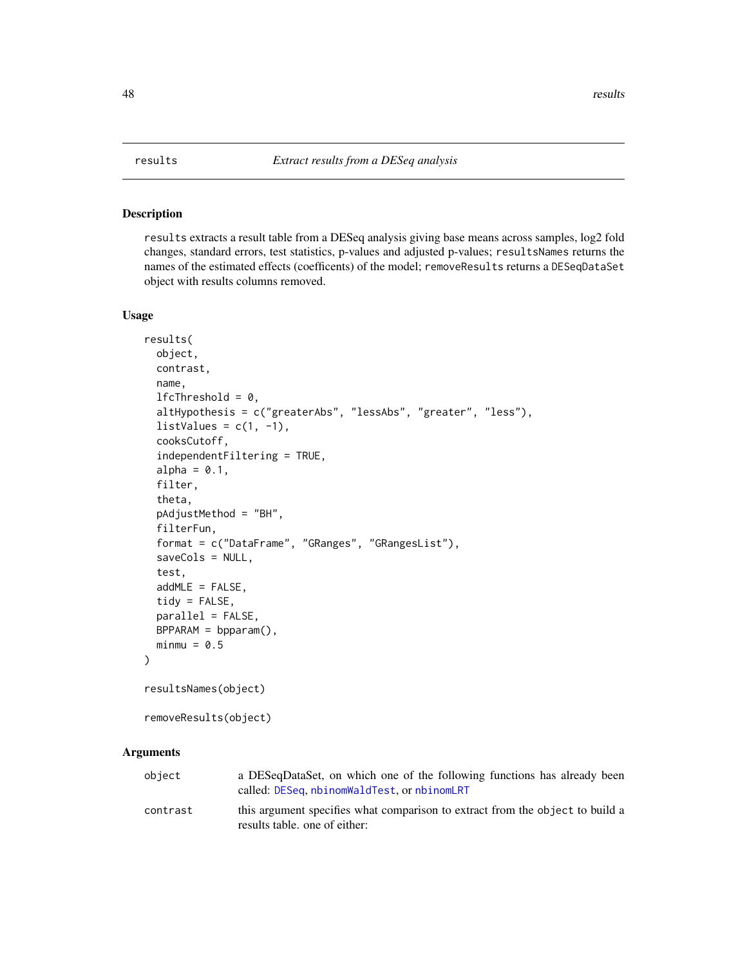<span id="page-47-1"></span><span id="page-47-0"></span>

results extracts a result table from a DESeq analysis giving base means across samples, log2 fold changes, standard errors, test statistics, p-values and adjusted p-values; resultsNames returns the names of the estimated effects (coefficents) of the model; removeResults returns a DESeqDataSet object with results columns removed.

#### Usage

```
results(
  object,
 contrast,
 name,
  1fcThreshold = 0,
  altHypothesis = c("greaterAbs", "lessAbs", "greater", "less"),
  listValues = c(1, -1),
  cooksCutoff,
  independentFiltering = TRUE,
  alpha = 0.1,
  filter,
  theta,
  pAdjustMethod = "BH",
  filterFun,
  format = c("DataFrame", "GRanges", "GRangesList"),
  saveCols = NULL,
  test,
  addMLE = FALSE,tidy = FALSE,
 parallel = FALSE,
 BPPARAM = bpparam(),
 minmu = 0.5\lambdaresultsNames(object)
removeResults(object)
```
#### **Arguments**

| object   | a DESeqDataSet, on which one of the following functions has already been<br>called: DESeq, nbinomWaldTest, or nbinomLRT |
|----------|-------------------------------------------------------------------------------------------------------------------------|
| contrast | this argument specifies what comparison to extract from the object to build a<br>results table, one of either:          |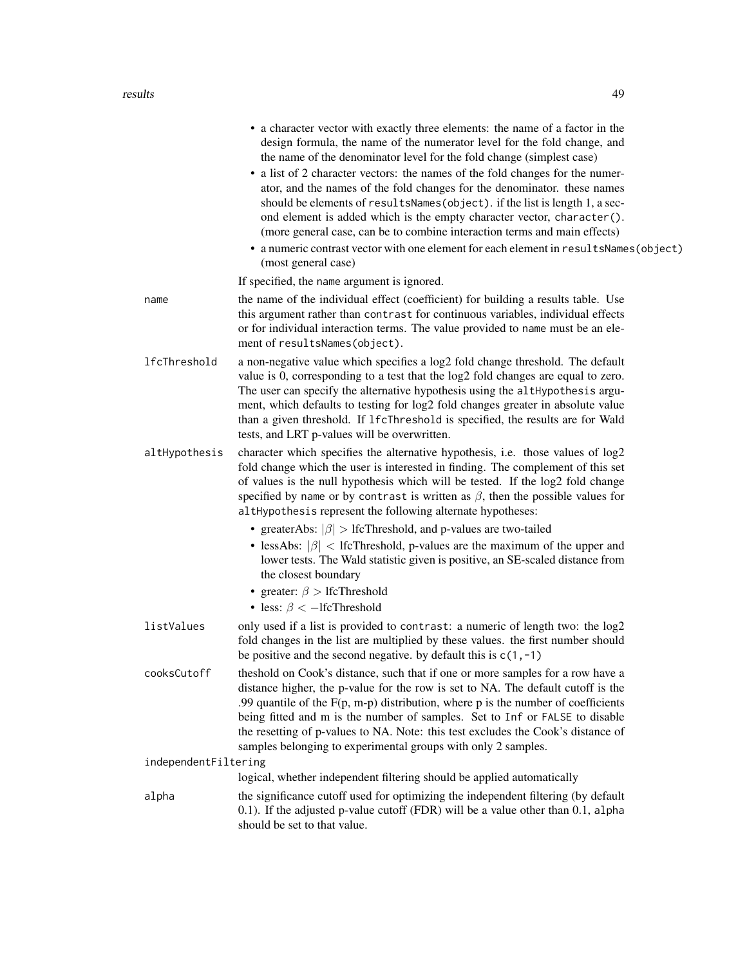#### results 49

|                      | • a character vector with exactly three elements: the name of a factor in the<br>design formula, the name of the numerator level for the fold change, and<br>the name of the denominator level for the fold change (simplest case)<br>• a list of 2 character vectors: the names of the fold changes for the numer-<br>ator, and the names of the fold changes for the denominator. these names<br>should be elements of resultsNames(object). if the list is length 1, a sec-<br>ond element is added which is the empty character vector, character().<br>(more general case, can be to combine interaction terms and main effects)<br>• a numeric contrast vector with one element for each element in resultsNames(object)<br>(most general case)  |
|----------------------|--------------------------------------------------------------------------------------------------------------------------------------------------------------------------------------------------------------------------------------------------------------------------------------------------------------------------------------------------------------------------------------------------------------------------------------------------------------------------------------------------------------------------------------------------------------------------------------------------------------------------------------------------------------------------------------------------------------------------------------------------------|
|                      | If specified, the name argument is ignored.                                                                                                                                                                                                                                                                                                                                                                                                                                                                                                                                                                                                                                                                                                            |
| name                 | the name of the individual effect (coefficient) for building a results table. Use<br>this argument rather than contrast for continuous variables, individual effects<br>or for individual interaction terms. The value provided to name must be an ele-<br>ment of resultsNames(object).                                                                                                                                                                                                                                                                                                                                                                                                                                                               |
| lfcThreshold         | a non-negative value which specifies a log2 fold change threshold. The default<br>value is 0, corresponding to a test that the log2 fold changes are equal to zero.<br>The user can specify the alternative hypothesis using the altHypothesis argu-<br>ment, which defaults to testing for log2 fold changes greater in absolute value<br>than a given threshold. If 1fcThreshold is specified, the results are for Wald<br>tests, and LRT p-values will be overwritten.                                                                                                                                                                                                                                                                              |
| altHypothesis        | character which specifies the alternative hypothesis, i.e. those values of log2<br>fold change which the user is interested in finding. The complement of this set<br>of values is the null hypothesis which will be tested. If the log2 fold change<br>specified by name or by contrast is written as $\beta$ , then the possible values for<br>altHypothesis represent the following alternate hypotheses:<br>• greaterAbs: $ \beta $ > lfcThreshold, and p-values are two-tailed<br>• lessAbs: $ \beta $ < lfcThreshold, p-values are the maximum of the upper and<br>lower tests. The Wald statistic given is positive, an SE-scaled distance from<br>the closest boundary<br>• greater: $\beta >$ IfcThreshold<br>• less: $\beta$ < -1fcThreshold |
| listValues           | only used if a list is provided to contrast: a numeric of length two: the log2<br>fold changes in the list are multiplied by these values. the first number should<br>be positive and the second negative. by default this is $c(1, -1)$                                                                                                                                                                                                                                                                                                                                                                                                                                                                                                               |
| cooksCutoff          | the shold on Cook's distance, such that if one or more samples for a row have a<br>distance higher, the p-value for the row is set to NA. The default cutoff is the<br>.99 quantile of the $F(p, m-p)$ distribution, where $p$ is the number of coefficients<br>being fitted and m is the number of samples. Set to Inf or FALSE to disable<br>the resetting of p-values to NA. Note: this test excludes the Cook's distance of<br>samples belonging to experimental groups with only 2 samples.                                                                                                                                                                                                                                                       |
| independentFiltering |                                                                                                                                                                                                                                                                                                                                                                                                                                                                                                                                                                                                                                                                                                                                                        |
|                      | logical, whether independent filtering should be applied automatically                                                                                                                                                                                                                                                                                                                                                                                                                                                                                                                                                                                                                                                                                 |

alpha the significance cutoff used for optimizing the independent filtering (by default 0.1). If the adjusted p-value cutoff (FDR) will be a value other than 0.1, alpha should be set to that value.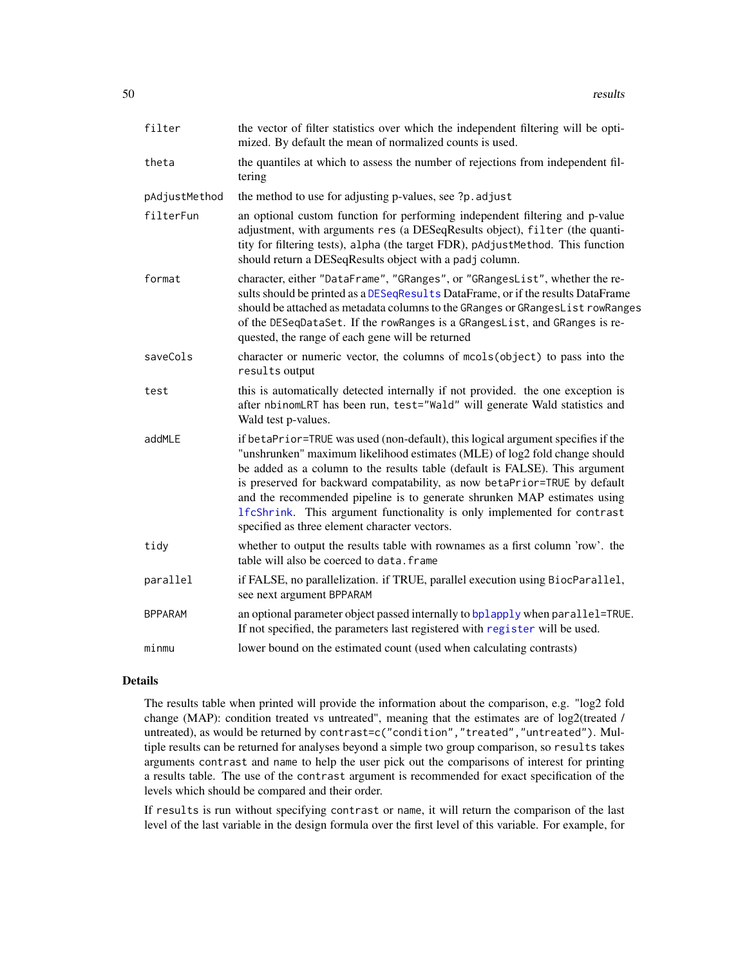<span id="page-49-0"></span>

| filter         | the vector of filter statistics over which the independent filtering will be opti-<br>mized. By default the mean of normalized counts is used.                                                                                                                                                                                                                                                                                                                                                                                     |
|----------------|------------------------------------------------------------------------------------------------------------------------------------------------------------------------------------------------------------------------------------------------------------------------------------------------------------------------------------------------------------------------------------------------------------------------------------------------------------------------------------------------------------------------------------|
| theta          | the quantiles at which to assess the number of rejections from independent fil-<br>tering                                                                                                                                                                                                                                                                                                                                                                                                                                          |
| pAdjustMethod  | the method to use for adjusting p-values, see ?p. adjust                                                                                                                                                                                                                                                                                                                                                                                                                                                                           |
| filterFun      | an optional custom function for performing independent filtering and p-value<br>adjustment, with arguments res (a DESeqResults object), filter (the quanti-<br>tity for filtering tests), alpha (the target FDR), pAdjustMethod. This function<br>should return a DESeqResults object with a padj column.                                                                                                                                                                                                                          |
| format         | character, either "DataFrame", "GRanges", or "GRangesList", whether the re-<br>sults should be printed as a DESeqResults DataFrame, or if the results DataFrame<br>should be attached as metadata columns to the GRanges or GRangesList rowRanges<br>of the DESeqDataSet. If the rowRanges is a GRangesList, and GRanges is re-<br>quested, the range of each gene will be returned                                                                                                                                                |
| saveCols       | character or numeric vector, the columns of mcols(object) to pass into the<br>results output                                                                                                                                                                                                                                                                                                                                                                                                                                       |
| test           | this is automatically detected internally if not provided. the one exception is<br>after nbinomLRT has been run, test="Wald" will generate Wald statistics and<br>Wald test p-values.                                                                                                                                                                                                                                                                                                                                              |
| addMLE         | if betaPrior=TRUE was used (non-default), this logical argument specifies if the<br>"unshrunken" maximum likelihood estimates (MLE) of log2 fold change should<br>be added as a column to the results table (default is FALSE). This argument<br>is preserved for backward compatability, as now betaPrior=TRUE by default<br>and the recommended pipeline is to generate shrunken MAP estimates using<br>1fcShrink. This argument functionality is only implemented for contrast<br>specified as three element character vectors. |
| tidy           | whether to output the results table with rownames as a first column 'row'. the<br>table will also be coerced to data. frame                                                                                                                                                                                                                                                                                                                                                                                                        |
| parallel       | if FALSE, no parallelization. if TRUE, parallel execution using BiocParallel,<br>see next argument BPPARAM                                                                                                                                                                                                                                                                                                                                                                                                                         |
| <b>BPPARAM</b> | an optional parameter object passed internally to bplapply when parallel=TRUE.<br>If not specified, the parameters last registered with register will be used.                                                                                                                                                                                                                                                                                                                                                                     |
| minmu          | lower bound on the estimated count (used when calculating contrasts)                                                                                                                                                                                                                                                                                                                                                                                                                                                               |

### Details

The results table when printed will provide the information about the comparison, e.g. "log2 fold change (MAP): condition treated vs untreated", meaning that the estimates are of log2(treated / untreated), as would be returned by contrast=c("condition","treated","untreated"). Multiple results can be returned for analyses beyond a simple two group comparison, so results takes arguments contrast and name to help the user pick out the comparisons of interest for printing a results table. The use of the contrast argument is recommended for exact specification of the levels which should be compared and their order.

If results is run without specifying contrast or name, it will return the comparison of the last level of the last variable in the design formula over the first level of this variable. For example, for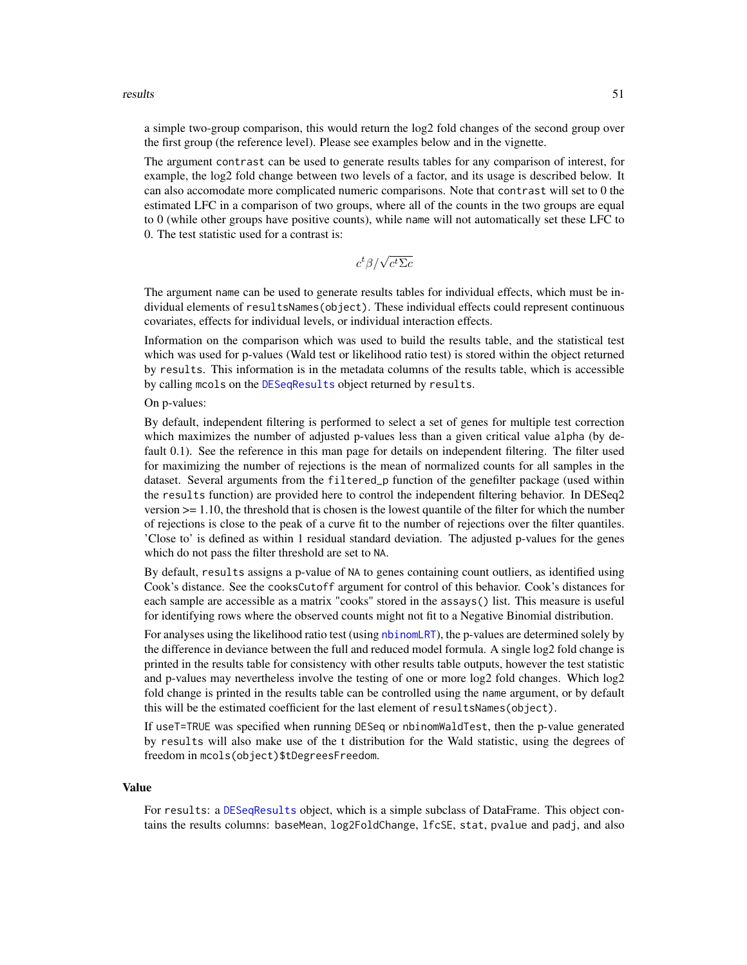#### <span id="page-50-0"></span>results 51

a simple two-group comparison, this would return the log2 fold changes of the second group over the first group (the reference level). Please see examples below and in the vignette.

The argument contrast can be used to generate results tables for any comparison of interest, for example, the log2 fold change between two levels of a factor, and its usage is described below. It can also accomodate more complicated numeric comparisons. Note that contrast will set to 0 the estimated LFC in a comparison of two groups, where all of the counts in the two groups are equal to 0 (while other groups have positive counts), while name will not automatically set these LFC to 0. The test statistic used for a contrast is:

$$
c^t\beta/\sqrt{c^t\Sigma c}
$$

The argument name can be used to generate results tables for individual effects, which must be individual elements of resultsNames(object). These individual effects could represent continuous covariates, effects for individual levels, or individual interaction effects.

Information on the comparison which was used to build the results table, and the statistical test which was used for p-values (Wald test or likelihood ratio test) is stored within the object returned by results. This information is in the metadata columns of the results table, which is accessible by calling mcols on the [DESeqResults](#page-11-1) object returned by results.

#### On p-values:

By default, independent filtering is performed to select a set of genes for multiple test correction which maximizes the number of adjusted p-values less than a given critical value alpha (by default 0.1). See the reference in this man page for details on independent filtering. The filter used for maximizing the number of rejections is the mean of normalized counts for all samples in the dataset. Several arguments from the filtered\_p function of the genefilter package (used within the results function) are provided here to control the independent filtering behavior. In DESeq2 version  $\ge$  1.10, the threshold that is chosen is the lowest quantile of the filter for which the number of rejections is close to the peak of a curve fit to the number of rejections over the filter quantiles. 'Close to' is defined as within 1 residual standard deviation. The adjusted p-values for the genes which do not pass the filter threshold are set to NA.

By default, results assigns a p-value of NA to genes containing count outliers, as identified using Cook's distance. See the cooksCutoff argument for control of this behavior. Cook's distances for each sample are accessible as a matrix "cooks" stored in the assays() list. This measure is useful for identifying rows where the observed counts might not fit to a Negative Binomial distribution.

For analyses using the likelihood ratio test (using [nbinomLRT](#page-32-1)), the p-values are determined solely by the difference in deviance between the full and reduced model formula. A single log2 fold change is printed in the results table for consistency with other results table outputs, however the test statistic and p-values may nevertheless involve the testing of one or more log2 fold changes. Which log2 fold change is printed in the results table can be controlled using the name argument, or by default this will be the estimated coefficient for the last element of resultsNames(object).

If useT=TRUE was specified when running DESeq or nbinomWaldTest, then the p-value generated by results will also make use of the t distribution for the Wald statistic, using the degrees of freedom in mcols(object)\$tDegreesFreedom.

#### Value

For results: a [DESeqResults](#page-11-1) object, which is a simple subclass of DataFrame. This object contains the results columns: baseMean, log2FoldChange, lfcSE, stat, pvalue and padj, and also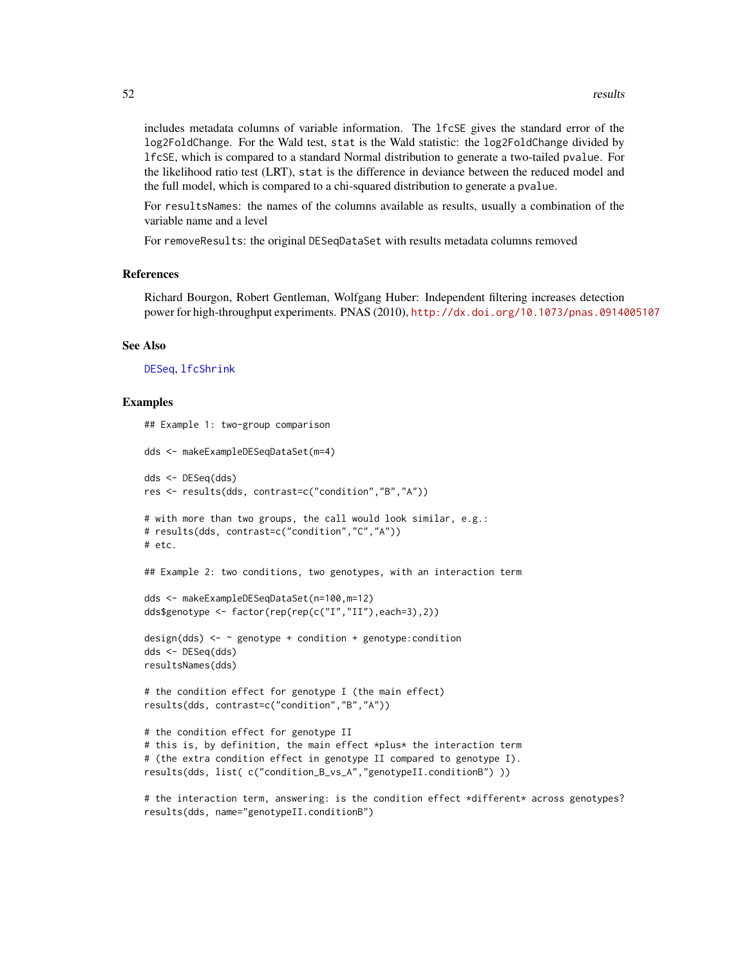<span id="page-51-0"></span>includes metadata columns of variable information. The lfcSE gives the standard error of the log2FoldChange. For the Wald test, stat is the Wald statistic: the log2FoldChange divided by lfcSE, which is compared to a standard Normal distribution to generate a two-tailed pvalue. For the likelihood ratio test (LRT), stat is the difference in deviance between the reduced model and the full model, which is compared to a chi-squared distribution to generate a pvalue.

For resultsNames: the names of the columns available as results, usually a combination of the variable name and a level

For removeResults: the original DESeqDataSet with results metadata columns removed

#### References

Richard Bourgon, Robert Gentleman, Wolfgang Huber: Independent filtering increases detection power for high-throughput experiments. PNAS (2010), <http://dx.doi.org/10.1073/pnas.0914005107>

#### See Also

[DESeq](#page-6-1), [lfcShrink](#page-28-1)

#### Examples

```
## Example 1: two-group comparison
dds <- makeExampleDESeqDataSet(m=4)
dds <- DESeq(dds)
res <- results(dds, contrast=c("condition","B","A"))
# with more than two groups, the call would look similar, e.g.:
# results(dds, contrast=c("condition","C","A"))
# etc.
## Example 2: two conditions, two genotypes, with an interaction term
dds <- makeExampleDESeqDataSet(n=100,m=12)
dds$genotype <- factor(rep(rep(c("I","II"),each=3),2))
design(dds) \leq \sim genotype + condition + genotype: condition
dds <- DESeq(dds)
resultsNames(dds)
# the condition effect for genotype I (the main effect)
results(dds, contrast=c("condition","B","A"))
# the condition effect for genotype II
# this is, by definition, the main effect *plus* the interaction term
# (the extra condition effect in genotype II compared to genotype I).
results(dds, list( c("condition_B_vs_A","genotypeII.conditionB") ))
```
# the interaction term, answering: is the condition effect \*different\* across genotypes? results(dds, name="genotypeII.conditionB")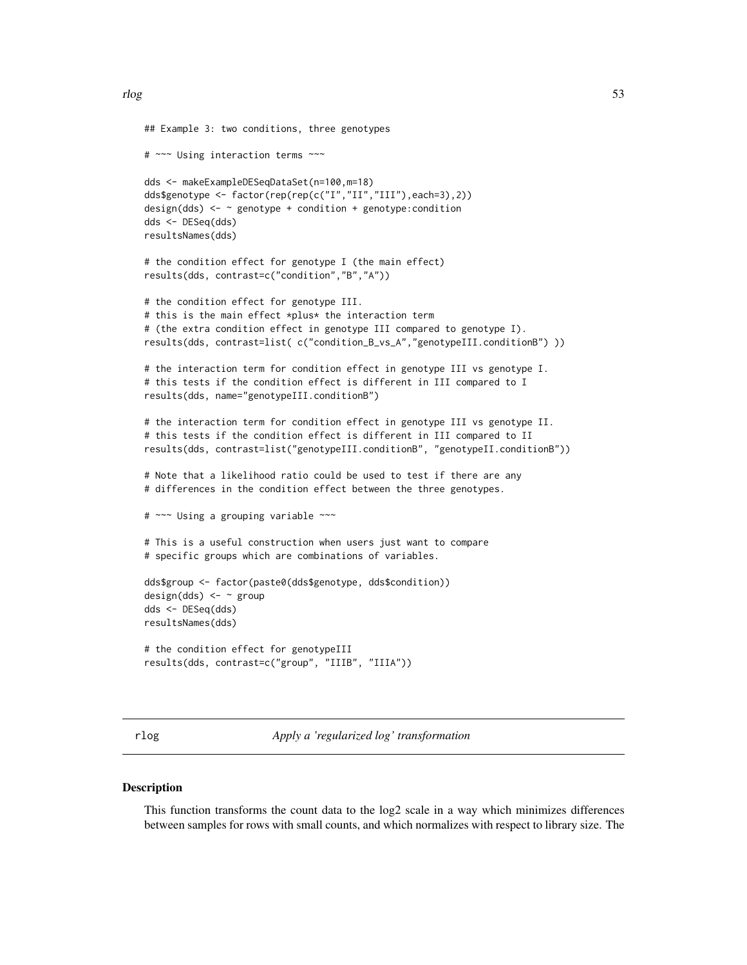```
## Example 3: two conditions, three genotypes
# ~~~ Using interaction terms ~~~
dds <- makeExampleDESeqDataSet(n=100,m=18)
dds$genotype <- factor(rep(rep(c("I","II","III"),each=3),2))
design(dds) \leq -\infty genotype + condition + genotype: condition
dds <- DESeq(dds)
resultsNames(dds)
# the condition effect for genotype I (the main effect)
results(dds, contrast=c("condition","B","A"))
# the condition effect for genotype III.
# this is the main effect *plus* the interaction term
# (the extra condition effect in genotype III compared to genotype I).
results(dds, contrast=list( c("condition_B_vs_A","genotypeIII.conditionB") ))
# the interaction term for condition effect in genotype III vs genotype I.
# this tests if the condition effect is different in III compared to I
results(dds, name="genotypeIII.conditionB")
# the interaction term for condition effect in genotype III vs genotype II.
# this tests if the condition effect is different in III compared to II
results(dds, contrast=list("genotypeIII.conditionB", "genotypeII.conditionB"))
# Note that a likelihood ratio could be used to test if there are any
# differences in the condition effect between the three genotypes.
# ~~~ Using a grouping variable ~~~
# This is a useful construction when users just want to compare
# specific groups which are combinations of variables.
dds$group <- factor(paste0(dds$genotype, dds$condition))
design(dds) < - \sim groupdds <- DESeq(dds)
resultsNames(dds)
# the condition effect for genotypeIII
results(dds, contrast=c("group", "IIIB", "IIIA"))
```
<span id="page-52-1"></span>rlog *Apply a 'regularized log' transformation*

#### **Description**

This function transforms the count data to the log2 scale in a way which minimizes differences between samples for rows with small counts, and which normalizes with respect to library size. The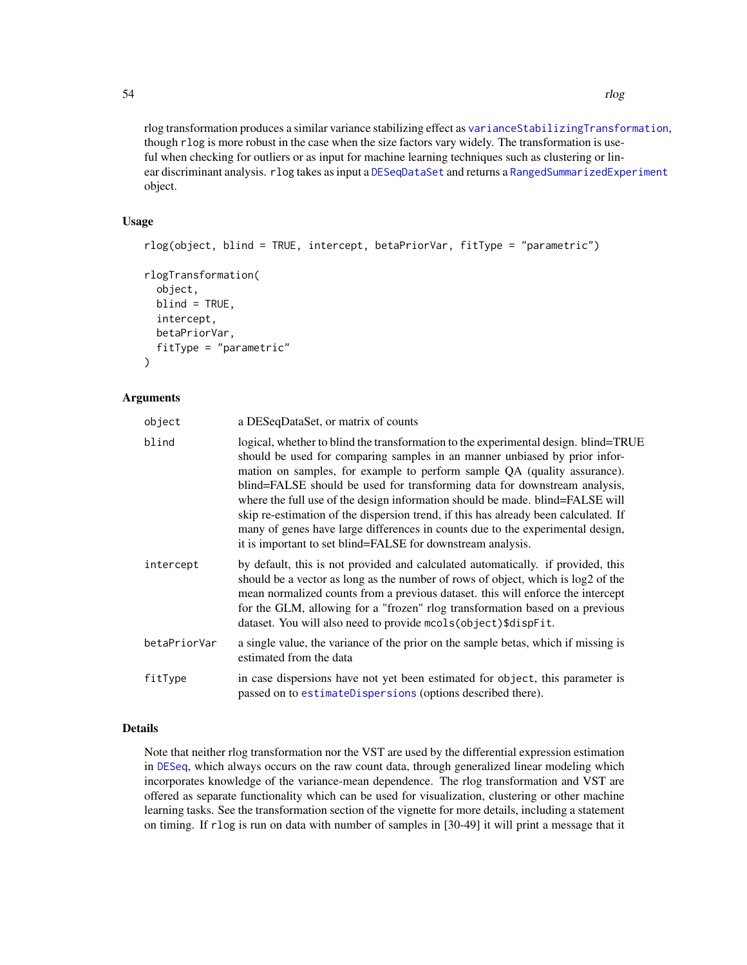rlog transformation produces a similar variance stabilizing effect as [varianceStabilizingTransformation](#page-58-1), though rlog is more robust in the case when the size factors vary widely. The transformation is useful when checking for outliers or as input for machine learning techniques such as clustering or linear discriminant analysis. rlog takes as input a [DESeqDataSet](#page-9-1) and returns a [RangedSummarizedExperiment](#page-0-0)

#### Usage

object.

```
rlog(object, blind = TRUE, intercept, betaPriorVar, fitType = "parametric")
rlogTransformation(
  object,
 blind = TRUE,
  intercept,
 betaPriorVar,
  fitType = "parametric"
)
```
# **Arguments**

| object       | a DESeqDataSet, or matrix of counts                                                                                                                                                                                                                                                                                                                                                                                                                                                                                                                                                                                                                 |
|--------------|-----------------------------------------------------------------------------------------------------------------------------------------------------------------------------------------------------------------------------------------------------------------------------------------------------------------------------------------------------------------------------------------------------------------------------------------------------------------------------------------------------------------------------------------------------------------------------------------------------------------------------------------------------|
| blind        | logical, whether to blind the transformation to the experimental design. blind=TRUE<br>should be used for comparing samples in an manner unbiased by prior infor-<br>mation on samples, for example to perform sample QA (quality assurance).<br>blind=FALSE should be used for transforming data for downstream analysis,<br>where the full use of the design information should be made. blind=FALSE will<br>skip re-estimation of the dispersion trend, if this has already been calculated. If<br>many of genes have large differences in counts due to the experimental design,<br>it is important to set blind=FALSE for downstream analysis. |
| intercept    | by default, this is not provided and calculated automatically. if provided, this<br>should be a vector as long as the number of rows of object, which is log2 of the<br>mean normalized counts from a previous dataset. this will enforce the intercept<br>for the GLM, allowing for a "frozen" rlog transformation based on a previous<br>dataset. You will also need to provide mcols (object) \$dispFit.                                                                                                                                                                                                                                         |
| betaPriorVar | a single value, the variance of the prior on the sample betas, which if missing is<br>estimated from the data                                                                                                                                                                                                                                                                                                                                                                                                                                                                                                                                       |
| fitType      | in case dispersions have not yet been estimated for object, this parameter is<br>passed on to estimateDispersions (options described there).                                                                                                                                                                                                                                                                                                                                                                                                                                                                                                        |

# Details

Note that neither rlog transformation nor the VST are used by the differential expression estimation in [DESeq](#page-6-1), which always occurs on the raw count data, through generalized linear modeling which incorporates knowledge of the variance-mean dependence. The rlog transformation and VST are offered as separate functionality which can be used for visualization, clustering or other machine learning tasks. See the transformation section of the vignette for more details, including a statement on timing. If rlog is run on data with number of samples in [30-49] it will print a message that it

<span id="page-53-0"></span>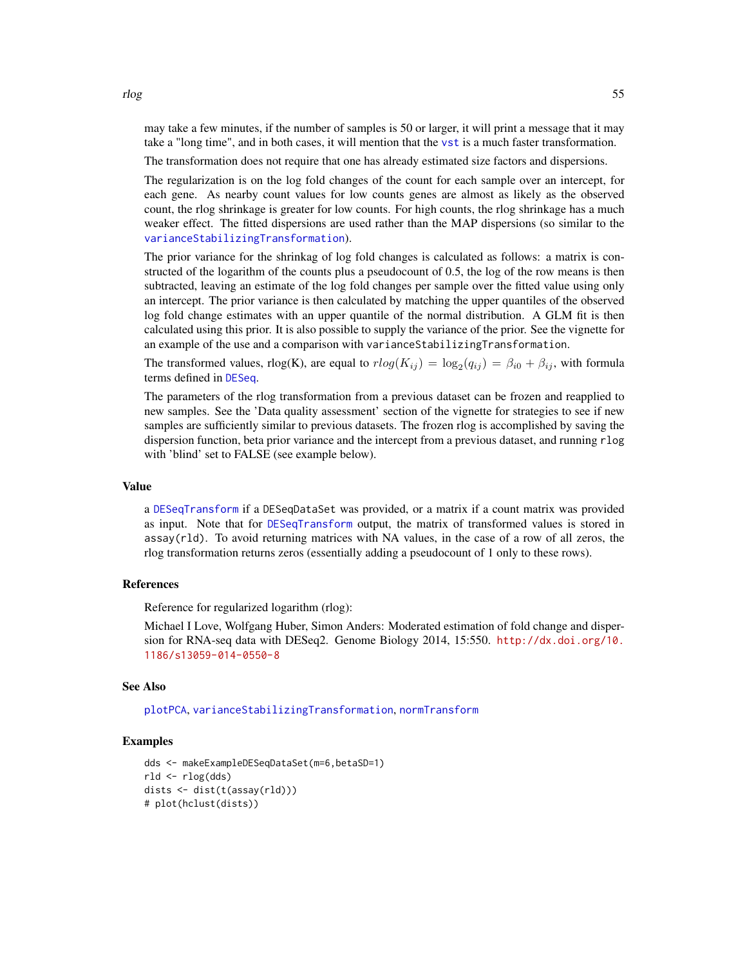may take a few minutes, if the number of samples is 50 or larger, it will print a message that it may take a "long time", and in both cases, it will mention that the [vst](#page-60-1) is a much faster transformation.

The transformation does not require that one has already estimated size factors and dispersions.

The regularization is on the log fold changes of the count for each sample over an intercept, for each gene. As nearby count values for low counts genes are almost as likely as the observed count, the rlog shrinkage is greater for low counts. For high counts, the rlog shrinkage has a much weaker effect. The fitted dispersions are used rather than the MAP dispersions (so similar to the [varianceStabilizingTransformation](#page-58-1)).

The prior variance for the shrinkag of log fold changes is calculated as follows: a matrix is constructed of the logarithm of the counts plus a pseudocount of 0.5, the log of the row means is then subtracted, leaving an estimate of the log fold changes per sample over the fitted value using only an intercept. The prior variance is then calculated by matching the upper quantiles of the observed log fold change estimates with an upper quantile of the normal distribution. A GLM fit is then calculated using this prior. It is also possible to supply the variance of the prior. See the vignette for an example of the use and a comparison with varianceStabilizingTransformation.

The transformed values, rlog(K), are equal to  $rlog(K_{ij}) = log_2(q_{ij}) = \beta_{i0} + \beta_{ij}$ , with formula terms defined in [DESeq](#page-6-1).

The parameters of the rlog transformation from a previous dataset can be frozen and reapplied to new samples. See the 'Data quality assessment' section of the vignette for strategies to see if new samples are sufficiently similar to previous datasets. The frozen rlog is accomplished by saving the dispersion function, beta prior variance and the intercept from a previous dataset, and running rlog with 'blind' set to FALSE (see example below).

# Value

a [DESeqTransform](#page-12-1) if a DESeqDataSet was provided, or a matrix if a count matrix was provided as input. Note that for [DESeqTransform](#page-12-1) output, the matrix of transformed values is stored in assay(rld). To avoid returning matrices with NA values, in the case of a row of all zeros, the rlog transformation returns zeros (essentially adding a pseudocount of 1 only to these rows).

#### References

Reference for regularized logarithm (rlog):

Michael I Love, Wolfgang Huber, Simon Anders: Moderated estimation of fold change and dispersion for RNA-seq data with DESeq2. Genome Biology 2014, 15:550. [http://dx.doi.org/10.](http://dx.doi.org/10.1186/s13059-014-0550-8) [1186/s13059-014-0550-8](http://dx.doi.org/10.1186/s13059-014-0550-8)

#### See Also

[plotPCA](#page-43-1), [varianceStabilizingTransformation](#page-58-1), [normTransform](#page-38-1)

#### Examples

```
dds <- makeExampleDESeqDataSet(m=6,betaSD=1)
rld <- rlog(dds)
dists <- dist(t(assay(rld)))
# plot(hclust(dists))
```
<span id="page-54-0"></span>rlog 55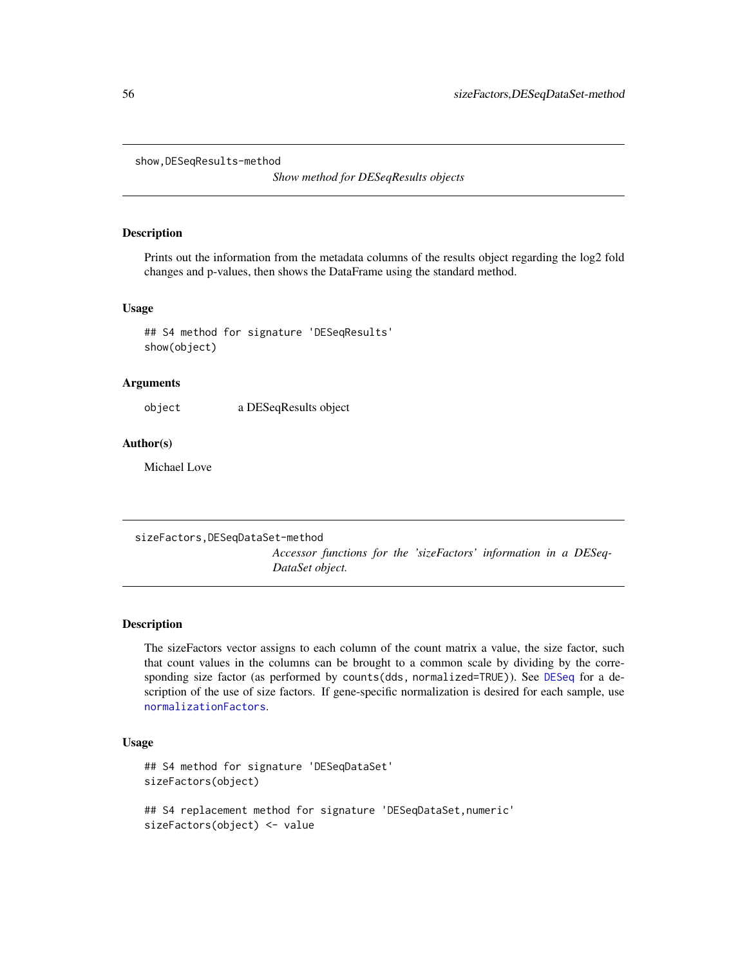```
show,DESeqResults-method
```
*Show method for DESeqResults objects*

#### Description

Prints out the information from the metadata columns of the results object regarding the log2 fold changes and p-values, then shows the DataFrame using the standard method.

#### Usage

## S4 method for signature 'DESeqResults' show(object)

#### Arguments

object a DESeqResults object

#### Author(s)

Michael Love

sizeFactors,DESeqDataSet-method *Accessor functions for the 'sizeFactors' information in a DESeq-DataSet object.*

# **Description**

The sizeFactors vector assigns to each column of the count matrix a value, the size factor, such that count values in the columns can be brought to a common scale by dividing by the corresponding size factor (as performed by counts(dds, normalized=TRUE)). See [DESeq](#page-6-1) for a description of the use of size factors. If gene-specific normalization is desired for each sample, use [normalizationFactors](#page-36-1).

#### Usage

```
## S4 method for signature 'DESeqDataSet'
sizeFactors(object)
## S4 replacement method for signature 'DESeqDataSet,numeric'
sizeFactors(object) <- value
```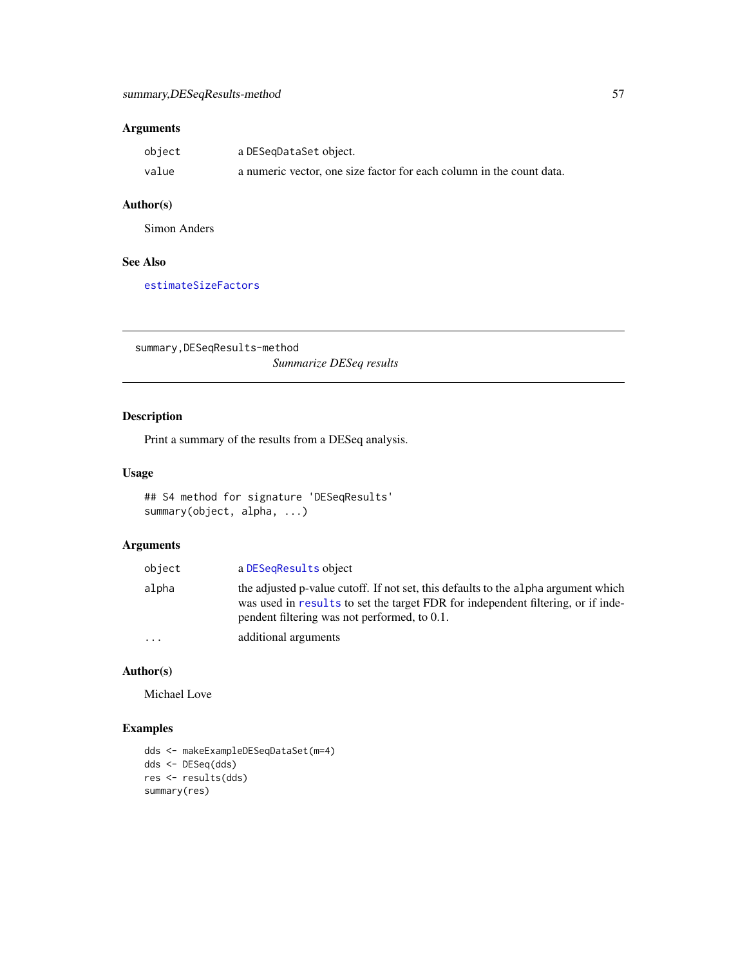# <span id="page-56-0"></span>Arguments

| object | a DESeqDataSet object.                                               |
|--------|----------------------------------------------------------------------|
| value  | a numeric vector, one size factor for each column in the count data. |

# Author(s)

Simon Anders

# See Also

[estimateSizeFactors](#page-0-0)

summary,DESeqResults-method *Summarize DESeq results*

# Description

Print a summary of the results from a DESeq analysis.

# Usage

```
## S4 method for signature 'DESeqResults'
summary(object, alpha, ...)
```
# Arguments

| object    | a DESegResults object                                                                                                                                                                                                  |
|-----------|------------------------------------------------------------------------------------------------------------------------------------------------------------------------------------------------------------------------|
| alpha     | the adjusted p-value cutoff. If not set, this defaults to the alpha argument which<br>was used in results to set the target FDR for independent filtering, or if inde-<br>pendent filtering was not performed, to 0.1. |
| $\ddotsc$ | additional arguments                                                                                                                                                                                                   |

# Author(s)

Michael Love

# Examples

```
dds <- makeExampleDESeqDataSet(m=4)
dds <- DESeq(dds)
res <- results(dds)
summary(res)
```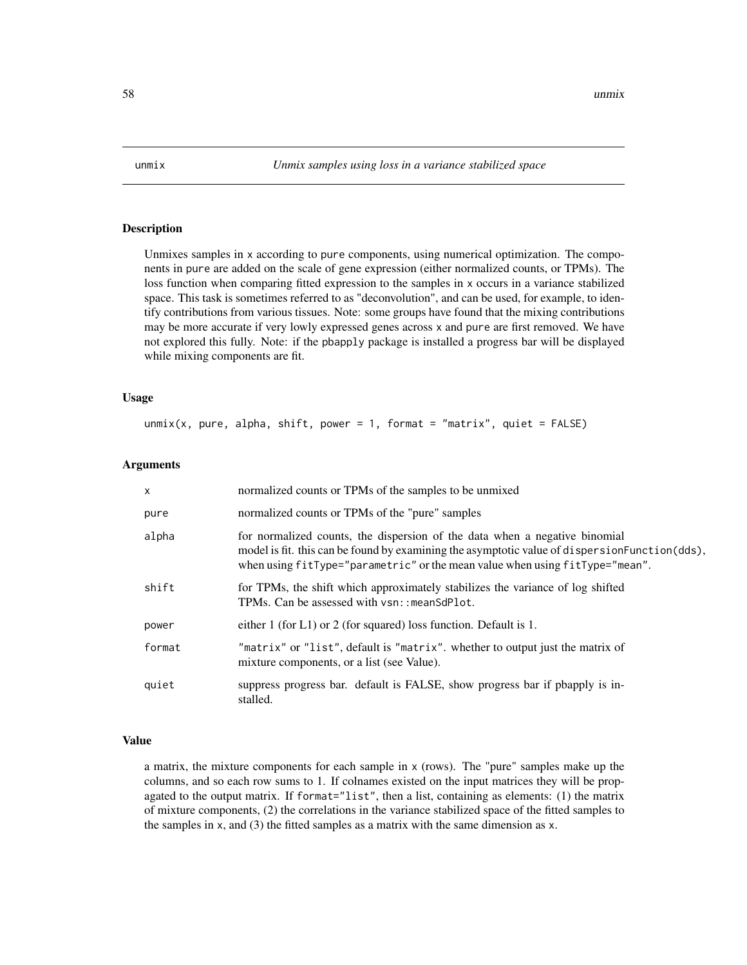<span id="page-57-0"></span>

Unmixes samples in x according to pure components, using numerical optimization. The components in pure are added on the scale of gene expression (either normalized counts, or TPMs). The loss function when comparing fitted expression to the samples in x occurs in a variance stabilized space. This task is sometimes referred to as "deconvolution", and can be used, for example, to identify contributions from various tissues. Note: some groups have found that the mixing contributions may be more accurate if very lowly expressed genes across x and pure are first removed. We have not explored this fully. Note: if the pbapply package is installed a progress bar will be displayed while mixing components are fit.

#### Usage

unmix(x, pure, alpha, shift, power = 1, format = "matrix", quiet =  $FALSE$ )

#### Arguments

| $\mathsf{x}$ | normalized counts or TPMs of the samples to be unmixed                                                                                                                                                                                                        |
|--------------|---------------------------------------------------------------------------------------------------------------------------------------------------------------------------------------------------------------------------------------------------------------|
| pure         | normalized counts or TPMs of the "pure" samples                                                                                                                                                                                                               |
| alpha        | for normalized counts, the dispersion of the data when a negative binomial<br>model is fit. this can be found by examining the asymptotic value of dispersion Function (dds),<br>when using fitType="parametric" or the mean value when using fitType="mean". |
| shift        | for TPMs, the shift which approximately stabilizes the variance of log shifted<br>TPMs. Can be assessed with vsn:: meanSdPlot.                                                                                                                                |
| power        | either 1 (for L1) or 2 (for squared) loss function. Default is 1.                                                                                                                                                                                             |
| format       | "matrix" or "list", default is "matrix". whether to output just the matrix of<br>mixture components, or a list (see Value).                                                                                                                                   |
| quiet        | suppress progress bar. default is FALSE, show progress bar if posapply is in-<br>stalled.                                                                                                                                                                     |

#### Value

a matrix, the mixture components for each sample in x (rows). The "pure" samples make up the columns, and so each row sums to 1. If colnames existed on the input matrices they will be propagated to the output matrix. If format="list", then a list, containing as elements: (1) the matrix of mixture components, (2) the correlations in the variance stabilized space of the fitted samples to the samples in x, and (3) the fitted samples as a matrix with the same dimension as x.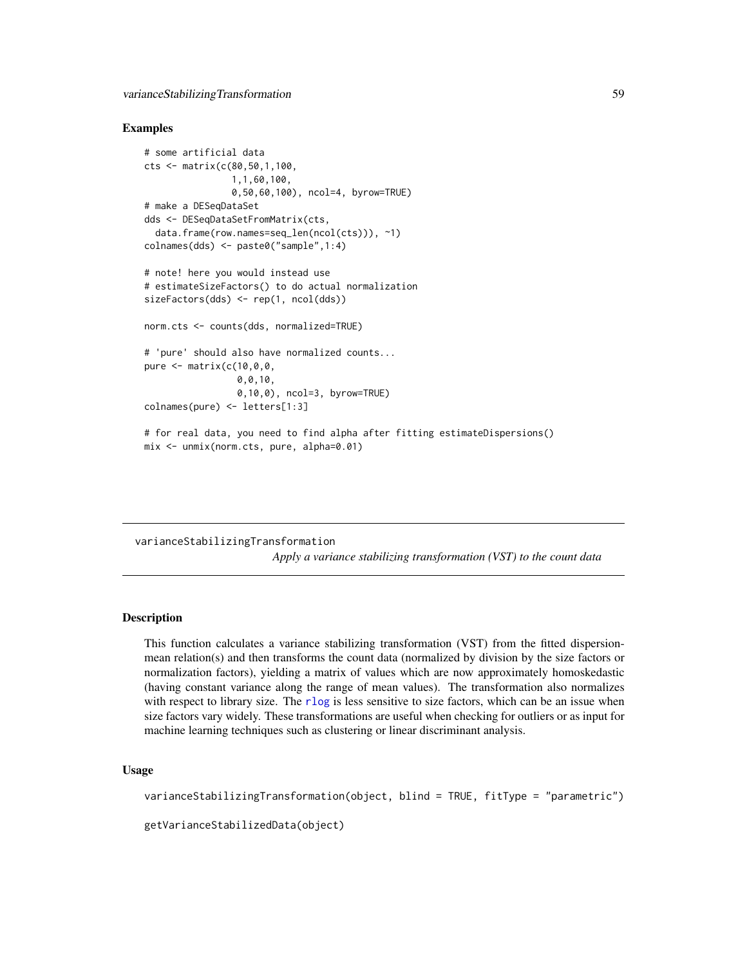#### <span id="page-58-0"></span>Examples

```
# some artificial data
cts <- matrix(c(80,50,1,100,
                1,1,60,100,
                0,50,60,100), ncol=4, byrow=TRUE)
# make a DESeqDataSet
dds <- DESeqDataSetFromMatrix(cts,
 data.frame(row.names=seq_len(ncol(cts))), ~1)
colnames(dds) <- paste0("sample",1:4)
# note! here you would instead use
# estimateSizeFactors() to do actual normalization
sizeFactors(dds) <- rep(1, ncol(dds))
norm.cts <- counts(dds, normalized=TRUE)
# 'pure' should also have normalized counts...
pure <- matrix(c(10,0,0,
                 0,0,10,
                 0,10,0), ncol=3, byrow=TRUE)
colnames(pure) <- letters[1:3]
# for real data, you need to find alpha after fitting estimateDispersions()
mix <- unmix(norm.cts, pure, alpha=0.01)
```
# <span id="page-58-1"></span>varianceStabilizingTransformation

*Apply a variance stabilizing transformation (VST) to the count data*

#### Description

This function calculates a variance stabilizing transformation (VST) from the fitted dispersionmean relation(s) and then transforms the count data (normalized by division by the size factors or normalization factors), yielding a matrix of values which are now approximately homoskedastic (having constant variance along the range of mean values). The transformation also normalizes with respect to library size. The [rlog](#page-52-1) is less sensitive to size factors, which can be an issue when size factors vary widely. These transformations are useful when checking for outliers or as input for machine learning techniques such as clustering or linear discriminant analysis.

# Usage

varianceStabilizingTransformation(object, blind = TRUE, fitType = "parametric")

getVarianceStabilizedData(object)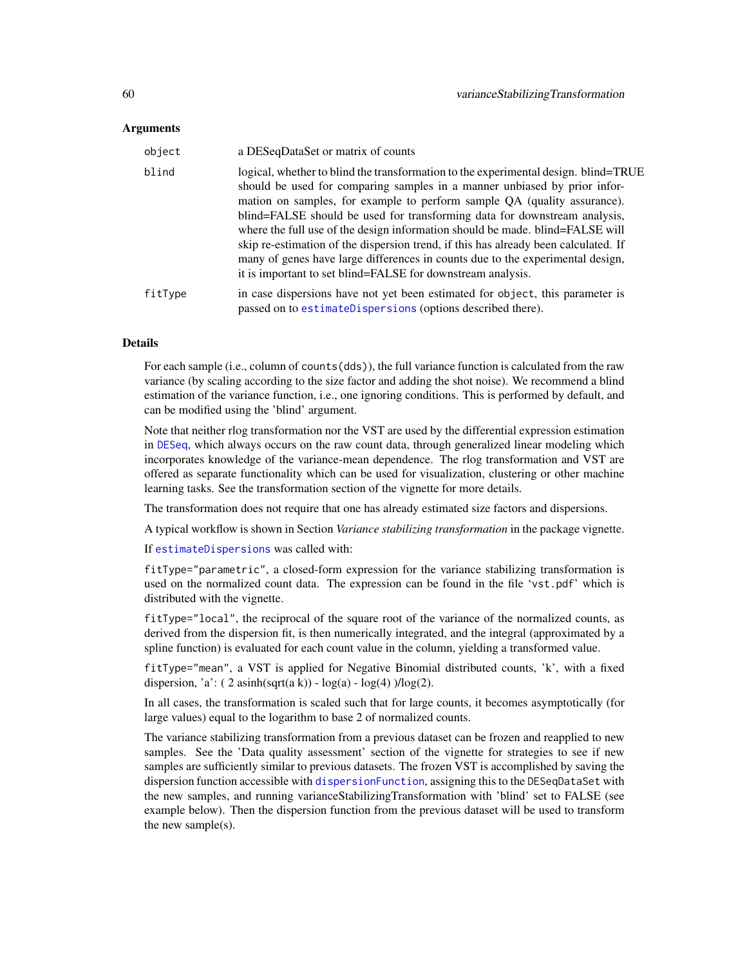#### <span id="page-59-0"></span>**Arguments**

| object  | a DESeqDataSet or matrix of counts                                                                                                                                                                                                                                                                                                                                                                                                                                                                                                                                                                                                                 |
|---------|----------------------------------------------------------------------------------------------------------------------------------------------------------------------------------------------------------------------------------------------------------------------------------------------------------------------------------------------------------------------------------------------------------------------------------------------------------------------------------------------------------------------------------------------------------------------------------------------------------------------------------------------------|
| blind   | logical, whether to blind the transformation to the experimental design. blind=TRUE<br>should be used for comparing samples in a manner unbiased by prior infor-<br>mation on samples, for example to perform sample QA (quality assurance).<br>blind=FALSE should be used for transforming data for downstream analysis,<br>where the full use of the design information should be made. blind=FALSE will<br>skip re-estimation of the dispersion trend, if this has already been calculated. If<br>many of genes have large differences in counts due to the experimental design,<br>it is important to set blind=FALSE for downstream analysis. |
| fitType | in case dispersions have not yet been estimated for object, this parameter is<br>passed on to estimate Dispersions (options described there).                                                                                                                                                                                                                                                                                                                                                                                                                                                                                                      |

## Details

For each sample (i.e., column of counts(dds)), the full variance function is calculated from the raw variance (by scaling according to the size factor and adding the shot noise). We recommend a blind estimation of the variance function, i.e., one ignoring conditions. This is performed by default, and can be modified using the 'blind' argument.

Note that neither rlog transformation nor the VST are used by the differential expression estimation in [DESeq](#page-6-1), which always occurs on the raw count data, through generalized linear modeling which incorporates knowledge of the variance-mean dependence. The rlog transformation and VST are offered as separate functionality which can be used for visualization, clustering or other machine learning tasks. See the transformation section of the vignette for more details.

The transformation does not require that one has already estimated size factors and dispersions.

A typical workflow is shown in Section *Variance stabilizing transformation* in the package vignette.

If [estimateDispersions](#page-0-0) was called with:

fitType="parametric", a closed-form expression for the variance stabilizing transformation is used on the normalized count data. The expression can be found in the file 'vst.pdf' which is distributed with the vignette.

fitType="local", the reciprocal of the square root of the variance of the normalized counts, as derived from the dispersion fit, is then numerically integrated, and the integral (approximated by a spline function) is evaluated for each count value in the column, yielding a transformed value.

fitType="mean", a VST is applied for Negative Binomial distributed counts, 'k', with a fixed dispersion, 'a':  $(2 \sinh(\sqrt{sqrt}(a k)) - \log(a) - \log(4)) / \log(2)$ .

In all cases, the transformation is scaled such that for large counts, it becomes asymptotically (for large values) equal to the logarithm to base 2 of normalized counts.

The variance stabilizing transformation from a previous dataset can be frozen and reapplied to new samples. See the 'Data quality assessment' section of the vignette for strategies to see if new samples are sufficiently similar to previous datasets. The frozen VST is accomplished by saving the dispersion function accessible with [dispersionFunction](#page-13-1), assigning this to the DESeqDataSet with the new samples, and running varianceStabilizingTransformation with 'blind' set to FALSE (see example below). Then the dispersion function from the previous dataset will be used to transform the new sample(s).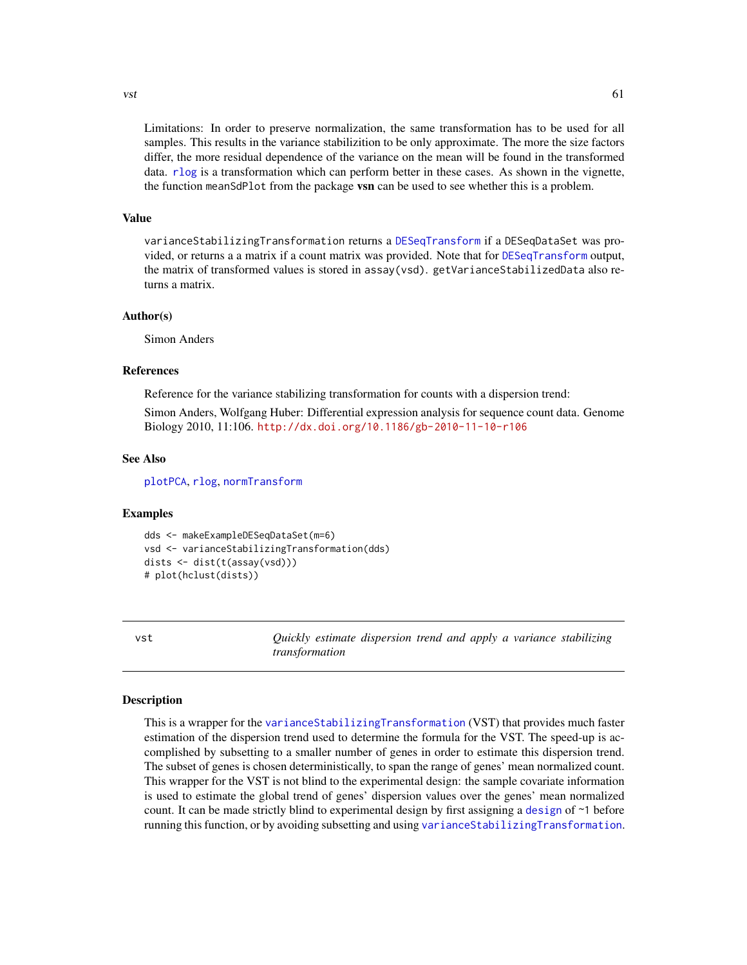<span id="page-60-0"></span> $\frac{1}{61}$ 

Limitations: In order to preserve normalization, the same transformation has to be used for all samples. This results in the variance stabilizition to be only approximate. The more the size factors differ, the more residual dependence of the variance on the mean will be found in the transformed data. [rlog](#page-52-1) is a transformation which can perform better in these cases. As shown in the vignette, the function meanSdPlot from the package **vsn** can be used to see whether this is a problem.

#### Value

varianceStabilizingTransformation returns a [DESeqTransform](#page-12-1) if a DESeqDataSet was provided, or returns a a matrix if a count matrix was provided. Note that for [DESeqTransform](#page-12-1) output, the matrix of transformed values is stored in assay(vsd). getVarianceStabilizedData also returns a matrix.

#### Author(s)

Simon Anders

# References

Reference for the variance stabilizing transformation for counts with a dispersion trend:

Simon Anders, Wolfgang Huber: Differential expression analysis for sequence count data. Genome Biology 2010, 11:106. <http://dx.doi.org/10.1186/gb-2010-11-10-r106>

#### See Also

[plotPCA](#page-43-1), [rlog](#page-52-1), [normTransform](#page-38-1)

#### Examples

```
dds <- makeExampleDESeqDataSet(m=6)
vsd <- varianceStabilizingTransformation(dds)
dists <- dist(t(assay(vsd)))
# plot(hclust(dists))
```
<span id="page-60-1"></span>vst *Quickly estimate dispersion trend and apply a variance stabilizing transformation*

# Description

This is a wrapper for the [varianceStabilizingTransformation](#page-58-1) (VST) that provides much faster estimation of the dispersion trend used to determine the formula for the VST. The speed-up is accomplished by subsetting to a smaller number of genes in order to estimate this dispersion trend. The subset of genes is chosen deterministically, to span the range of genes' mean normalized count. This wrapper for the VST is not blind to the experimental design: the sample covariate information is used to estimate the global trend of genes' dispersion values over the genes' mean normalized count. It can be made strictly blind to experimental design by first assigning a [design](#page-0-0) of ~1 before running this function, or by avoiding subsetting and using [varianceStabilizingTransformation](#page-58-1).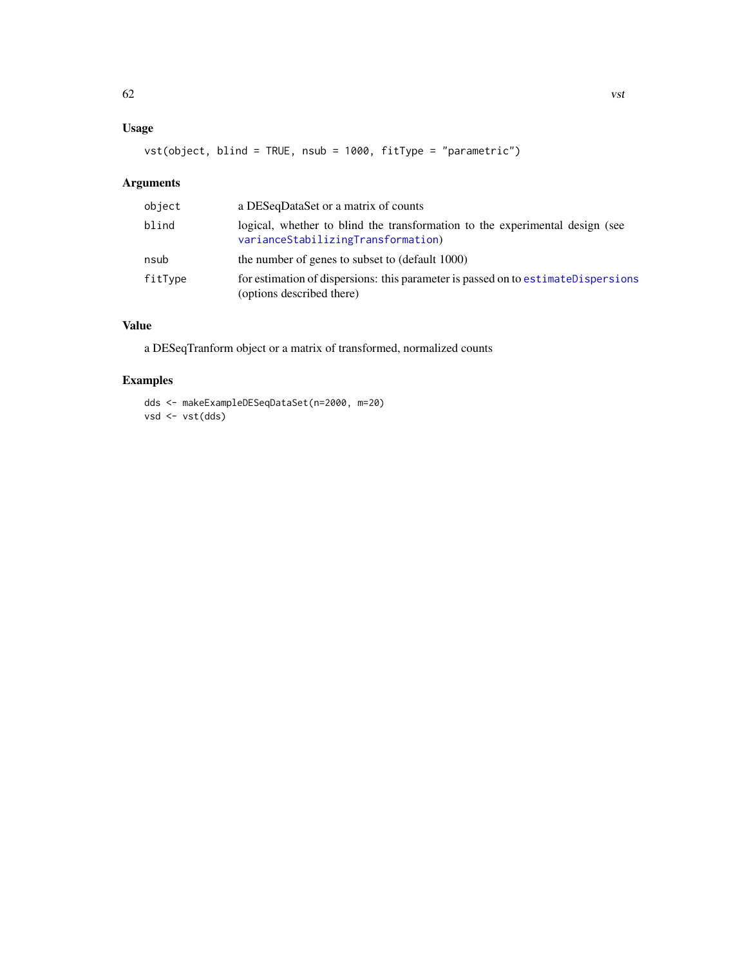# <span id="page-61-0"></span>Usage

vst(object, blind = TRUE, nsub = 1000, fitType = "parametric")

# Arguments

| object  | a DESeqDataSet or a matrix of counts                                                                               |
|---------|--------------------------------------------------------------------------------------------------------------------|
| blind   | logical, whether to blind the transformation to the experimental design (see<br>varianceStabilizingTransformation) |
| nsub    | the number of genes to subset to (default 1000)                                                                    |
| fitType | for estimation of dispersions: this parameter is passed on to estimate Dispersions<br>(options described there)    |

# Value

a DESeqTranform object or a matrix of transformed, normalized counts

# Examples

dds <- makeExampleDESeqDataSet(n=2000, m=20) vsd <- vst(dds)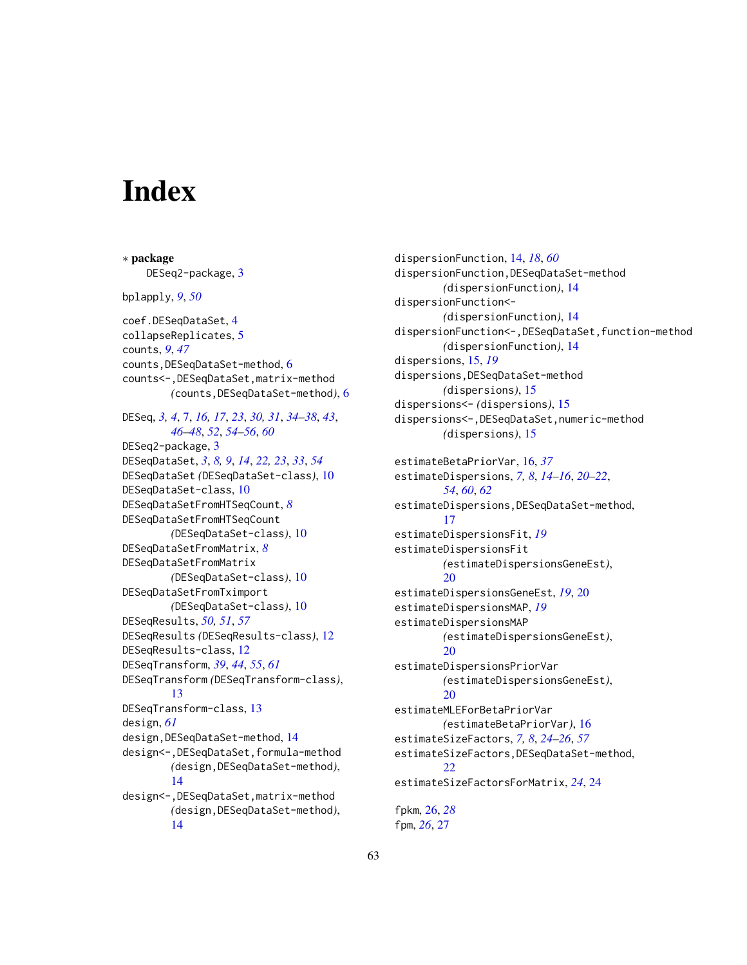# <span id="page-62-0"></span>**Index**

∗ package DESeq2-package, [3](#page-2-0) bplapply, *[9](#page-8-0)*, *[50](#page-49-0)* coef.DESeqDataSet, [4](#page-3-0) collapseReplicates, [5](#page-4-0) counts, *[9](#page-8-0)*, *[47](#page-46-0)* counts,DESeqDataSet-method, [6](#page-5-0) counts<-,DESeqDataSet,matrix-method *(*counts,DESeqDataSet-method*)*, [6](#page-5-0) DESeq, *[3,](#page-2-0) [4](#page-3-0)*, [7,](#page-6-0) *[16,](#page-15-0) [17](#page-16-0)*, *[23](#page-22-0)*, *[30,](#page-29-0) [31](#page-30-0)*, *[34–](#page-33-0)[38](#page-37-0)*, *[43](#page-42-0)*, *[46](#page-45-0)[–48](#page-47-0)*, *[52](#page-51-0)*, *[54–](#page-53-0)[56](#page-55-0)*, *[60](#page-59-0)* DESeq2-package, [3](#page-2-0) DESeqDataSet, *[3](#page-2-0)*, *[8,](#page-7-0) [9](#page-8-0)*, *[14](#page-13-0)*, *[22,](#page-21-0) [23](#page-22-0)*, *[33](#page-32-0)*, *[54](#page-53-0)* DESeqDataSet *(*DESeqDataSet-class*)*, [10](#page-9-0) DESeqDataSet-class, [10](#page-9-0) DESeqDataSetFromHTSeqCount, *[8](#page-7-0)* DESeqDataSetFromHTSeqCount *(*DESeqDataSet-class*)*, [10](#page-9-0) DESeqDataSetFromMatrix, *[8](#page-7-0)* DESeqDataSetFromMatrix *(*DESeqDataSet-class*)*, [10](#page-9-0) DESeqDataSetFromTximport *(*DESeqDataSet-class*)*, [10](#page-9-0) DESeqResults, *[50,](#page-49-0) [51](#page-50-0)*, *[57](#page-56-0)* DESeqResults *(*DESeqResults-class*)*, [12](#page-11-0) DESeqResults-class, [12](#page-11-0) DESeqTransform, *[39](#page-38-0)*, *[44](#page-43-0)*, *[55](#page-54-0)*, *[61](#page-60-0)* DESeqTransform *(*DESeqTransform-class*)*, [13](#page-12-0) DESeqTransform-class, [13](#page-12-0) design, *[61](#page-60-0)* design, DESeqDataSet-method, [14](#page-13-0) design<-,DESeqDataSet,formula-method *(*design,DESeqDataSet-method*)*, [14](#page-13-0) design<-,DESeqDataSet,matrix-method *(*design,DESeqDataSet-method*)*, [14](#page-13-0)

dispersionFunction, [14,](#page-13-0) *[18](#page-17-0)*, *[60](#page-59-0)* dispersionFunction,DESeqDataSet-method *(*dispersionFunction*)*, [14](#page-13-0) dispersionFunction<- *(*dispersionFunction*)*, [14](#page-13-0) dispersionFunction<-,DESeqDataSet,function-method *(*dispersionFunction*)*, [14](#page-13-0) dispersions, [15,](#page-14-0) *[19](#page-18-0)* dispersions,DESeqDataSet-method *(*dispersions*)*, [15](#page-14-0) dispersions<- *(*dispersions*)*, [15](#page-14-0) dispersions<-,DESeqDataSet,numeric-method *(*dispersions*)*, [15](#page-14-0) estimateBetaPriorVar, [16,](#page-15-0) *[37](#page-36-0)* estimateDispersions, *[7,](#page-6-0) [8](#page-7-0)*, *[14](#page-13-0)[–16](#page-15-0)*, *[20](#page-19-0)[–22](#page-21-0)*, *[54](#page-53-0)*, *[60](#page-59-0)*, *[62](#page-61-0)* estimateDispersions,DESeqDataSet-method, [17](#page-16-0) estimateDispersionsFit, *[19](#page-18-0)* estimateDispersionsFit *(*estimateDispersionsGeneEst*)*, [20](#page-19-0) estimateDispersionsGeneEst, *[19](#page-18-0)*, [20](#page-19-0) estimateDispersionsMAP, *[19](#page-18-0)* estimateDispersionsMAP *(*estimateDispersionsGeneEst*)*, [20](#page-19-0) estimateDispersionsPriorVar *(*estimateDispersionsGeneEst*)*,  $20$ estimateMLEForBetaPriorVar *(*estimateBetaPriorVar*)*, [16](#page-15-0) estimateSizeFactors, *[7,](#page-6-0) [8](#page-7-0)*, *[24](#page-23-0)[–26](#page-25-0)*, *[57](#page-56-0)* estimateSizeFactors,DESeqDataSet-method, [22](#page-21-0) estimateSizeFactorsForMatrix, *[24](#page-23-0)*, [24](#page-23-0) fpkm, [26,](#page-25-0) *[28](#page-27-0)* fpm, *[26](#page-25-0)*, [27](#page-26-0)